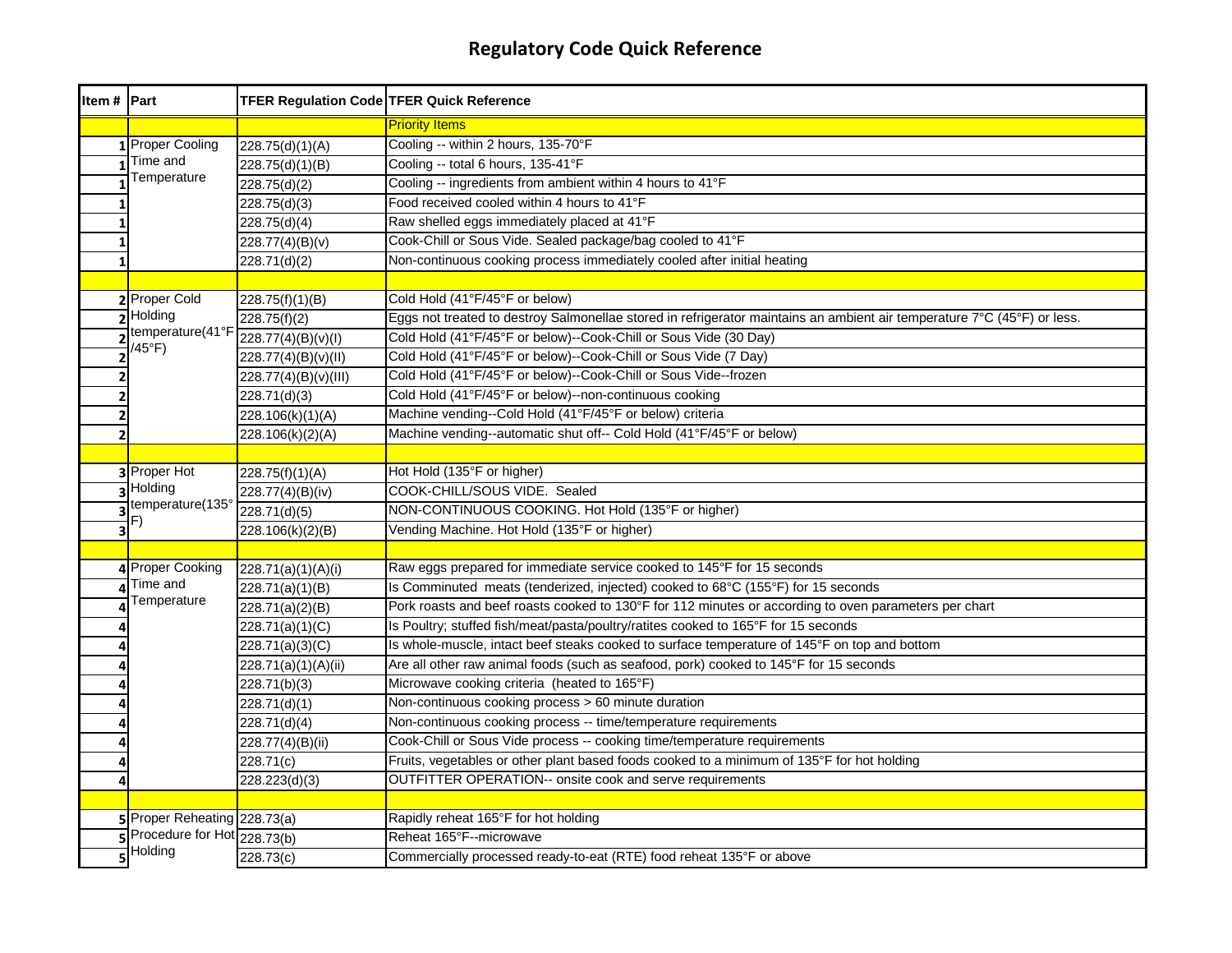| Item # Part |                                 | <b>TFER Regulation Code TFER Quick Reference</b> |                                                                                                                         |
|-------------|---------------------------------|--------------------------------------------------|-------------------------------------------------------------------------------------------------------------------------|
|             |                                 |                                                  | <b>Priority Items</b>                                                                                                   |
|             | 1 Proper Cooling                | 228.75(d)(1)(A)                                  | Cooling -- within 2 hours, 135-70°F                                                                                     |
|             | Time and                        | 228.75(d)(1)(B)                                  | Cooling -- total 6 hours, 135-41°F                                                                                      |
|             | Temperature                     | 228.75(d)(2)                                     | Cooling -- ingredients from ambient within 4 hours to 41°F                                                              |
|             |                                 | 228.75(d)(3)                                     | Food received cooled within 4 hours to 41°F                                                                             |
|             |                                 | 228.75(d)(4)                                     | Raw shelled eggs immediately placed at 41°F                                                                             |
|             |                                 | 228.77(4)(B)(v)                                  | Cook-Chill or Sous Vide. Sealed package/bag cooled to 41°F                                                              |
|             |                                 | 228.71(d)(2)                                     | Non-continuous cooking process immediately cooled after initial heating                                                 |
|             |                                 |                                                  |                                                                                                                         |
|             | 2 Proper Cold                   | 228.75(f)(1)(B)                                  | Cold Hold (41°F/45°F or below)                                                                                          |
|             | $\overline{\mathbf{z}}$ Holding | 228.75(f)(2)                                     | Eggs not treated to destroy Salmonellae stored in refrigerator maintains an ambient air temperature 7°C (45°F) or less. |
|             | temperature(41°F<br>/45°F)      | 228.77(4)(B)(v)(l)                               | Cold Hold (41°F/45°F or below)--Cook-Chill or Sous Vide (30 Day)                                                        |
|             |                                 | 228.77(4)(B)(v)(II)                              | Cold Hold (41°F/45°F or below)--Cook-Chill or Sous Vide (7 Day)                                                         |
|             |                                 | 228.77(4)(B)(v)(III)                             | Cold Hold (41°F/45°F or below)--Cook-Chill or Sous Vide--frozen                                                         |
|             |                                 | 228.71(d)(3)                                     | Cold Hold (41°F/45°F or below)--non-continuous cooking                                                                  |
|             |                                 | 228.106(k)(1)(A)                                 | Machine vending--Cold Hold (41°F/45°F or below) criteria                                                                |
| 2           |                                 | 228.106(k)(2)(A)                                 | Machine vending--automatic shut off-- Cold Hold (41°F/45°F or below)                                                    |
|             |                                 |                                                  |                                                                                                                         |
|             | <b>3</b> Proper Hot             | 228.75(f)(1)(A)                                  | Hot Hold (135°F or higher)                                                                                              |
|             | 3 Holding                       | 228.77(4)(B)(iv)                                 | COOK-CHILL/SOUS VIDE. Sealed                                                                                            |
|             | temperature(135°                | 228.71(d)(5)                                     | NON-CONTINUOUS COOKING. Hot Hold (135°F or higher)                                                                      |
|             | F)                              | 228.106(k)(2)(B)                                 | Vending Machine. Hot Hold (135°F or higher)                                                                             |
|             |                                 |                                                  |                                                                                                                         |
|             | 4 Proper Cooking                | 228.71(a)(1)(A)(i)                               | Raw eggs prepared for immediate service cooked to 145°F for 15 seconds                                                  |
|             | Time and                        | 228.71(a)(1)(B)                                  | Is Comminuted meats (tenderized, injected) cooked to 68°C (155°F) for 15 seconds                                        |
|             | Temperature                     | 228.71(a)(2)(B)                                  | Pork roasts and beef roasts cooked to 130°F for 112 minutes or according to oven parameters per chart                   |
|             |                                 | 228.71(a)(1)(C)                                  | Is Poultry; stuffed fish/meat/pasta/poultry/ratites cooked to 165°F for 15 seconds                                      |
|             |                                 | 228.71(a)(3)(C)                                  | Is whole-muscle, intact beef steaks cooked to surface temperature of 145°F on top and bottom                            |
|             |                                 | 228.71(a)(1)(A)(ii)                              | Are all other raw animal foods (such as seafood, pork) cooked to 145°F for 15 seconds                                   |
|             |                                 | 228.71(b)(3)                                     | Microwave cooking criteria (heated to 165°F)                                                                            |
|             |                                 | 228.71(d)(1)                                     | Non-continuous cooking process > 60 minute duration                                                                     |
|             |                                 | 228.71(d)(4)                                     | Non-continuous cooking process -- time/temperature requirements                                                         |
|             |                                 | 228.77(4)(B)(ii)                                 | Cook-Chill or Sous Vide process -- cooking time/temperature requirements                                                |
|             |                                 | 228.71(c)                                        | Fruits, vegetables or other plant based foods cooked to a minimum of 135°F for hot holding                              |
|             |                                 | 228.223(d)(3)                                    | OUTFITTER OPERATION-- onsite cook and serve requirements                                                                |
|             |                                 |                                                  |                                                                                                                         |
|             | 5 Proper Reheating 228.73(a)    |                                                  | Rapidly reheat 165°F for hot holding                                                                                    |
|             | Procedure for Hot 228.73(b)     |                                                  | Reheat 165°F--microwave                                                                                                 |
|             | Holding                         | 228.73(c)                                        | Commercially processed ready-to-eat (RTE) food reheat 135°F or above                                                    |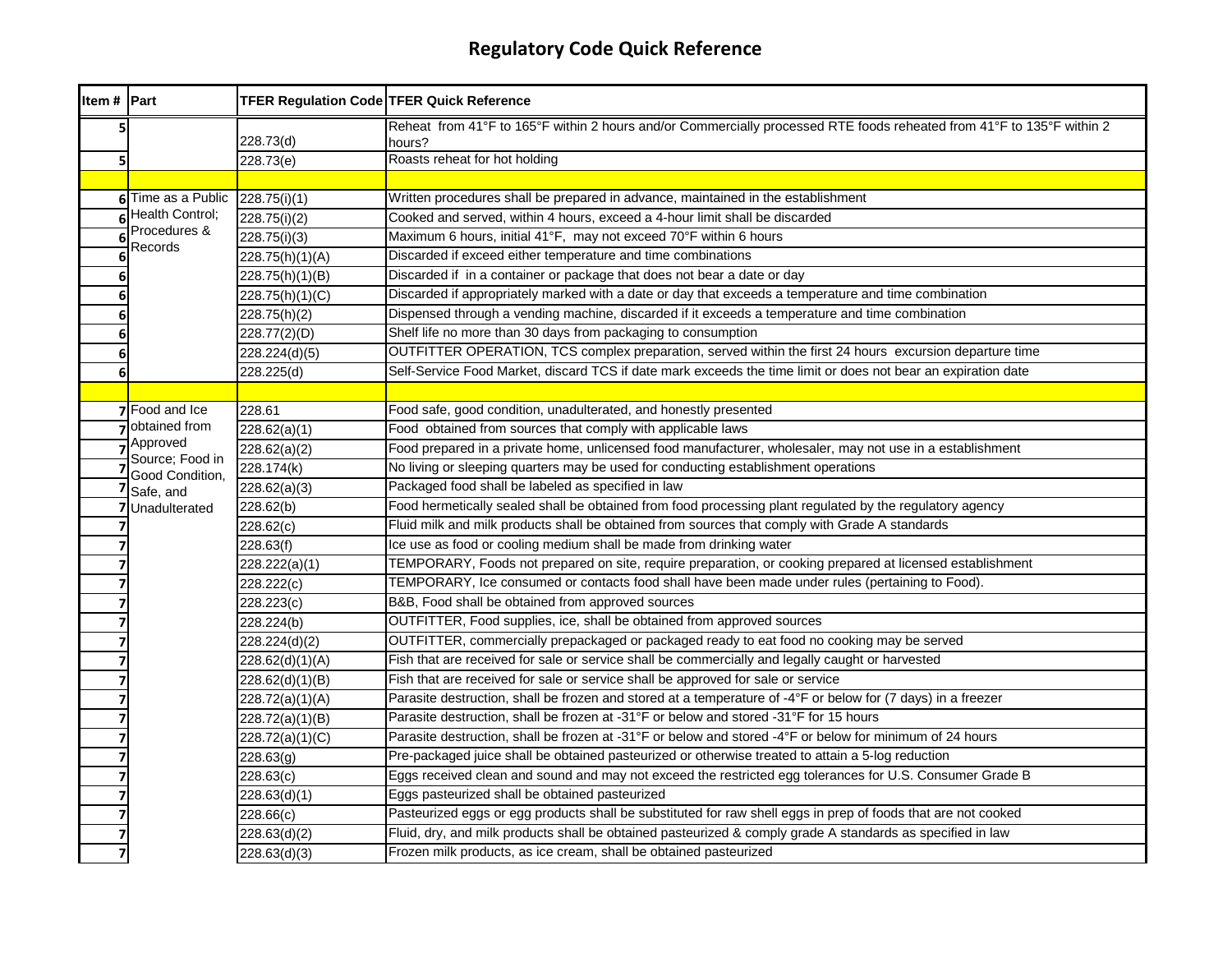| Item # Part |                             | <b>TFER Regulation Code TFER Quick Reference</b> |                                                                                                                                 |
|-------------|-----------------------------|--------------------------------------------------|---------------------------------------------------------------------------------------------------------------------------------|
| 5           |                             | 228.73(d)                                        | Reheat from 41°F to 165°F within 2 hours and/or Commercially processed RTE foods reheated from 41°F to 135°F within 2<br>hours? |
| 5           |                             | 228.73(e)                                        | Roasts reheat for hot holding                                                                                                   |
|             |                             |                                                  |                                                                                                                                 |
|             | 6 Time as a Public          | 228.75(i)(1)                                     | Written procedures shall be prepared in advance, maintained in the establishment                                                |
|             | Health Control:             | 228.75(i)(2)                                     | Cooked and served, within 4 hours, exceed a 4-hour limit shall be discarded                                                     |
|             | Procedures &<br>Records     | 228.75(i)(3)                                     | Maximum 6 hours, initial 41°F, may not exceed 70°F within 6 hours                                                               |
|             |                             | 228.75(h)(1)(A)                                  | Discarded if exceed either temperature and time combinations                                                                    |
| 6           |                             | 228.75(h)(1)(B)                                  | Discarded if in a container or package that does not bear a date or day                                                         |
| 6           |                             | 228.75(h)(1)(C)                                  | Discarded if appropriately marked with a date or day that exceeds a temperature and time combination                            |
| 6           |                             | 228.75(h)(2)                                     | Dispensed through a vending machine, discarded if it exceeds a temperature and time combination                                 |
| 6           |                             | 228.77(2)(D)                                     | Shelf life no more than 30 days from packaging to consumption                                                                   |
| 6           |                             | 228.224(d)(5)                                    | OUTFITTER OPERATION, TCS complex preparation, served within the first 24 hours excursion departure time                         |
| 6           |                             | 228.225(d)                                       | Self-Service Food Market, discard TCS if date mark exceeds the time limit or does not bear an expiration date                   |
|             |                             |                                                  |                                                                                                                                 |
|             | 7 Food and Ice              | 228.61                                           | Food safe, good condition, unadulterated, and honestly presented                                                                |
|             | obtained from               | 228.62(a)(1)                                     | Food obtained from sources that comply with applicable laws                                                                     |
|             | Approved<br>Source; Food in | 228.62(a)(2)                                     | Food prepared in a private home, unlicensed food manufacturer, wholesaler, may not use in a establishment                       |
|             | Good Condition,             | 228.174(k)                                       | No living or sleeping quarters may be used for conducting establishment operations                                              |
|             | Safe, and                   | 228.62(a)(3)                                     | Packaged food shall be labeled as specified in law                                                                              |
|             | Unadulterated               | 228.62(b)                                        | Food hermetically sealed shall be obtained from food processing plant regulated by the regulatory agency                        |
|             |                             | 228.62(c)                                        | Fluid milk and milk products shall be obtained from sources that comply with Grade A standards                                  |
|             |                             | 228.63(f)                                        | Ice use as food or cooling medium shall be made from drinking water                                                             |
|             |                             | 228.222(a)(1)                                    | TEMPORARY, Foods not prepared on site, require preparation, or cooking prepared at licensed establishment                       |
|             |                             | 228.222(c)                                       | TEMPORARY, Ice consumed or contacts food shall have been made under rules (pertaining to Food).                                 |
|             |                             | 228.223(c)                                       | B&B, Food shall be obtained from approved sources                                                                               |
| 7           |                             | 228.224(b)                                       | OUTFITTER, Food supplies, ice, shall be obtained from approved sources                                                          |
|             |                             | 228.224(d)(2)                                    | OUTFITTER, commercially prepackaged or packaged ready to eat food no cooking may be served                                      |
|             |                             | 228.62(d)(1)(A)                                  | Fish that are received for sale or service shall be commercially and legally caught or harvested                                |
| 7           |                             | 228.62(d)(1)(B)                                  | Fish that are received for sale or service shall be approved for sale or service                                                |
|             |                             | 228.72(a)(1)(A)                                  | Parasite destruction, shall be frozen and stored at a temperature of -4°F or below for (7 days) in a freezer                    |
|             |                             | 228.72(a)(1)(B)                                  | Parasite destruction, shall be frozen at -31°F or below and stored -31°F for 15 hours                                           |
|             |                             | 228.72(a)(1)(C)                                  | Parasite destruction, shall be frozen at -31°F or below and stored -4°F or below for minimum of 24 hours                        |
|             |                             | 228.63(q)                                        | Pre-packaged juice shall be obtained pasteurized or otherwise treated to attain a 5-log reduction                               |
|             |                             | 228.63(c)                                        | Eggs received clean and sound and may not exceed the restricted egg tolerances for U.S. Consumer Grade B                        |
|             |                             | 228.63(d)(1)                                     | Eggs pasteurized shall be obtained pasteurized                                                                                  |
|             |                             | 228.66(c)                                        | Pasteurized eggs or egg products shall be substituted for raw shell eggs in prep of foods that are not cooked                   |
|             |                             | 228.63(d)(2)                                     | Fluid, dry, and milk products shall be obtained pasteurized & comply grade A standards as specified in law                      |
|             |                             | 228.63(d)(3)                                     | Frozen milk products, as ice cream, shall be obtained pasteurized                                                               |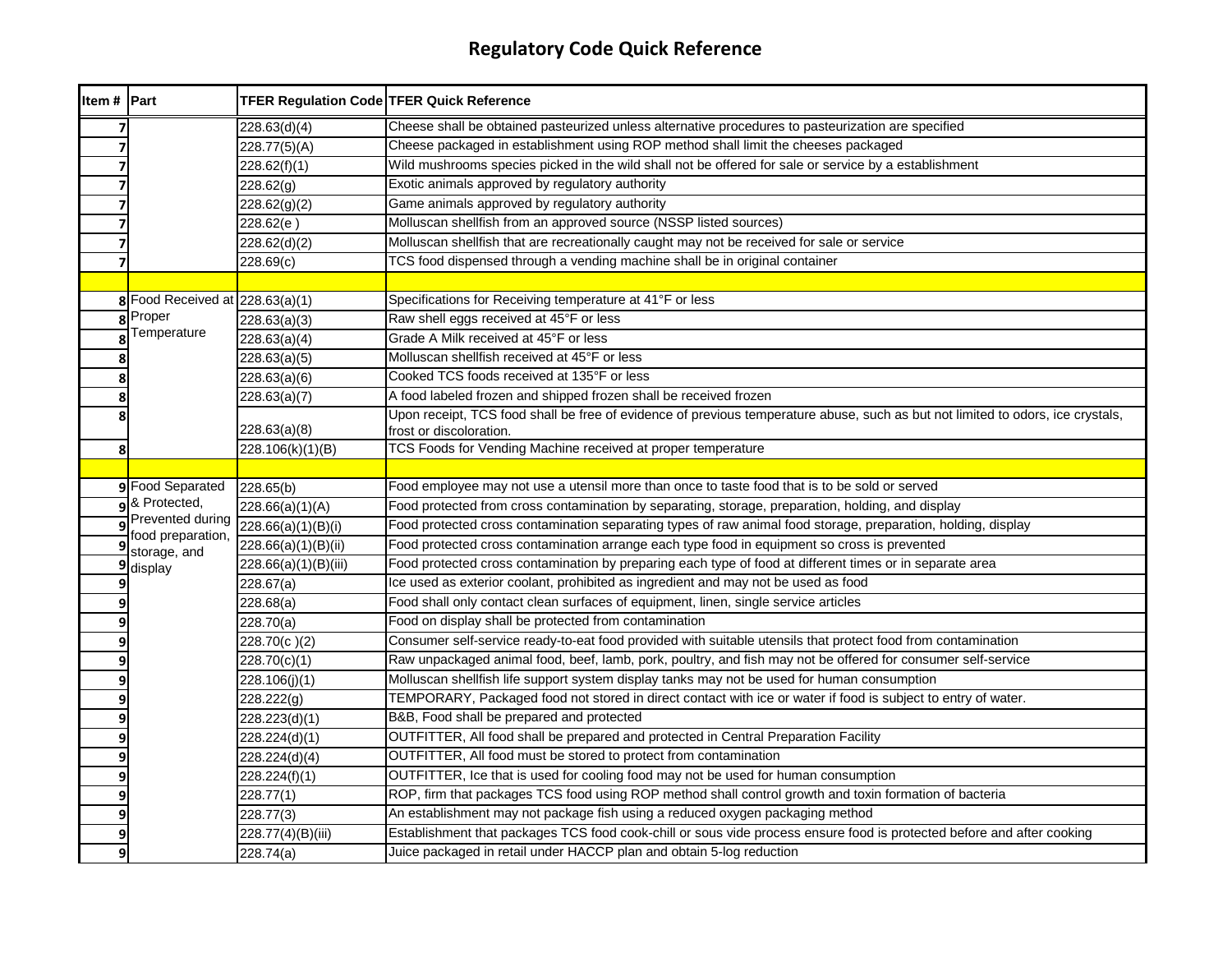| Item # Part    |                                  | <b>TFER Regulation Code TFER Quick Reference</b> |                                                                                                                                 |
|----------------|----------------------------------|--------------------------------------------------|---------------------------------------------------------------------------------------------------------------------------------|
|                |                                  | 228.63(d)(4)                                     | Cheese shall be obtained pasteurized unless alternative procedures to pasteurization are specified                              |
| $\overline{7}$ |                                  | 228.77(5)(A)                                     | Cheese packaged in establishment using ROP method shall limit the cheeses packaged                                              |
|                |                                  | 228.62(f)(1)                                     | Wild mushrooms species picked in the wild shall not be offered for sale or service by a establishment                           |
|                |                                  | $\overline{228.62(g)}$                           | Exotic animals approved by regulatory authority                                                                                 |
|                |                                  | 228.62(g)(2)                                     | Game animals approved by regulatory authority                                                                                   |
|                |                                  | 228.62(e)                                        | Molluscan shellfish from an approved source (NSSP listed sources)                                                               |
| 7              |                                  | 228.62(d)(2)                                     | Molluscan shellfish that are recreationally caught may not be received for sale or service                                      |
| 7              |                                  | 228.69(c)                                        | TCS food dispensed through a vending machine shall be in original container                                                     |
|                |                                  |                                                  |                                                                                                                                 |
|                | 8 Food Received at 228.63(a)(1)  |                                                  | Specifications for Receiving temperature at 41°F or less                                                                        |
| 8              | Proper                           | 228.63(a)(3)                                     | Raw shell eggs received at 45°F or less                                                                                         |
|                | Temperature                      | 228.63(a)(4)                                     | Grade A Milk received at 45°F or less                                                                                           |
| 8              |                                  | 228.63(a)(5)                                     | Molluscan shellfish received at 45°F or less                                                                                    |
|                |                                  | 228.63(a)(6)                                     | Cooked TCS foods received at 135°F or less                                                                                      |
|                |                                  | 228.63(a)(7)                                     | A food labeled frozen and shipped frozen shall be received frozen                                                               |
| 8              |                                  |                                                  | Upon receipt, TCS food shall be free of evidence of previous temperature abuse, such as but not limited to odors, ice crystals, |
|                |                                  | 228.63(a)(8)                                     | frost or discoloration.                                                                                                         |
| 8              |                                  | 228.106(k)(1)(B)                                 | TCS Foods for Vending Machine received at proper temperature                                                                    |
|                |                                  |                                                  |                                                                                                                                 |
|                | 9 Food Separated                 | 228.65(b)                                        | Food employee may not use a utensil more than once to taste food that is to be sold or served                                   |
|                | 8 Protected,<br>Prevented during | 228.66(a)(1)(A)                                  | Food protected from cross contamination by separating, storage, preparation, holding, and display                               |
| q              | food preparation,                | 228.66(a)(1)(B)(i)                               | Food protected cross contamination separating types of raw animal food storage, preparation, holding, display                   |
| 9              | storage, and                     | 228.66(a)(1)(B)(ii)                              | Food protected cross contamination arrange each type food in equipment so cross is prevented                                    |
| 9              | display                          | 228.66(a)(1)(B)(iii)                             | Food protected cross contamination by preparing each type of food at different times or in separate area                        |
| q              |                                  | 228.67(a)                                        | Ice used as exterior coolant, prohibited as ingredient and may not be used as food                                              |
|                |                                  | 228.68(a)                                        | Food shall only contact clean surfaces of equipment, linen, single service articles                                             |
| 9              |                                  | 228.70(a)                                        | Food on display shall be protected from contamination                                                                           |
| 9              |                                  | 228.70(c)(2)                                     | Consumer self-service ready-to-eat food provided with suitable utensils that protect food from contamination                    |
| 9              |                                  | 228.70(c)(1)                                     | Raw unpackaged animal food, beef, lamb, pork, poultry, and fish may not be offered for consumer self-service                    |
| 9              |                                  | 228.106(j)(1)                                    | Molluscan shellfish life support system display tanks may not be used for human consumption                                     |
| 9              |                                  | 228.222(g)                                       | TEMPORARY, Packaged food not stored in direct contact with ice or water if food is subject to entry of water.                   |
| 9              |                                  | 228.223(d)(1)                                    | B&B, Food shall be prepared and protected                                                                                       |
| 9              |                                  | 228.224(d)(1)                                    | OUTFITTER, All food shall be prepared and protected in Central Preparation Facility                                             |
| 9              |                                  | 228.224(d)(4)                                    | OUTFITTER, All food must be stored to protect from contamination                                                                |
| 9              |                                  | 228.224(f)(1)                                    | OUTFITTER, Ice that is used for cooling food may not be used for human consumption                                              |
|                |                                  | 228.77(1)                                        | ROP, firm that packages TCS food using ROP method shall control growth and toxin formation of bacteria                          |
| 9              |                                  | 228.77(3)                                        | An establishment may not package fish using a reduced oxygen packaging method                                                   |
|                |                                  | 228.77(4)(B)(iii)                                | Establishment that packages TCS food cook-chill or sous vide process ensure food is protected before and after cooking          |
| 9              |                                  | 228.74(a)                                        | Juice packaged in retail under HACCP plan and obtain 5-log reduction                                                            |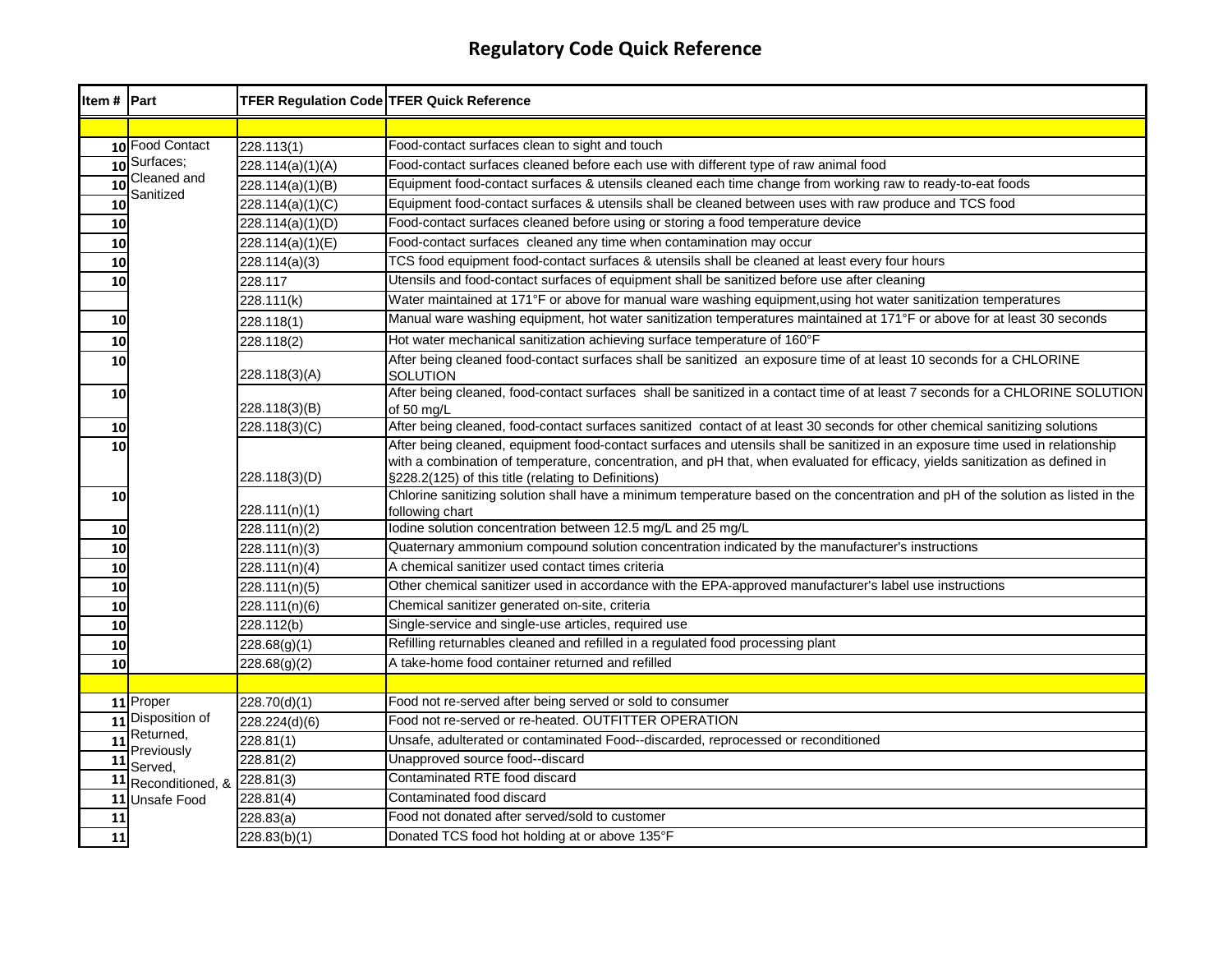| Item # Part     |                       | TFER Regulation Code TFER Quick Reference |                                                                                                                                                                                                                                                                |
|-----------------|-----------------------|-------------------------------------------|----------------------------------------------------------------------------------------------------------------------------------------------------------------------------------------------------------------------------------------------------------------|
|                 |                       |                                           |                                                                                                                                                                                                                                                                |
|                 | 10 Food Contact       | 228.113(1)                                | Food-contact surfaces clean to sight and touch                                                                                                                                                                                                                 |
|                 | 10 Surfaces;          | 228.114(a)(1)(A)                          | Food-contact surfaces cleaned before each use with different type of raw animal food                                                                                                                                                                           |
| $\overline{10}$ | Cleaned and           | 228.114(a)(1)(B)                          | Equipment food-contact surfaces & utensils cleaned each time change from working raw to ready-to-eat foods                                                                                                                                                     |
| 10              | Sanitized             | 228.114(a)(1)(C)                          | Equipment food-contact surfaces & utensils shall be cleaned between uses with raw produce and TCS food                                                                                                                                                         |
| 10              |                       | 228.114(a)(1)(D)                          | Food-contact surfaces cleaned before using or storing a food temperature device                                                                                                                                                                                |
| 10              |                       | $\sqrt{228.114(a)(1)(E)}$                 | Food-contact surfaces cleaned any time when contamination may occur                                                                                                                                                                                            |
| 10              |                       | 228.114(a)(3)                             | TCS food equipment food-contact surfaces & utensils shall be cleaned at least every four hours                                                                                                                                                                 |
| 10              |                       | 228.117                                   | Utensils and food-contact surfaces of equipment shall be sanitized before use after cleaning                                                                                                                                                                   |
|                 |                       | 228.111(k)                                | Water maintained at 171°F or above for manual ware washing equipment, using hot water sanitization temperatures                                                                                                                                                |
| 10              |                       | 228.118(1)                                | Manual ware washing equipment, hot water sanitization temperatures maintained at 171°F or above for at least 30 seconds                                                                                                                                        |
| 10              |                       | 228.118(2)                                | Hot water mechanical sanitization achieving surface temperature of 160°F                                                                                                                                                                                       |
| 10              |                       | 228.118(3)(A)                             | After being cleaned food-contact surfaces shall be sanitized an exposure time of at least 10 seconds for a CHLORINE<br><b>SOLUTION</b>                                                                                                                         |
| 10              |                       | 228.118(3)(B)                             | After being cleaned, food-contact surfaces shall be sanitized in a contact time of at least 7 seconds for a CHLORINE SOLUTION<br>of 50 mg/L                                                                                                                    |
| 10              |                       | 228.118(3)(C)                             | After being cleaned, food-contact surfaces sanitized contact of at least 30 seconds for other chemical sanitizing solutions                                                                                                                                    |
| 10              |                       |                                           | After being cleaned, equipment food-contact surfaces and utensils shall be sanitized in an exposure time used in relationship<br>with a combination of temperature, concentration, and pH that, when evaluated for efficacy, yields sanitization as defined in |
|                 |                       | 228.118(3)(D)                             | §228.2(125) of this title (relating to Definitions)                                                                                                                                                                                                            |
| 10              |                       | 228.111(n)(1)                             | Chlorine sanitizing solution shall have a minimum temperature based on the concentration and pH of the solution as listed in the<br>following chart                                                                                                            |
| 10              |                       | 228.111(n)(2)                             | lodine solution concentration between 12.5 mg/L and 25 mg/L                                                                                                                                                                                                    |
| 10              |                       | 228.111(n)(3)                             | Quaternary ammonium compound solution concentration indicated by the manufacturer's instructions                                                                                                                                                               |
| 10              |                       | 228.111(n)(4)                             | A chemical sanitizer used contact times criteria                                                                                                                                                                                                               |
| 10              |                       | 228.111(n)(5)                             | Other chemical sanitizer used in accordance with the EPA-approved manufacturer's label use instructions                                                                                                                                                        |
| 10              |                       | 228.111(n)(6)                             | Chemical sanitizer generated on-site, criteria                                                                                                                                                                                                                 |
| 10              |                       | 228.112(b)                                | Single-service and single-use articles, required use                                                                                                                                                                                                           |
| 10              |                       | 228.68(g)(1)                              | Refilling returnables cleaned and refilled in a regulated food processing plant                                                                                                                                                                                |
| 10              |                       | 228.68(g)(2)                              | A take-home food container returned and refilled                                                                                                                                                                                                               |
|                 |                       |                                           |                                                                                                                                                                                                                                                                |
|                 | 11 Proper             | 228.70(d)(1)                              | Food not re-served after being served or sold to consumer                                                                                                                                                                                                      |
|                 | 11 Disposition of     | 228.224(d)(6)                             | Food not re-served or re-heated. OUTFITTER OPERATION                                                                                                                                                                                                           |
| 11              | Returned,             | 228.81(1)                                 | Unsafe, adulterated or contaminated Food--discarded, reprocessed or reconditioned                                                                                                                                                                              |
| 11              | Previously<br>Served, | 228.81(2)                                 | Unapproved source food--discard                                                                                                                                                                                                                                |
| 11              | Reconditioned, &      | 228.81(3)                                 | Contaminated RTE food discard                                                                                                                                                                                                                                  |
| 11              | Unsafe Food           | 228.81(4)                                 | Contaminated food discard                                                                                                                                                                                                                                      |
| 11              |                       | 228.83(a)                                 | Food not donated after served/sold to customer                                                                                                                                                                                                                 |
| 11              |                       | 228.83(b)(1)                              | Donated TCS food hot holding at or above 135°F                                                                                                                                                                                                                 |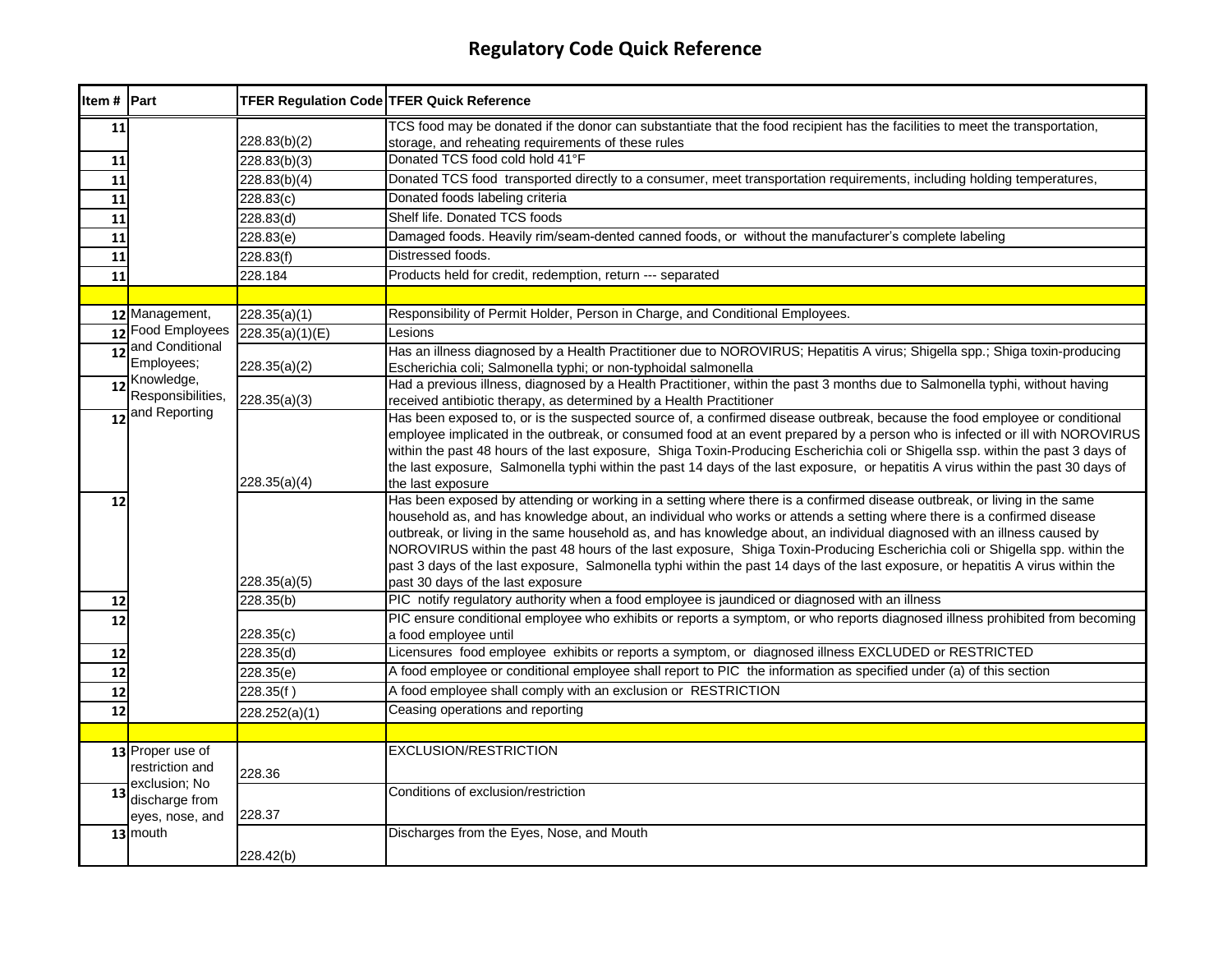| Item # Part     |                                 |                 | <b>TFER Regulation Code TFER Quick Reference</b>                                                                                                                                                                                                                      |
|-----------------|---------------------------------|-----------------|-----------------------------------------------------------------------------------------------------------------------------------------------------------------------------------------------------------------------------------------------------------------------|
| 11              |                                 |                 | TCS food may be donated if the donor can substantiate that the food recipient has the facilities to meet the transportation,                                                                                                                                          |
|                 |                                 | 228.83(b)(2)    | storage, and reheating requirements of these rules                                                                                                                                                                                                                    |
| 11              |                                 | 228.83(b)(3)    | Donated TCS food cold hold 41°F                                                                                                                                                                                                                                       |
| 11              |                                 | 228.83(b)(4)    | Donated TCS food transported directly to a consumer, meet transportation requirements, including holding temperatures,                                                                                                                                                |
| 11              |                                 | 228.83(c)       | Donated foods labeling criteria                                                                                                                                                                                                                                       |
| 11              |                                 | 228.83(d)       | Shelf life. Donated TCS foods                                                                                                                                                                                                                                         |
| 11              |                                 | 228.83(e)       | Damaged foods. Heavily rim/seam-dented canned foods, or without the manufacturer's complete labeling                                                                                                                                                                  |
| 11              |                                 | 228.83(f)       | Distressed foods.                                                                                                                                                                                                                                                     |
| 11              |                                 | 228.184         | Products held for credit, redemption, return --- separated                                                                                                                                                                                                            |
|                 |                                 |                 |                                                                                                                                                                                                                                                                       |
|                 | 12 Management,                  | 228.35(a)(1)    | Responsibility of Permit Holder, Person in Charge, and Conditional Employees.                                                                                                                                                                                         |
|                 | 12 Food Employees               | 228.35(a)(1)(E) | Lesions                                                                                                                                                                                                                                                               |
| $\overline{12}$ | and Conditional                 |                 | Has an illness diagnosed by a Health Practitioner due to NOROVIRUS; Hepatitis A virus; Shigella spp.; Shiga toxin-producing                                                                                                                                           |
|                 | Employees;                      | 228.35(a)(2)    | Escherichia coli; Salmonella typhi; or non-typhoidal salmonella                                                                                                                                                                                                       |
| 12              | Knowledge,<br>Responsibilities, |                 | Had a previous illness, diagnosed by a Health Practitioner, within the past 3 months due to Salmonella typhi, without having                                                                                                                                          |
|                 | and Reporting                   | 228.35(a)(3)    | received antibiotic therapy, as determined by a Health Practitioner                                                                                                                                                                                                   |
| 12              |                                 |                 | Has been exposed to, or is the suspected source of, a confirmed disease outbreak, because the food employee or conditional                                                                                                                                            |
|                 |                                 |                 | employee implicated in the outbreak, or consumed food at an event prepared by a person who is infected or ill with NOROVIRUS                                                                                                                                          |
|                 |                                 |                 | within the past 48 hours of the last exposure, Shiga Toxin-Producing Escherichia coli or Shigella ssp. within the past 3 days of<br>the last exposure, Salmonella typhi within the past 14 days of the last exposure, or hepatitis A virus within the past 30 days of |
|                 |                                 | 228.35(a)(4)    | the last exposure                                                                                                                                                                                                                                                     |
| 12              |                                 |                 | Has been exposed by attending or working in a setting where there is a confirmed disease outbreak, or living in the same                                                                                                                                              |
|                 |                                 |                 | household as, and has knowledge about, an individual who works or attends a setting where there is a confirmed disease                                                                                                                                                |
|                 |                                 |                 | outbreak, or living in the same household as, and has knowledge about, an individual diagnosed with an illness caused by                                                                                                                                              |
|                 |                                 |                 | NOROVIRUS within the past 48 hours of the last exposure, Shiga Toxin-Producing Escherichia coli or Shigella spp. within the                                                                                                                                           |
|                 |                                 |                 | past 3 days of the last exposure, Salmonella typhi within the past 14 days of the last exposure, or hepatitis A virus within the                                                                                                                                      |
|                 |                                 | 228.35(a)(5)    | past 30 days of the last exposure                                                                                                                                                                                                                                     |
| 12              |                                 | 228.35(b)       | PIC notify regulatory authority when a food employee is jaundiced or diagnosed with an illness                                                                                                                                                                        |
| 12              |                                 |                 | PIC ensure conditional employee who exhibits or reports a symptom, or who reports diagnosed illness prohibited from becoming                                                                                                                                          |
|                 |                                 | 228.35(c)       | a food employee until                                                                                                                                                                                                                                                 |
| 12              |                                 | 228.35(d)       | Licensures food employee exhibits or reports a symptom, or diagnosed illness EXCLUDED or RESTRICTED                                                                                                                                                                   |
| 12              |                                 | 228.35(e)       | A food employee or conditional employee shall report to PIC the information as specified under (a) of this section                                                                                                                                                    |
| 12              |                                 | 228.35(f)       | A food employee shall comply with an exclusion or RESTRICTION                                                                                                                                                                                                         |
| 12              |                                 | 228.252(a)(1)   | Ceasing operations and reporting                                                                                                                                                                                                                                      |
|                 |                                 |                 |                                                                                                                                                                                                                                                                       |
|                 | 13 Proper use of                |                 | <b>EXCLUSION/RESTRICTION</b>                                                                                                                                                                                                                                          |
|                 | restriction and                 | 228.36          |                                                                                                                                                                                                                                                                       |
| 13              | exclusion; No                   |                 | Conditions of exclusion/restriction                                                                                                                                                                                                                                   |
|                 | discharge from                  |                 |                                                                                                                                                                                                                                                                       |
|                 | eyes, nose, and                 | 228.37          |                                                                                                                                                                                                                                                                       |
|                 | 13 mouth                        |                 | Discharges from the Eyes, Nose, and Mouth                                                                                                                                                                                                                             |
|                 |                                 | 228.42(b)       |                                                                                                                                                                                                                                                                       |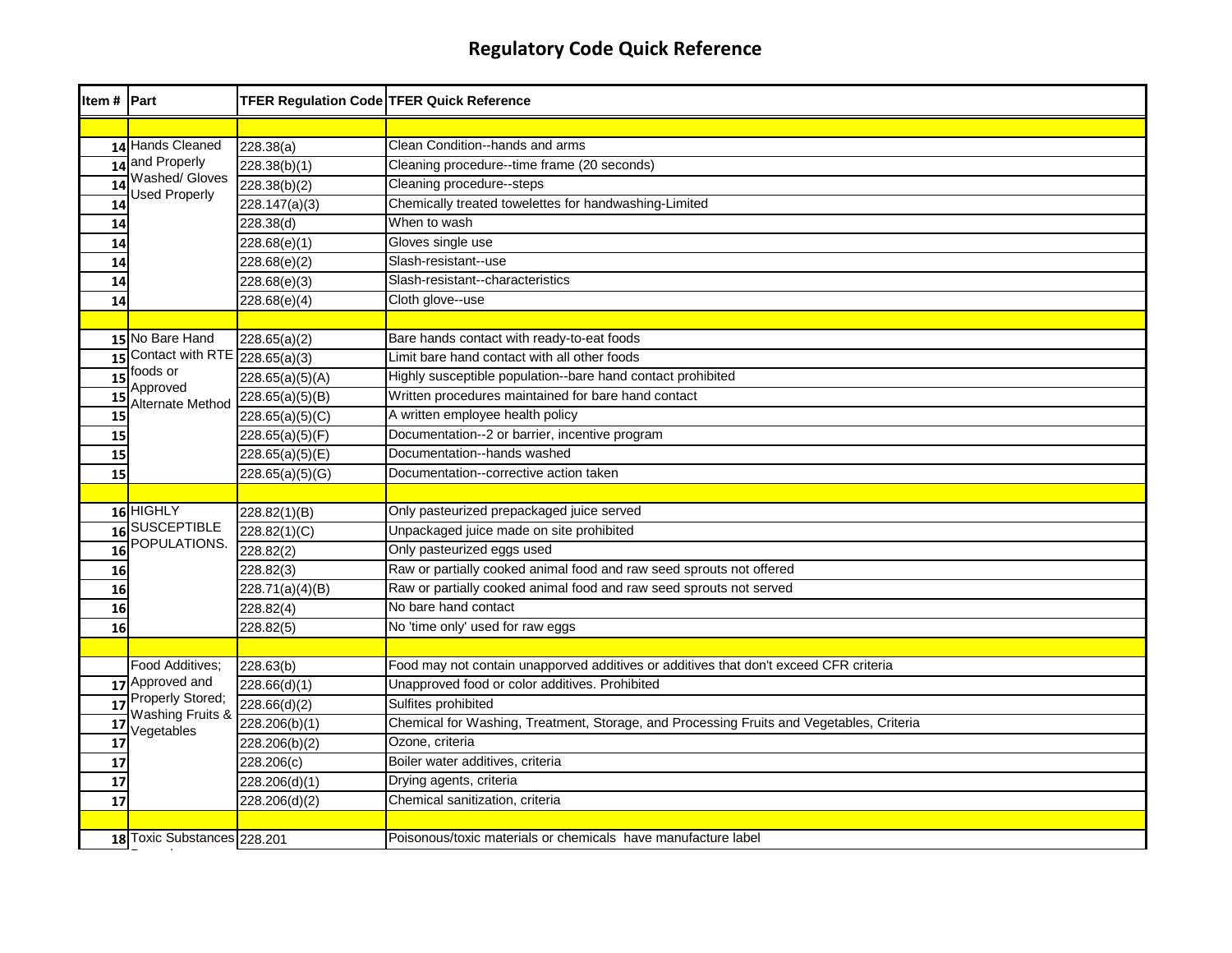| Item # Part |                                         | <b>TFER Regulation Code TFER Quick Reference</b> |                                                                                          |
|-------------|-----------------------------------------|--------------------------------------------------|------------------------------------------------------------------------------------------|
|             |                                         |                                                  |                                                                                          |
|             | 14 Hands Cleaned                        | 228.38(a)                                        | Clean Condition--hands and arms                                                          |
|             | 14 and Properly                         | 228.38(b)(1)                                     | Cleaning procedure--time frame (20 seconds)                                              |
| 14          | Washed/ Gloves<br><b>Used Properly</b>  | 228.38(b)(2)                                     | Cleaning procedure--steps                                                                |
| 14          |                                         | $\overline{228.147(a)(3)}$                       | Chemically treated towelettes for handwashing-Limited                                    |
| 14          |                                         | 228.38(d)                                        | When to wash                                                                             |
| 14          |                                         | 228.68(e)(1)                                     | Gloves single use                                                                        |
| 14          |                                         | 228.68(e)(2)                                     | Slash-resistant--use                                                                     |
| 14          |                                         | 228.68(e)(3)                                     | Slash-resistant--characteristics                                                         |
| 14          |                                         | 228.68(e)(4)                                     | Cloth glove--use                                                                         |
|             |                                         |                                                  |                                                                                          |
|             | 15 No Bare Hand                         | 228.65(a)(2)                                     | Bare hands contact with ready-to-eat foods                                               |
| 15          | Contact with RTE $\boxed{228.65(a)(3)}$ |                                                  | Limit bare hand contact with all other foods                                             |
| 15          | foods or                                | 228.65(a)(5)(A)                                  | Highly susceptible population--bare hand contact prohibited                              |
| 15          | Approved<br>Alternate Method            | 228.65(a)(5)(B)                                  | Written procedures maintained for bare hand contact                                      |
| 15          |                                         | 228.65(a)(5)(C)                                  | A written employee health policy                                                         |
| 15          |                                         | 228.65(a)(5)(F)                                  | Documentation--2 or barrier, incentive program                                           |
| 15          |                                         | 228.65(a)(5)(E)                                  | Documentation--hands washed                                                              |
| 15          |                                         | 228.65(a)(5)(G)                                  | Documentation--corrective action taken                                                   |
|             |                                         |                                                  |                                                                                          |
|             | $16$ HIGHLY                             | 228.82(1)(B)                                     | Only pasteurized prepackaged juice served                                                |
| 16          | <b>SUSCEPTIBLE</b>                      | 228.82(1)(C)                                     | Unpackaged juice made on site prohibited                                                 |
| 16          | POPULATIONS.                            | 228.82(2)                                        | Only pasteurized eggs used                                                               |
| 16          |                                         | 228.82(3)                                        | Raw or partially cooked animal food and raw seed sprouts not offered                     |
| 16          |                                         | 228.71(a)(4)(B)                                  | Raw or partially cooked animal food and raw seed sprouts not served                      |
| 16          |                                         | 228.82(4)                                        | No bare hand contact                                                                     |
| 16          |                                         | 228.82(5)                                        | No 'time only' used for raw eggs                                                         |
|             |                                         |                                                  |                                                                                          |
|             | Food Additives:                         | 228.63(b)                                        | Food may not contain unapporved additives or additives that don't exceed CFR criteria    |
|             | 17 Approved and                         | 228.66(d)(1)                                     | Unapproved food or color additives. Prohibited                                           |
| 17          | Properly Stored;<br>Washing Fruits &    | 228.66(d)(2)                                     | Sulfites prohibited                                                                      |
| 17          | Vegetables                              | 228.206(b)(1)                                    | Chemical for Washing, Treatment, Storage, and Processing Fruits and Vegetables, Criteria |
| 17          |                                         | 228.206(b)(2)                                    | Ozone, criteria                                                                          |
| 17          |                                         | 228.206(c)                                       | Boiler water additives, criteria                                                         |
| 17          |                                         | 228.206(d)(1)                                    | Drying agents, criteria                                                                  |
| 17          |                                         | 228.206(d)(2)                                    | Chemical sanitization, criteria                                                          |
|             |                                         |                                                  |                                                                                          |
|             | 18 Toxic Substances 228.201             |                                                  | Poisonous/toxic materials or chemicals have manufacture label                            |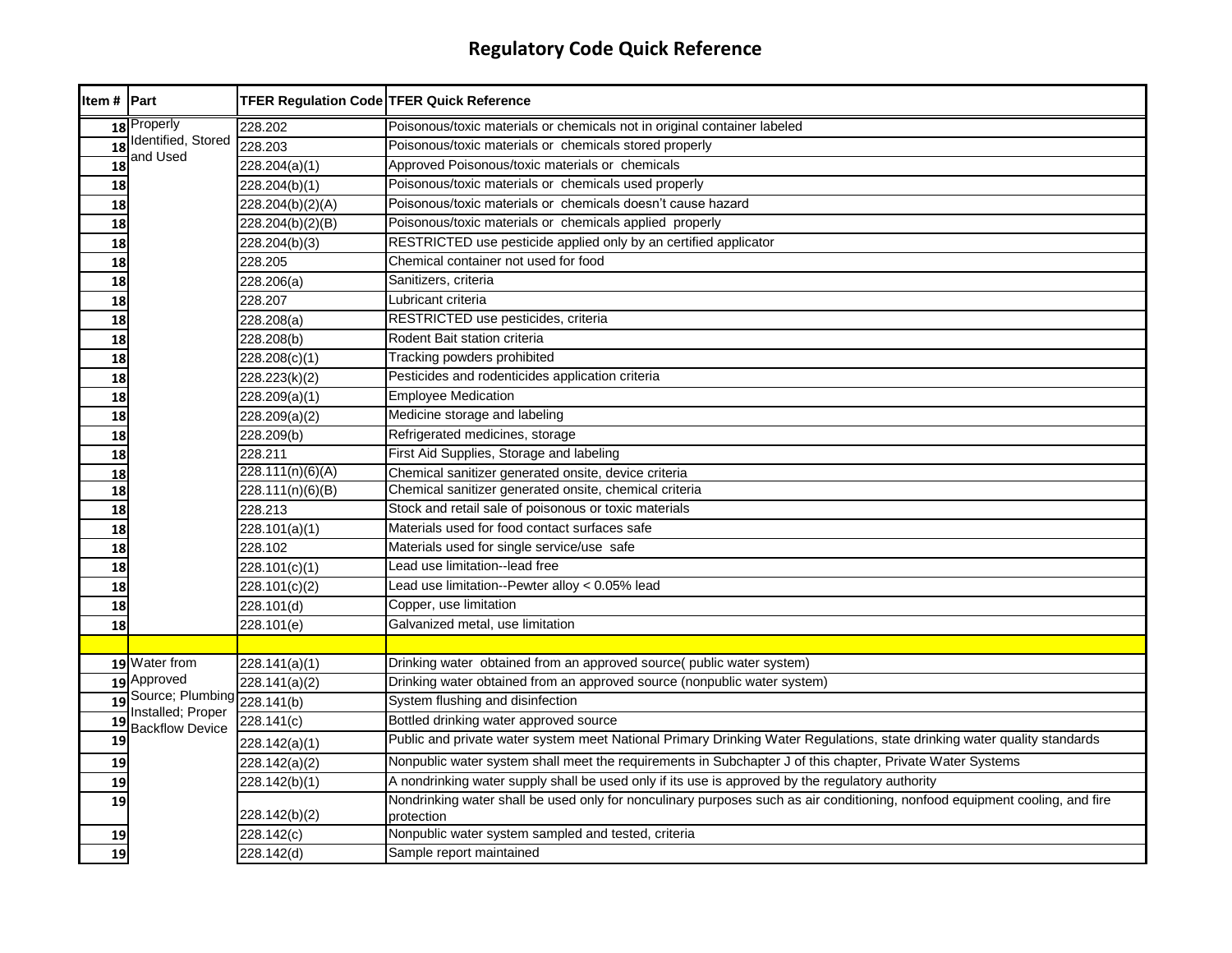| Item # Part     |                                                  | <b>TFER Regulation Code TFER Quick Reference</b> |                                                                                                                             |
|-----------------|--------------------------------------------------|--------------------------------------------------|-----------------------------------------------------------------------------------------------------------------------------|
|                 | 18 Properly                                      | 228.202                                          | Poisonous/toxic materials or chemicals not in original container labeled                                                    |
| $\overline{18}$ | Identified, Stored                               | 228.203                                          | Poisonous/toxic materials or chemicals stored properly                                                                      |
| $\overline{18}$ | and Used                                         | 228.204(a)(1)                                    | Approved Poisonous/toxic materials or chemicals                                                                             |
| 18              |                                                  | 228.204(b)(1)                                    | Poisonous/toxic materials or chemicals used properly                                                                        |
| 18              |                                                  | 228.204(b)(2)(A)                                 | Poisonous/toxic materials or chemicals doesn't cause hazard                                                                 |
| 18              |                                                  | 228.204(b)(2)(B)                                 | Poisonous/toxic materials or chemicals applied properly                                                                     |
| 18              |                                                  | 228.204(b)(3)                                    | RESTRICTED use pesticide applied only by an certified applicator                                                            |
| 18              |                                                  | 228.205                                          | Chemical container not used for food                                                                                        |
| 18              |                                                  | 228.206(a)                                       | Sanitizers, criteria                                                                                                        |
| 18              |                                                  | 228.207                                          | Lubricant criteria                                                                                                          |
| 18              |                                                  | 228.208(a)                                       | RESTRICTED use pesticides, criteria                                                                                         |
| 18              |                                                  | 228.208(b)                                       | Rodent Bait station criteria                                                                                                |
| 18              |                                                  | 228.208(c)(1)                                    | Tracking powders prohibited                                                                                                 |
| 18              |                                                  | 228.223(k)(2)                                    | Pesticides and rodenticides application criteria                                                                            |
| 18              |                                                  | 228.209(a)(1)                                    | <b>Employee Medication</b>                                                                                                  |
| 18              |                                                  | 228.209(a)(2)                                    | Medicine storage and labeling                                                                                               |
| 18              |                                                  | 228.209(b)                                       | Refrigerated medicines, storage                                                                                             |
| 18              |                                                  | 228.211                                          | First Aid Supplies, Storage and labeling                                                                                    |
| 18              |                                                  | 228.111(n)(6)(A)                                 | Chemical sanitizer generated onsite, device criteria                                                                        |
| 18              |                                                  | 228.111(n)(6)(B)                                 | Chemical sanitizer generated onsite, chemical criteria                                                                      |
| 18              |                                                  | 228.213                                          | Stock and retail sale of poisonous or toxic materials                                                                       |
| 18              |                                                  | 228.101(a)(1)                                    | Materials used for food contact surfaces safe                                                                               |
| 18              |                                                  | 228.102                                          | Materials used for single service/use safe                                                                                  |
| 18              |                                                  | 228.101(c)(1)                                    | Lead use limitation--lead free                                                                                              |
| 18              |                                                  | 228.101(c)(2)                                    | Lead use limitation--Pewter alloy < 0.05% lead                                                                              |
| 18              |                                                  | 228.101(d)                                       | Copper, use limitation                                                                                                      |
| 18              |                                                  | 228.101(e)                                       | Galvanized metal, use limitation                                                                                            |
|                 |                                                  |                                                  |                                                                                                                             |
|                 | 19 Water from                                    | 228.141(a)(1)                                    | Drinking water obtained from an approved source( public water system)                                                       |
|                 | 19 Approved                                      | 228.141(a)(2)                                    | Drinking water obtained from an approved source (nonpublic water system)                                                    |
| 19              | Source; Plumbing 228.141(b)<br>Installed; Proper |                                                  | System flushing and disinfection                                                                                            |
| 19              | <b>Backflow Device</b>                           | 228.141(c)                                       | Bottled drinking water approved source                                                                                      |
| 19              |                                                  | 228.142(a)(1)                                    | Public and private water system meet National Primary Drinking Water Regulations, state drinking water quality standards    |
| 19              |                                                  | 228.142(a)(2)                                    | Nonpublic water system shall meet the requirements in Subchapter J of this chapter, Private Water Systems                   |
| 19              |                                                  | 228.142(b)(1)                                    | A nondrinking water supply shall be used only if its use is approved by the regulatory authority                            |
| 19              |                                                  |                                                  | Nondrinking water shall be used only for nonculinary purposes such as air conditioning, nonfood equipment cooling, and fire |
|                 |                                                  | 228.142(b)(2)                                    | protection                                                                                                                  |
| 19              |                                                  | 228.142(c)                                       | Nonpublic water system sampled and tested, criteria                                                                         |
| 19              |                                                  | 228.142(d)                                       | Sample report maintained                                                                                                    |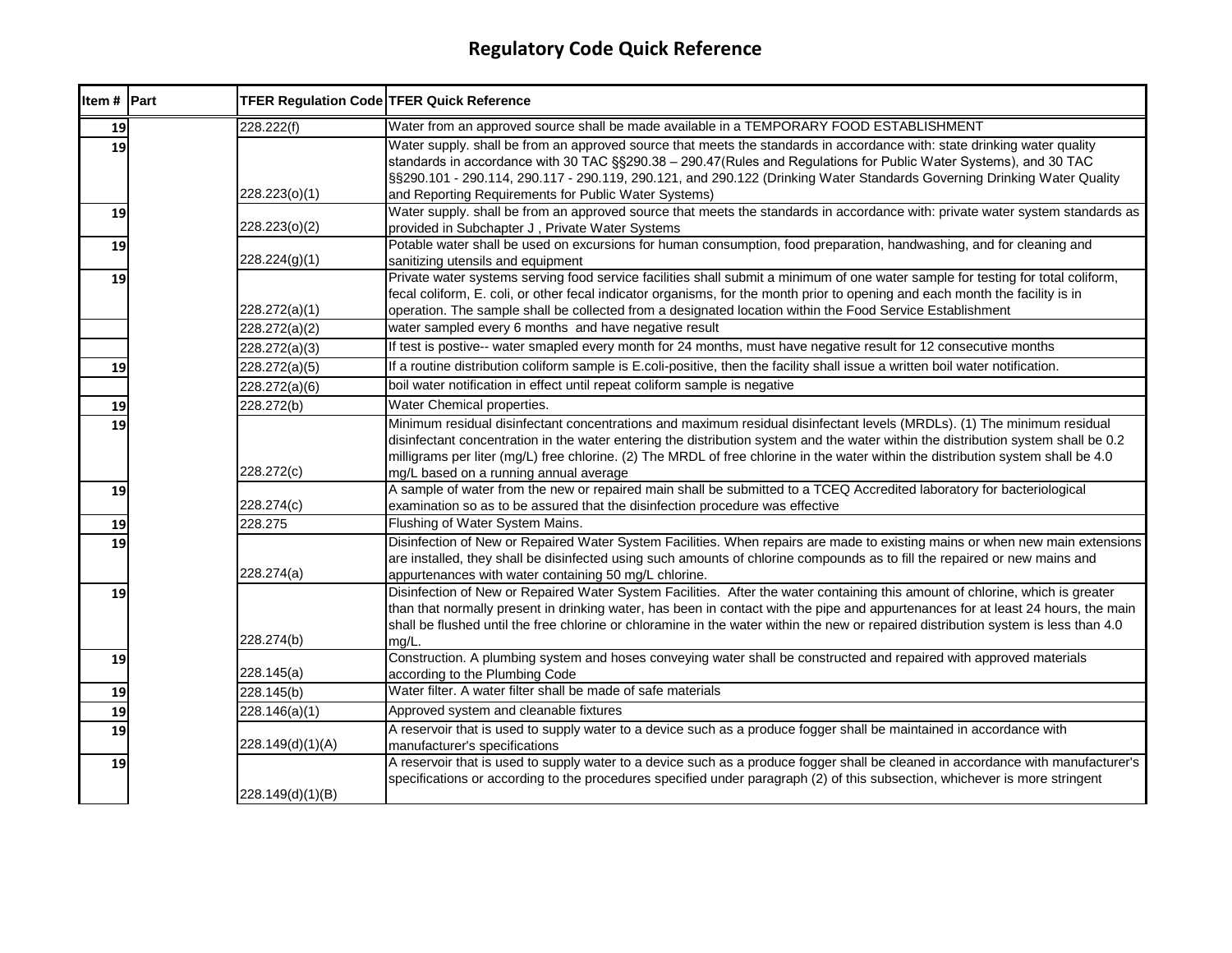| Item # Part | TFER Regulation Code TFER Quick Reference |                                                                                                                                                                                                                                                                                                                                                                                                                                              |
|-------------|-------------------------------------------|----------------------------------------------------------------------------------------------------------------------------------------------------------------------------------------------------------------------------------------------------------------------------------------------------------------------------------------------------------------------------------------------------------------------------------------------|
| 19          | 228.222(f)                                | Water from an approved source shall be made available in a TEMPORARY FOOD ESTABLISHMENT                                                                                                                                                                                                                                                                                                                                                      |
| 19          | 228.223(o)(1)                             | Water supply. shall be from an approved source that meets the standards in accordance with: state drinking water quality<br>standards in accordance with 30 TAC §§290.38 - 290.47(Rules and Regulations for Public Water Systems), and 30 TAC<br>§§290.101 - 290.114, 290.117 - 290.119, 290.121, and 290.122 (Drinking Water Standards Governing Drinking Water Quality<br>and Reporting Requirements for Public Water Systems)             |
| 19          | 228.223(o)(2)                             | Water supply. shall be from an approved source that meets the standards in accordance with: private water system standards as<br>provided in Subchapter J, Private Water Systems                                                                                                                                                                                                                                                             |
| 19          | 228.224(g)(1)                             | Potable water shall be used on excursions for human consumption, food preparation, handwashing, and for cleaning and<br>sanitizing utensils and equipment                                                                                                                                                                                                                                                                                    |
| 19          | 228.272(a)(1)                             | Private water systems serving food service facilities shall submit a minimum of one water sample for testing for total coliform,<br>fecal coliform, E. coli, or other fecal indicator organisms, for the month prior to opening and each month the facility is in<br>operation. The sample shall be collected from a designated location within the Food Service Establishment                                                               |
|             | 228.272(a)(2)                             | water sampled every 6 months and have negative result                                                                                                                                                                                                                                                                                                                                                                                        |
|             | 228.272(a)(3)                             | If test is postive-- water smapled every month for 24 months, must have negative result for 12 consecutive months                                                                                                                                                                                                                                                                                                                            |
| 19          | 228.272(a)(5)                             | If a routine distribution coliform sample is E.coli-positive, then the facility shall issue a written boil water notification.                                                                                                                                                                                                                                                                                                               |
|             | 228.272(a)(6)                             | boil water notification in effect until repeat coliform sample is negative                                                                                                                                                                                                                                                                                                                                                                   |
| 19          | 228.272(b)                                | Water Chemical properties.                                                                                                                                                                                                                                                                                                                                                                                                                   |
| 19          | 228.272(c)                                | Minimum residual disinfectant concentrations and maximum residual disinfectant levels (MRDLs). (1) The minimum residual<br>disinfectant concentration in the water entering the distribution system and the water within the distribution system shall be 0.2<br>milligrams per liter (mg/L) free chlorine. (2) The MRDL of free chlorine in the water within the distribution system shall be 4.0<br>mg/L based on a running annual average |
| 19          | 228.274(c)                                | A sample of water from the new or repaired main shall be submitted to a TCEQ Accredited laboratory for bacteriological<br>examination so as to be assured that the disinfection procedure was effective                                                                                                                                                                                                                                      |
| 19          | 228.275                                   | Flushing of Water System Mains.                                                                                                                                                                                                                                                                                                                                                                                                              |
| 19          | 228.274(a)                                | Disinfection of New or Repaired Water System Facilities. When repairs are made to existing mains or when new main extensions<br>are installed, they shall be disinfected using such amounts of chlorine compounds as to fill the repaired or new mains and<br>appurtenances with water containing 50 mg/L chlorine.                                                                                                                          |
| 19          | 228.274(b)                                | Disinfection of New or Repaired Water System Facilities. After the water containing this amount of chlorine, which is greater<br>than that normally present in drinking water, has been in contact with the pipe and appurtenances for at least 24 hours, the main<br>shall be flushed until the free chlorine or chloramine in the water within the new or repaired distribution system is less than 4.0<br>mg/L.                           |
| 19          | 228.145(a)                                | Construction. A plumbing system and hoses conveying water shall be constructed and repaired with approved materials<br>according to the Plumbing Code                                                                                                                                                                                                                                                                                        |
| 19          | 228.145(b)                                | Water filter. A water filter shall be made of safe materials                                                                                                                                                                                                                                                                                                                                                                                 |
| 19          | 228.146(a)(1)                             | Approved system and cleanable fixtures                                                                                                                                                                                                                                                                                                                                                                                                       |
| 19          | 228.149(d)(1)(A)                          | A reservoir that is used to supply water to a device such as a produce fogger shall be maintained in accordance with<br>manufacturer's specifications                                                                                                                                                                                                                                                                                        |
| 19          | 228.149(d)(1)(B)                          | A reservoir that is used to supply water to a device such as a produce fogger shall be cleaned in accordance with manufacturer's<br>specifications or according to the procedures specified under paragraph (2) of this subsection, whichever is more stringent                                                                                                                                                                              |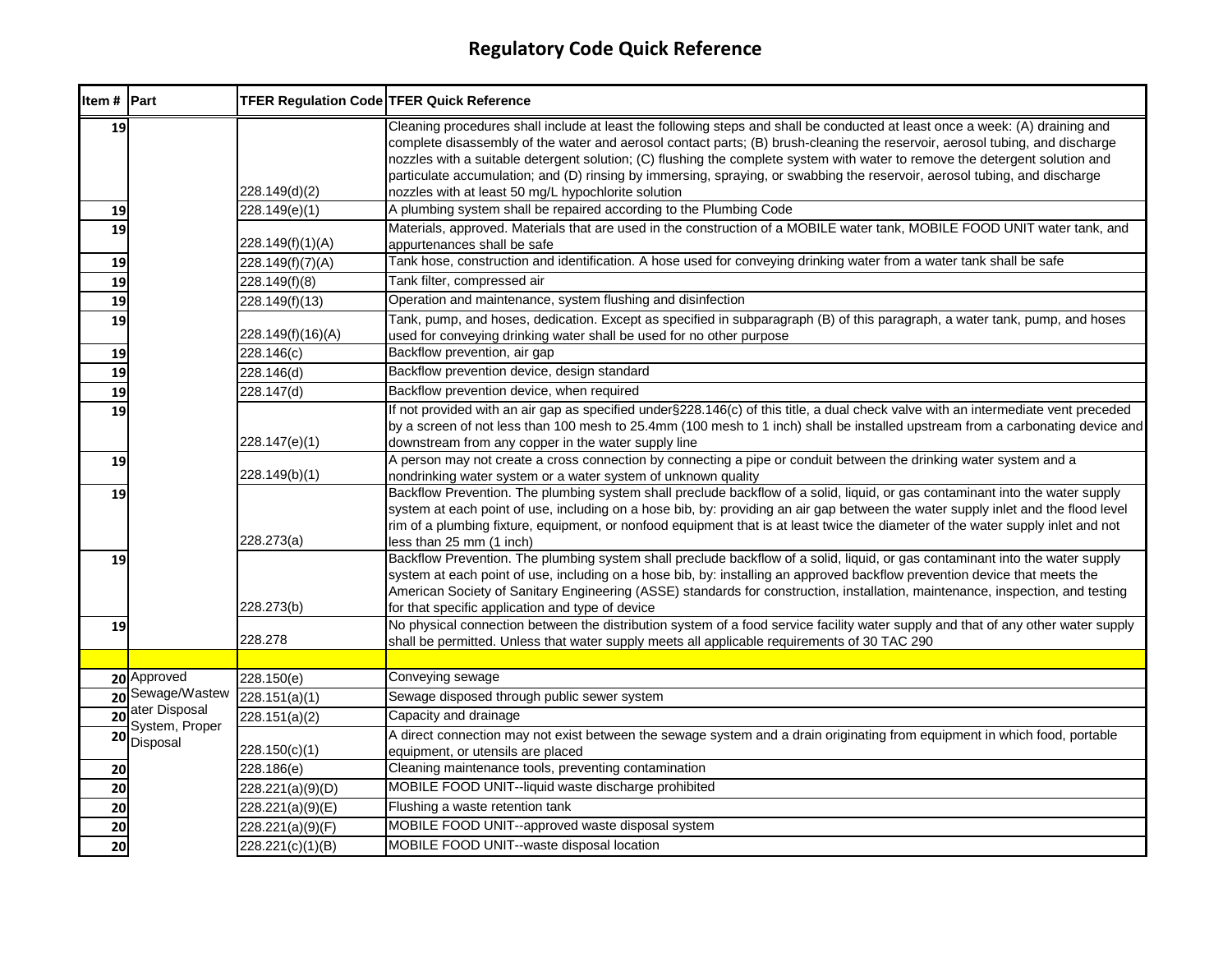| Item # Part     |                                 | <b>TFER Regulation Code TFER Quick Reference</b> |                                                                                                                                                                                                                                                                                                                                                                                                                                                                                                                                                                                   |
|-----------------|---------------------------------|--------------------------------------------------|-----------------------------------------------------------------------------------------------------------------------------------------------------------------------------------------------------------------------------------------------------------------------------------------------------------------------------------------------------------------------------------------------------------------------------------------------------------------------------------------------------------------------------------------------------------------------------------|
| 19              |                                 | 228.149(d)(2)                                    | Cleaning procedures shall include at least the following steps and shall be conducted at least once a week: (A) draining and<br>complete disassembly of the water and aerosol contact parts; (B) brush-cleaning the reservoir, aerosol tubing, and discharge<br>nozzles with a suitable detergent solution; (C) flushing the complete system with water to remove the detergent solution and<br>particulate accumulation; and (D) rinsing by immersing, spraying, or swabbing the reservoir, aerosol tubing, and discharge<br>nozzles with at least 50 mg/L hypochlorite solution |
| 19              |                                 | 228.149(e)(1)                                    | A plumbing system shall be repaired according to the Plumbing Code                                                                                                                                                                                                                                                                                                                                                                                                                                                                                                                |
| 19              |                                 | 228.149(f)(1)(A)                                 | Materials, approved. Materials that are used in the construction of a MOBILE water tank, MOBILE FOOD UNIT water tank, and<br>appurtenances shall be safe                                                                                                                                                                                                                                                                                                                                                                                                                          |
| 19              |                                 | 228.149(f)(7)(A)                                 | Tank hose, construction and identification. A hose used for conveying drinking water from a water tank shall be safe                                                                                                                                                                                                                                                                                                                                                                                                                                                              |
| 19              |                                 | 228.149(f)(8)                                    | Tank filter, compressed air                                                                                                                                                                                                                                                                                                                                                                                                                                                                                                                                                       |
| 19              |                                 | 228.149(f)(13)                                   | Operation and maintenance, system flushing and disinfection                                                                                                                                                                                                                                                                                                                                                                                                                                                                                                                       |
| 19              |                                 | 228.149(f)(16)(A)                                | Tank, pump, and hoses, dedication. Except as specified in subparagraph (B) of this paragraph, a water tank, pump, and hoses<br>used for conveying drinking water shall be used for no other purpose                                                                                                                                                                                                                                                                                                                                                                               |
| 19              |                                 | 228.146(c)                                       | Backflow prevention, air gap                                                                                                                                                                                                                                                                                                                                                                                                                                                                                                                                                      |
| 19              |                                 | 228.146(d)                                       | Backflow prevention device, design standard                                                                                                                                                                                                                                                                                                                                                                                                                                                                                                                                       |
| 19              |                                 | 228.147(d)                                       | Backflow prevention device, when required                                                                                                                                                                                                                                                                                                                                                                                                                                                                                                                                         |
| 19              |                                 | 228.147(e)(1)                                    | If not provided with an air gap as specified under §228.146(c) of this title, a dual check valve with an intermediate vent preceded<br>by a screen of not less than 100 mesh to 25.4mm (100 mesh to 1 inch) shall be installed upstream from a carbonating device and<br>downstream from any copper in the water supply line                                                                                                                                                                                                                                                      |
| 19              |                                 | 228.149(b)(1)                                    | A person may not create a cross connection by connecting a pipe or conduit between the drinking water system and a<br>nondrinking water system or a water system of unknown quality                                                                                                                                                                                                                                                                                                                                                                                               |
| 19              |                                 | 228.273(a)                                       | Backflow Prevention. The plumbing system shall preclude backflow of a solid, liquid, or gas contaminant into the water supply<br>system at each point of use, including on a hose bib, by: providing an air gap between the water supply inlet and the flood level<br>rim of a plumbing fixture, equipment, or nonfood equipment that is at least twice the diameter of the water supply inlet and not<br>less than 25 mm (1 inch)                                                                                                                                                |
| 19              |                                 | 228.273(b)                                       | Backflow Prevention. The plumbing system shall preclude backflow of a solid, liquid, or gas contaminant into the water supply<br>system at each point of use, including on a hose bib, by: installing an approved backflow prevention device that meets the<br>American Society of Sanitary Engineering (ASSE) standards for construction, installation, maintenance, inspection, and testing<br>for that specific application and type of device                                                                                                                                 |
| 19              |                                 | 228.278                                          | No physical connection between the distribution system of a food service facility water supply and that of any other water supply<br>shall be permitted. Unless that water supply meets all applicable requirements of 30 TAC 290                                                                                                                                                                                                                                                                                                                                                 |
|                 |                                 |                                                  |                                                                                                                                                                                                                                                                                                                                                                                                                                                                                                                                                                                   |
|                 | 20 Approved                     | 228.150(e)                                       | Conveying sewage                                                                                                                                                                                                                                                                                                                                                                                                                                                                                                                                                                  |
|                 | 20 Sewage/Wastew                | 228.151(a)(1)                                    | Sewage disposed through public sewer system                                                                                                                                                                                                                                                                                                                                                                                                                                                                                                                                       |
| $\overline{20}$ | ater Disposal<br>System, Proper | 228.151(a)(2)                                    | Capacity and drainage                                                                                                                                                                                                                                                                                                                                                                                                                                                                                                                                                             |
| 20              | Disposal                        | 228.150(c)(1)                                    | A direct connection may not exist between the sewage system and a drain originating from equipment in which food, portable<br>equipment, or utensils are placed                                                                                                                                                                                                                                                                                                                                                                                                                   |
| 20              |                                 | 228.186(e)                                       | Cleaning maintenance tools, preventing contamination                                                                                                                                                                                                                                                                                                                                                                                                                                                                                                                              |
| 20              |                                 | 228.221(a)(9)(D)                                 | MOBILE FOOD UNIT--liquid waste discharge prohibited                                                                                                                                                                                                                                                                                                                                                                                                                                                                                                                               |
| 20              |                                 | 228.221(a)(9)(E)                                 | Flushing a waste retention tank                                                                                                                                                                                                                                                                                                                                                                                                                                                                                                                                                   |
| 20              |                                 | 228.221(a)(9)(F)                                 | MOBILE FOOD UNIT--approved waste disposal system                                                                                                                                                                                                                                                                                                                                                                                                                                                                                                                                  |
| 20              |                                 | 228.221(c)(1)(B)                                 | MOBILE FOOD UNIT--waste disposal location                                                                                                                                                                                                                                                                                                                                                                                                                                                                                                                                         |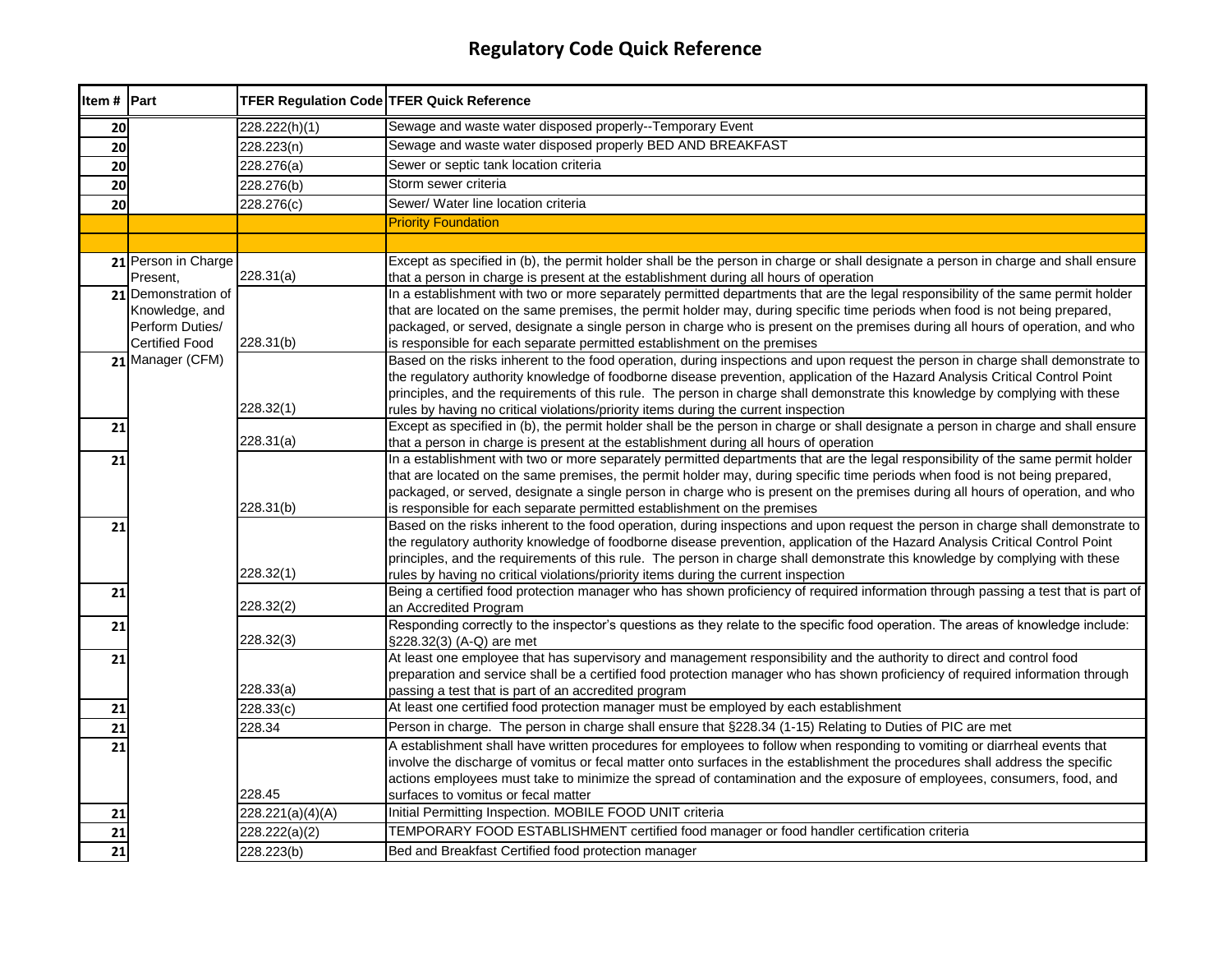| Item # Part |                                          | <b>TFER Regulation Code TFER Quick Reference</b> |                                                                                                                                                                                                                                                               |
|-------------|------------------------------------------|--------------------------------------------------|---------------------------------------------------------------------------------------------------------------------------------------------------------------------------------------------------------------------------------------------------------------|
| 20          |                                          | 228.222(h)(1)                                    | Sewage and waste water disposed properly--Temporary Event                                                                                                                                                                                                     |
| 20          |                                          | 228.223(n)                                       | Sewage and waste water disposed properly BED AND BREAKFAST                                                                                                                                                                                                    |
| 20          |                                          | 228.276(a)                                       | Sewer or septic tank location criteria                                                                                                                                                                                                                        |
| 20          |                                          | 228.276(b)                                       | Storm sewer criteria                                                                                                                                                                                                                                          |
| 20          |                                          | 228.276(c)                                       | Sewer/ Water line location criteria                                                                                                                                                                                                                           |
|             |                                          |                                                  | <b>Priority Foundation</b>                                                                                                                                                                                                                                    |
|             |                                          |                                                  |                                                                                                                                                                                                                                                               |
|             | 21 Person in Charge                      |                                                  | Except as specified in (b), the permit holder shall be the person in charge or shall designate a person in charge and shall ensure                                                                                                                            |
|             | Present,                                 | 228.31(a)                                        | that a person in charge is present at the establishment during all hours of operation                                                                                                                                                                         |
|             | 21 Demonstration of                      |                                                  | In a establishment with two or more separately permitted departments that are the legal responsibility of the same permit holder                                                                                                                              |
|             | Knowledge, and                           |                                                  | that are located on the same premises, the permit holder may, during specific time periods when food is not being prepared,                                                                                                                                   |
|             | Perform Duties/<br><b>Certified Food</b> | 228.31(b)                                        | packaged, or served, designate a single person in charge who is present on the premises during all hours of operation, and who                                                                                                                                |
|             | 21 Manager (CFM)                         |                                                  | is responsible for each separate permitted establishment on the premises<br>Based on the risks inherent to the food operation, during inspections and upon request the person in charge shall demonstrate to                                                  |
|             |                                          |                                                  | the regulatory authority knowledge of foodborne disease prevention, application of the Hazard Analysis Critical Control Point                                                                                                                                 |
|             |                                          |                                                  | principles, and the requirements of this rule. The person in charge shall demonstrate this knowledge by complying with these                                                                                                                                  |
|             |                                          | 228.32(1)                                        | rules by having no critical violations/priority items during the current inspection                                                                                                                                                                           |
| 21          |                                          |                                                  | Except as specified in (b), the permit holder shall be the person in charge or shall designate a person in charge and shall ensure                                                                                                                            |
|             |                                          | 228.31(a)                                        | that a person in charge is present at the establishment during all hours of operation                                                                                                                                                                         |
| 21          |                                          |                                                  | In a establishment with two or more separately permitted departments that are the legal responsibility of the same permit holder                                                                                                                              |
|             |                                          |                                                  | that are located on the same premises, the permit holder may, during specific time periods when food is not being prepared,<br>packaged, or served, designate a single person in charge who is present on the premises during all hours of operation, and who |
|             |                                          | 228.31(b)                                        | is responsible for each separate permitted establishment on the premises                                                                                                                                                                                      |
| 21          |                                          |                                                  | Based on the risks inherent to the food operation, during inspections and upon request the person in charge shall demonstrate to                                                                                                                              |
|             |                                          |                                                  | the regulatory authority knowledge of foodborne disease prevention, application of the Hazard Analysis Critical Control Point                                                                                                                                 |
|             |                                          |                                                  | principles, and the requirements of this rule. The person in charge shall demonstrate this knowledge by complying with these                                                                                                                                  |
|             |                                          | 228.32(1)                                        | rules by having no critical violations/priority items during the current inspection                                                                                                                                                                           |
| 21          |                                          |                                                  | Being a certified food protection manager who has shown proficiency of required information through passing a test that is part of                                                                                                                            |
|             |                                          | 228.32(2)                                        | an Accredited Program<br>Responding correctly to the inspector's questions as they relate to the specific food operation. The areas of knowledge include:                                                                                                     |
| 21          |                                          | 228.32(3)                                        | §228.32(3) (A-Q) are met                                                                                                                                                                                                                                      |
| 21          |                                          |                                                  | At least one employee that has supervisory and management responsibility and the authority to direct and control food                                                                                                                                         |
|             |                                          |                                                  | preparation and service shall be a certified food protection manager who has shown proficiency of required information through                                                                                                                                |
|             |                                          | 228.33(a)                                        | passing a test that is part of an accredited program                                                                                                                                                                                                          |
| 21          |                                          | 228.33(c)                                        | At least one certified food protection manager must be employed by each establishment                                                                                                                                                                         |
| 21          |                                          | 228.34                                           | Person in charge. The person in charge shall ensure that §228.34 (1-15) Relating to Duties of PIC are met                                                                                                                                                     |
| 21          |                                          |                                                  | A establishment shall have written procedures for employees to follow when responding to vomiting or diarrheal events that                                                                                                                                    |
|             |                                          |                                                  | involve the discharge of vomitus or fecal matter onto surfaces in the establishment the procedures shall address the specific                                                                                                                                 |
|             |                                          | 228.45                                           | actions employees must take to minimize the spread of contamination and the exposure of employees, consumers, food, and<br>surfaces to vomitus or fecal matter                                                                                                |
| 21          |                                          | 228.221(a)(4)(A)                                 | Initial Permitting Inspection. MOBILE FOOD UNIT criteria                                                                                                                                                                                                      |
| 21          |                                          | 228.222(a)(2)                                    | TEMPORARY FOOD ESTABLISHMENT certified food manager or food handler certification criteria                                                                                                                                                                    |
| 21          |                                          | 228.223(b)                                       | Bed and Breakfast Certified food protection manager                                                                                                                                                                                                           |
|             |                                          |                                                  |                                                                                                                                                                                                                                                               |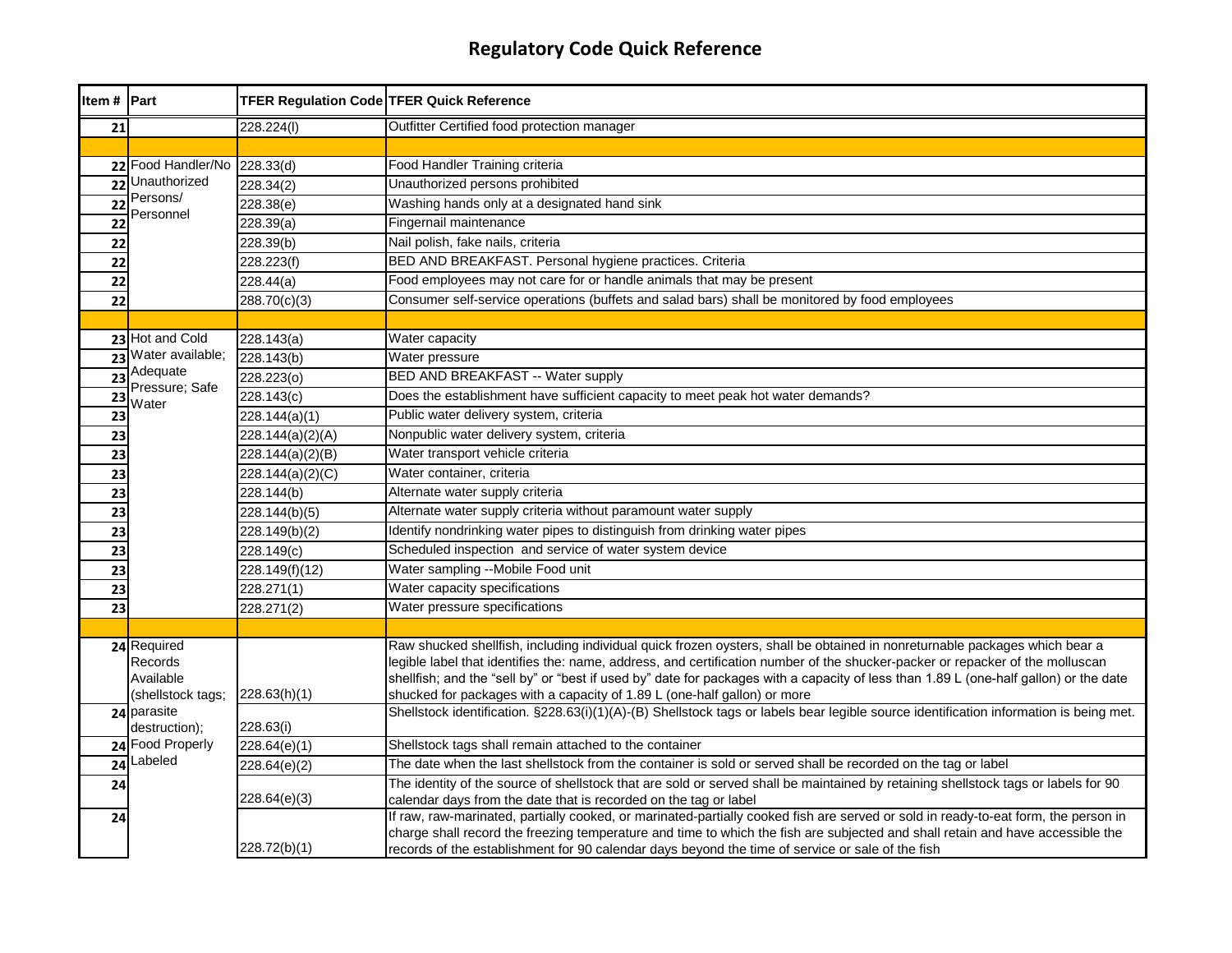| Item # Part     |                                                          | <b>TFER Regulation Code TFER Quick Reference</b> |                                                                                                                                                                                                                                                                                                                                                                                                                                                                                  |
|-----------------|----------------------------------------------------------|--------------------------------------------------|----------------------------------------------------------------------------------------------------------------------------------------------------------------------------------------------------------------------------------------------------------------------------------------------------------------------------------------------------------------------------------------------------------------------------------------------------------------------------------|
| 21              |                                                          | 228.224(I)                                       | Outfitter Certified food protection manager                                                                                                                                                                                                                                                                                                                                                                                                                                      |
|                 |                                                          |                                                  |                                                                                                                                                                                                                                                                                                                                                                                                                                                                                  |
|                 | 22 Food Handler/No                                       | 228.33(d)                                        | Food Handler Training criteria                                                                                                                                                                                                                                                                                                                                                                                                                                                   |
| 22              | Unauthorized                                             | 228.34(2)                                        | Unauthorized persons prohibited                                                                                                                                                                                                                                                                                                                                                                                                                                                  |
| 22              | Persons/<br>Personnel                                    | 228.38(e)                                        | Washing hands only at a designated hand sink                                                                                                                                                                                                                                                                                                                                                                                                                                     |
| 22              |                                                          | 228.39(a)                                        | Fingernail maintenance                                                                                                                                                                                                                                                                                                                                                                                                                                                           |
| 22              |                                                          | 228.39(b)                                        | Nail polish, fake nails, criteria                                                                                                                                                                                                                                                                                                                                                                                                                                                |
| 22              |                                                          | 228.223(f)                                       | BED AND BREAKFAST. Personal hygiene practices. Criteria                                                                                                                                                                                                                                                                                                                                                                                                                          |
| 22              |                                                          | 228.44(a)                                        | Food employees may not care for or handle animals that may be present                                                                                                                                                                                                                                                                                                                                                                                                            |
| 22              |                                                          | 288.70(c)(3)                                     | Consumer self-service operations (buffets and salad bars) shall be monitored by food employees                                                                                                                                                                                                                                                                                                                                                                                   |
|                 |                                                          |                                                  |                                                                                                                                                                                                                                                                                                                                                                                                                                                                                  |
|                 | 23 Hot and Cold                                          | 228.143(a)                                       | Water capacity                                                                                                                                                                                                                                                                                                                                                                                                                                                                   |
| 23              | Water available;                                         | 228.143(b)                                       | Water pressure                                                                                                                                                                                                                                                                                                                                                                                                                                                                   |
| $\overline{23}$ | Adequate<br>Pressure; Safe                               | 228.223(o)                                       | BED AND BREAKFAST -- Water supply                                                                                                                                                                                                                                                                                                                                                                                                                                                |
| $\overline{23}$ | Water                                                    | 228.143(c)                                       | Does the establishment have sufficient capacity to meet peak hot water demands?                                                                                                                                                                                                                                                                                                                                                                                                  |
| 23              |                                                          | 228.144(a)(1)                                    | Public water delivery system, criteria                                                                                                                                                                                                                                                                                                                                                                                                                                           |
| 23              |                                                          | 228.144(a)(2)(A)                                 | Nonpublic water delivery system, criteria                                                                                                                                                                                                                                                                                                                                                                                                                                        |
| 23              |                                                          | 228.144(a)(2)(B)                                 | Water transport vehicle criteria                                                                                                                                                                                                                                                                                                                                                                                                                                                 |
| 23              |                                                          | 228.144(a)(2)(C)                                 | Water container, criteria                                                                                                                                                                                                                                                                                                                                                                                                                                                        |
| 23              |                                                          | 228.144(b)                                       | Alternate water supply criteria                                                                                                                                                                                                                                                                                                                                                                                                                                                  |
| 23              |                                                          | 228.144(b)(5)                                    | Alternate water supply criteria without paramount water supply                                                                                                                                                                                                                                                                                                                                                                                                                   |
| 23              |                                                          | 228.149(b)(2)                                    | Identify nondrinking water pipes to distinguish from drinking water pipes                                                                                                                                                                                                                                                                                                                                                                                                        |
| 23              |                                                          | 228.149(c)                                       | Scheduled inspection and service of water system device                                                                                                                                                                                                                                                                                                                                                                                                                          |
| 23              |                                                          | 228.149(f)(12)                                   | Water sampling --Mobile Food unit                                                                                                                                                                                                                                                                                                                                                                                                                                                |
| 23              |                                                          | 228.271(1)                                       | Water capacity specifications                                                                                                                                                                                                                                                                                                                                                                                                                                                    |
| 23              |                                                          | 228.271(2)                                       | Water pressure specifications                                                                                                                                                                                                                                                                                                                                                                                                                                                    |
|                 |                                                          |                                                  |                                                                                                                                                                                                                                                                                                                                                                                                                                                                                  |
|                 | 24 Required<br>Records<br>Available<br>(shellstock tags; | 228.63(h)(1)                                     | Raw shucked shellfish, including individual quick frozen oysters, shall be obtained in nonreturnable packages which bear a<br>legible label that identifies the: name, address, and certification number of the shucker-packer or repacker of the molluscan<br>shellfish; and the "sell by" or "best if used by" date for packages with a capacity of less than 1.89 L (one-half gallon) or the date<br>shucked for packages with a capacity of 1.89 L (one-half gallon) or more |
|                 | 24 parasite<br>destruction);                             | 228.63(i)                                        | Shellstock identification. §228.63(i)(1)(A)-(B) Shellstock tags or labels bear legible source identification information is being met.                                                                                                                                                                                                                                                                                                                                           |
|                 | 24 Food Properly                                         | 228.64(e)(1)                                     | Shellstock tags shall remain attached to the container                                                                                                                                                                                                                                                                                                                                                                                                                           |
| 24              | Labeled                                                  | 228.64(e)(2)                                     | The date when the last shellstock from the container is sold or served shall be recorded on the tag or label                                                                                                                                                                                                                                                                                                                                                                     |
| 24              |                                                          | 228.64(e)(3)                                     | The identity of the source of shellstock that are sold or served shall be maintained by retaining shellstock tags or labels for 90<br>calendar days from the date that is recorded on the tag or label                                                                                                                                                                                                                                                                           |
| 24              |                                                          | 228.72(b)(1)                                     | If raw, raw-marinated, partially cooked, or marinated-partially cooked fish are served or sold in ready-to-eat form, the person in<br>charge shall record the freezing temperature and time to which the fish are subjected and shall retain and have accessible the<br>records of the establishment for 90 calendar days beyond the time of service or sale of the fish                                                                                                         |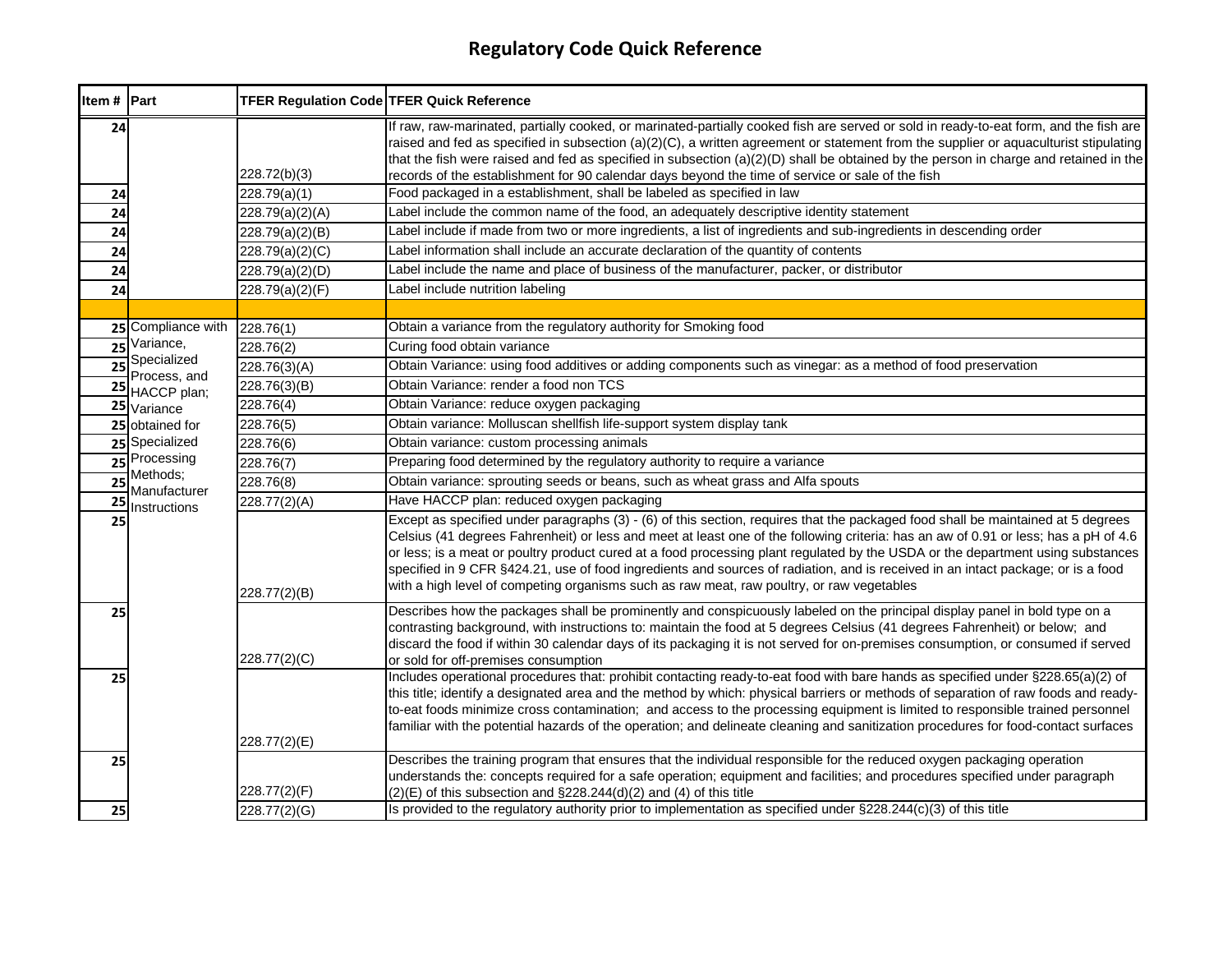| Item # Part     |                             | <b>TFER Regulation Code TFER Quick Reference</b> |                                                                                                                                                                                                                                                                                                                                                                                                                                                                                                                                                                                                                                             |
|-----------------|-----------------------------|--------------------------------------------------|---------------------------------------------------------------------------------------------------------------------------------------------------------------------------------------------------------------------------------------------------------------------------------------------------------------------------------------------------------------------------------------------------------------------------------------------------------------------------------------------------------------------------------------------------------------------------------------------------------------------------------------------|
| 24              |                             | 228.72(b)(3)                                     | If raw, raw-marinated, partially cooked, or marinated-partially cooked fish are served or sold in ready-to-eat form, and the fish are<br>raised and fed as specified in subsection (a)(2)(C), a written agreement or statement from the supplier or aquaculturist stipulating<br>that the fish were raised and fed as specified in subsection $(a)(2)(D)$ shall be obtained by the person in charge and retained in the<br>records of the establishment for 90 calendar days beyond the time of service or sale of the fish                                                                                                                 |
| 24              |                             | 228.79(a)(1)                                     | Food packaged in a establishment, shall be labeled as specified in law                                                                                                                                                                                                                                                                                                                                                                                                                                                                                                                                                                      |
| 24              |                             | 228.79(a)(2)(A)                                  | Label include the common name of the food, an adequately descriptive identity statement                                                                                                                                                                                                                                                                                                                                                                                                                                                                                                                                                     |
| 24              |                             | 228.79(a)(2)(B)                                  | Label include if made from two or more ingredients, a list of ingredients and sub-ingredients in descending order                                                                                                                                                                                                                                                                                                                                                                                                                                                                                                                           |
| 24              |                             | 228.79(a)(2)(C)                                  | Label information shall include an accurate declaration of the quantity of contents                                                                                                                                                                                                                                                                                                                                                                                                                                                                                                                                                         |
| 24              |                             | 228.79(a)(2)(D)                                  | Label include the name and place of business of the manufacturer, packer, or distributor                                                                                                                                                                                                                                                                                                                                                                                                                                                                                                                                                    |
| 24              |                             | 228.79(a)(2)(F)                                  | Label include nutrition labeling                                                                                                                                                                                                                                                                                                                                                                                                                                                                                                                                                                                                            |
|                 |                             |                                                  |                                                                                                                                                                                                                                                                                                                                                                                                                                                                                                                                                                                                                                             |
|                 | 25 Compliance with          | 228.76(1)                                        | Obtain a variance from the regulatory authority for Smoking food                                                                                                                                                                                                                                                                                                                                                                                                                                                                                                                                                                            |
| 25              | Variance,                   | 228.76(2)                                        | Curing food obtain variance                                                                                                                                                                                                                                                                                                                                                                                                                                                                                                                                                                                                                 |
| 25              | Specialized<br>Process, and | 228.76(3)(A)                                     | Obtain Variance: using food additives or adding components such as vinegar: as a method of food preservation                                                                                                                                                                                                                                                                                                                                                                                                                                                                                                                                |
|                 | 25 HACCP plan;              | 228.76(3)(B)                                     | Obtain Variance: render a food non TCS                                                                                                                                                                                                                                                                                                                                                                                                                                                                                                                                                                                                      |
|                 | 25 Variance                 | 228.76(4)                                        | Obtain Variance: reduce oxygen packaging                                                                                                                                                                                                                                                                                                                                                                                                                                                                                                                                                                                                    |
|                 | 25 obtained for             | 228.76(5)                                        | Obtain variance: Molluscan shellfish life-support system display tank                                                                                                                                                                                                                                                                                                                                                                                                                                                                                                                                                                       |
|                 | 25 Specialized              | 228.76(6)                                        | Obtain variance: custom processing animals                                                                                                                                                                                                                                                                                                                                                                                                                                                                                                                                                                                                  |
|                 | 25 Processing               | 228.76(7)                                        | Preparing food determined by the regulatory authority to require a variance                                                                                                                                                                                                                                                                                                                                                                                                                                                                                                                                                                 |
| $\overline{25}$ | Methods;<br>Manufacturer    | 228.76(8)                                        | Obtain variance: sprouting seeds or beans, such as wheat grass and Alfa spouts                                                                                                                                                                                                                                                                                                                                                                                                                                                                                                                                                              |
| 25              | Instructions                | 228.77(2)(A)                                     | Have HACCP plan: reduced oxygen packaging                                                                                                                                                                                                                                                                                                                                                                                                                                                                                                                                                                                                   |
| 25              |                             | 228.77(2)(B)                                     | Except as specified under paragraphs (3) - (6) of this section, requires that the packaged food shall be maintained at 5 degrees<br>Celsius (41 degrees Fahrenheit) or less and meet at least one of the following criteria: has an aw of 0.91 or less; has a pH of 4.6<br>or less; is a meat or poultry product cured at a food processing plant regulated by the USDA or the department using substances<br>specified in 9 CFR §424.21, use of food ingredients and sources of radiation, and is received in an intact package; or is a food<br>with a high level of competing organisms such as raw meat, raw poultry, or raw vegetables |
| 25              |                             | 228.77(2)(C)                                     | Describes how the packages shall be prominently and conspicuously labeled on the principal display panel in bold type on a<br>contrasting background, with instructions to: maintain the food at 5 degrees Celsius (41 degrees Fahrenheit) or below; and<br>discard the food if within 30 calendar days of its packaging it is not served for on-premises consumption, or consumed if served<br>or sold for off-premises consumption                                                                                                                                                                                                        |
| 25              |                             | 228.77(2)(E)                                     | Includes operational procedures that: prohibit contacting ready-to-eat food with bare hands as specified under §228.65(a)(2) of<br>this title; identify a designated area and the method by which: physical barriers or methods of separation of raw foods and ready-<br>to-eat foods minimize cross contamination; and access to the processing equipment is limited to responsible trained personnel<br>familiar with the potential hazards of the operation; and delineate cleaning and sanitization procedures for food-contact surfaces                                                                                                |
| 25              |                             | 228.77(2)(F)                                     | Describes the training program that ensures that the individual responsible for the reduced oxygen packaging operation<br>understands the: concepts required for a safe operation; equipment and facilities; and procedures specified under paragraph<br>$(2)(E)$ of this subsection and $\S228.244(d)(2)$ and (4) of this title                                                                                                                                                                                                                                                                                                            |
| 25              |                             | 228.77(2)(G)                                     | Is provided to the regulatory authority prior to implementation as specified under §228.244(c)(3) of this title                                                                                                                                                                                                                                                                                                                                                                                                                                                                                                                             |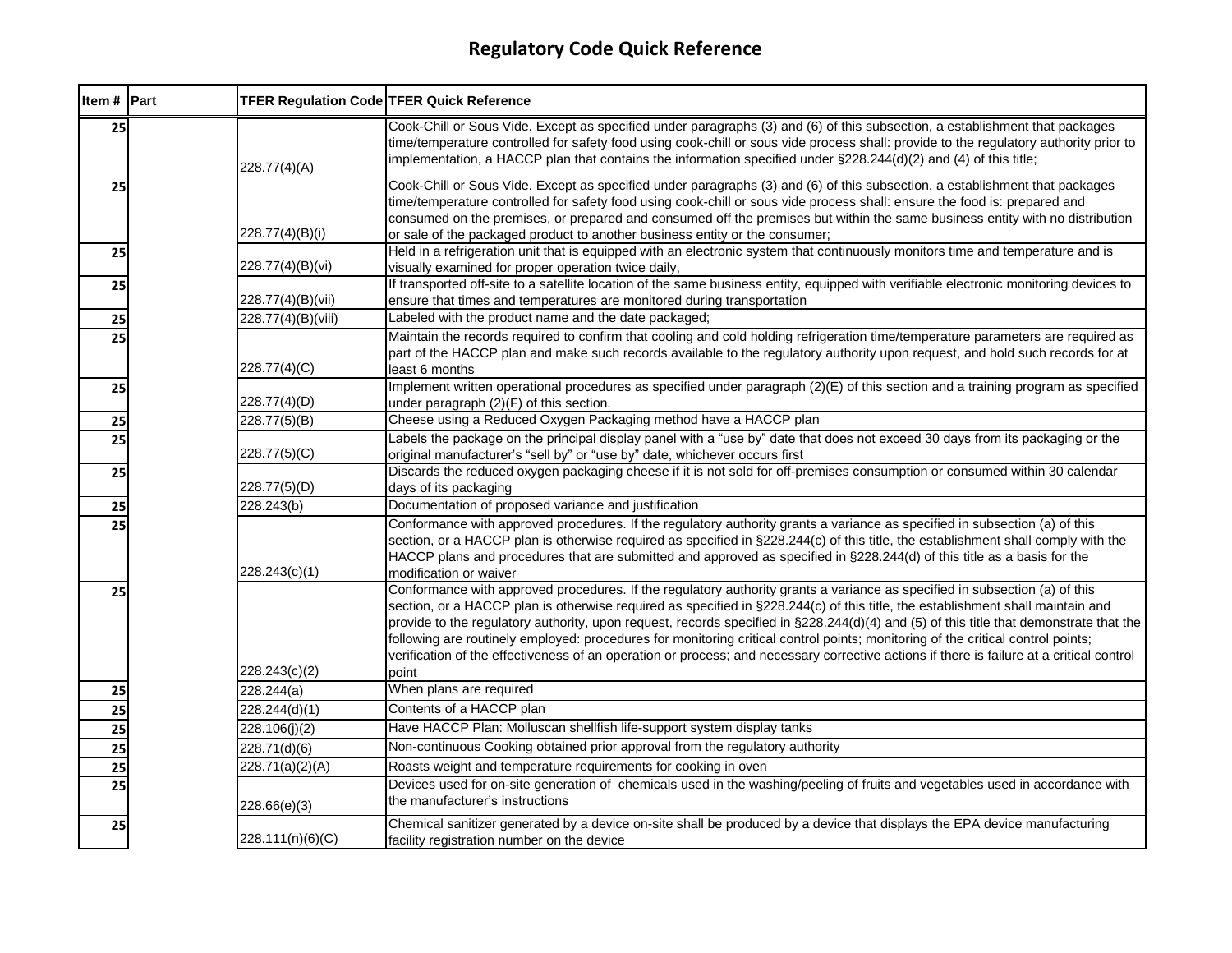| Item # Part     | <b>TFER Regulation Code TFER Quick Reference</b> |                                                                                                                                                                                                                                                                                                                                                                                                                                                                                                                                                                                                                                                                                                |
|-----------------|--------------------------------------------------|------------------------------------------------------------------------------------------------------------------------------------------------------------------------------------------------------------------------------------------------------------------------------------------------------------------------------------------------------------------------------------------------------------------------------------------------------------------------------------------------------------------------------------------------------------------------------------------------------------------------------------------------------------------------------------------------|
| 25              | 228.77(4)(A)                                     | Cook-Chill or Sous Vide. Except as specified under paragraphs (3) and (6) of this subsection, a establishment that packages<br>time/temperature controlled for safety food using cook-chill or sous vide process shall: provide to the regulatory authority prior to<br>implementation, a HACCP plan that contains the information specified under $\S 228.244(d)(2)$ and (4) of this title;                                                                                                                                                                                                                                                                                                   |
| 25              | 228.77(4)(B)(i)                                  | Cook-Chill or Sous Vide. Except as specified under paragraphs (3) and (6) of this subsection, a establishment that packages<br>time/temperature controlled for safety food using cook-chill or sous vide process shall: ensure the food is: prepared and<br>consumed on the premises, or prepared and consumed off the premises but within the same business entity with no distribution<br>or sale of the packaged product to another business entity or the consumer;                                                                                                                                                                                                                        |
| 25              | 228.77(4)(B)(vi)                                 | Held in a refrigeration unit that is equipped with an electronic system that continuously monitors time and temperature and is<br>visually examined for proper operation twice daily,                                                                                                                                                                                                                                                                                                                                                                                                                                                                                                          |
| 25              | 228.77(4)(B)(vii)                                | If transported off-site to a satellite location of the same business entity, equipped with verifiable electronic monitoring devices to<br>ensure that times and temperatures are monitored during transportation                                                                                                                                                                                                                                                                                                                                                                                                                                                                               |
| 25              | 228.77(4)(B)(viii)                               | Labeled with the product name and the date packaged;                                                                                                                                                                                                                                                                                                                                                                                                                                                                                                                                                                                                                                           |
| 25              | 228.77(4)(C)                                     | Maintain the records required to confirm that cooling and cold holding refrigeration time/temperature parameters are required as<br>part of the HACCP plan and make such records available to the regulatory authority upon request, and hold such records for at<br>least 6 months                                                                                                                                                                                                                                                                                                                                                                                                            |
| 25              | 228.77(4)(D)                                     | Implement written operational procedures as specified under paragraph (2)(E) of this section and a training program as specified<br>under paragraph (2)(F) of this section.                                                                                                                                                                                                                                                                                                                                                                                                                                                                                                                    |
| 25              | 228.77(5)(B)                                     | Cheese using a Reduced Oxygen Packaging method have a HACCP plan                                                                                                                                                                                                                                                                                                                                                                                                                                                                                                                                                                                                                               |
| 25              | 228.77(5)(C)                                     | Labels the package on the principal display panel with a "use by" date that does not exceed 30 days from its packaging or the<br>original manufacturer's "sell by" or "use by" date, whichever occurs first                                                                                                                                                                                                                                                                                                                                                                                                                                                                                    |
| 25              | 228.77(5)(D)                                     | Discards the reduced oxygen packaging cheese if it is not sold for off-premises consumption or consumed within 30 calendar<br>days of its packaging                                                                                                                                                                                                                                                                                                                                                                                                                                                                                                                                            |
| 25              | 228.243(b)                                       | Documentation of proposed variance and justification                                                                                                                                                                                                                                                                                                                                                                                                                                                                                                                                                                                                                                           |
| 25              | 228.243(c)(1)                                    | Conformance with approved procedures. If the regulatory authority grants a variance as specified in subsection (a) of this<br>section, or a HACCP plan is otherwise required as specified in §228.244(c) of this title, the establishment shall comply with the<br>HACCP plans and procedures that are submitted and approved as specified in §228.244(d) of this title as a basis for the<br>modification or waiver                                                                                                                                                                                                                                                                           |
| 25              | 228.243(c)(2)                                    | Conformance with approved procedures. If the regulatory authority grants a variance as specified in subsection (a) of this<br>section, or a HACCP plan is otherwise required as specified in §228.244(c) of this title, the establishment shall maintain and<br>provide to the regulatory authority, upon request, records specified in §228.244(d)(4) and (5) of this title that demonstrate that the<br>following are routinely employed: procedures for monitoring critical control points; monitoring of the critical control points;<br>verification of the effectiveness of an operation or process; and necessary corrective actions if there is failure at a critical control<br>point |
| 25              | 228.244(a)                                       | When plans are required                                                                                                                                                                                                                                                                                                                                                                                                                                                                                                                                                                                                                                                                        |
| $\overline{25}$ | 228.244(d)(1)                                    | Contents of a HACCP plan                                                                                                                                                                                                                                                                                                                                                                                                                                                                                                                                                                                                                                                                       |
| 25              | 228.106(j)(2)                                    | Have HACCP Plan: Molluscan shellfish life-support system display tanks                                                                                                                                                                                                                                                                                                                                                                                                                                                                                                                                                                                                                         |
| 25              | 228.71(d)(6)                                     | Non-continuous Cooking obtained prior approval from the regulatory authority                                                                                                                                                                                                                                                                                                                                                                                                                                                                                                                                                                                                                   |
| 25              | 228.71(a)(2)(A)                                  | Roasts weight and temperature requirements for cooking in oven                                                                                                                                                                                                                                                                                                                                                                                                                                                                                                                                                                                                                                 |
| 25              | 228.66(e)(3)                                     | Devices used for on-site generation of chemicals used in the washing/peeling of fruits and vegetables used in accordance with<br>the manufacturer's instructions                                                                                                                                                                                                                                                                                                                                                                                                                                                                                                                               |
| 25              | 228.111(n)(6)(C)                                 | Chemical sanitizer generated by a device on-site shall be produced by a device that displays the EPA device manufacturing<br>facility registration number on the device                                                                                                                                                                                                                                                                                                                                                                                                                                                                                                                        |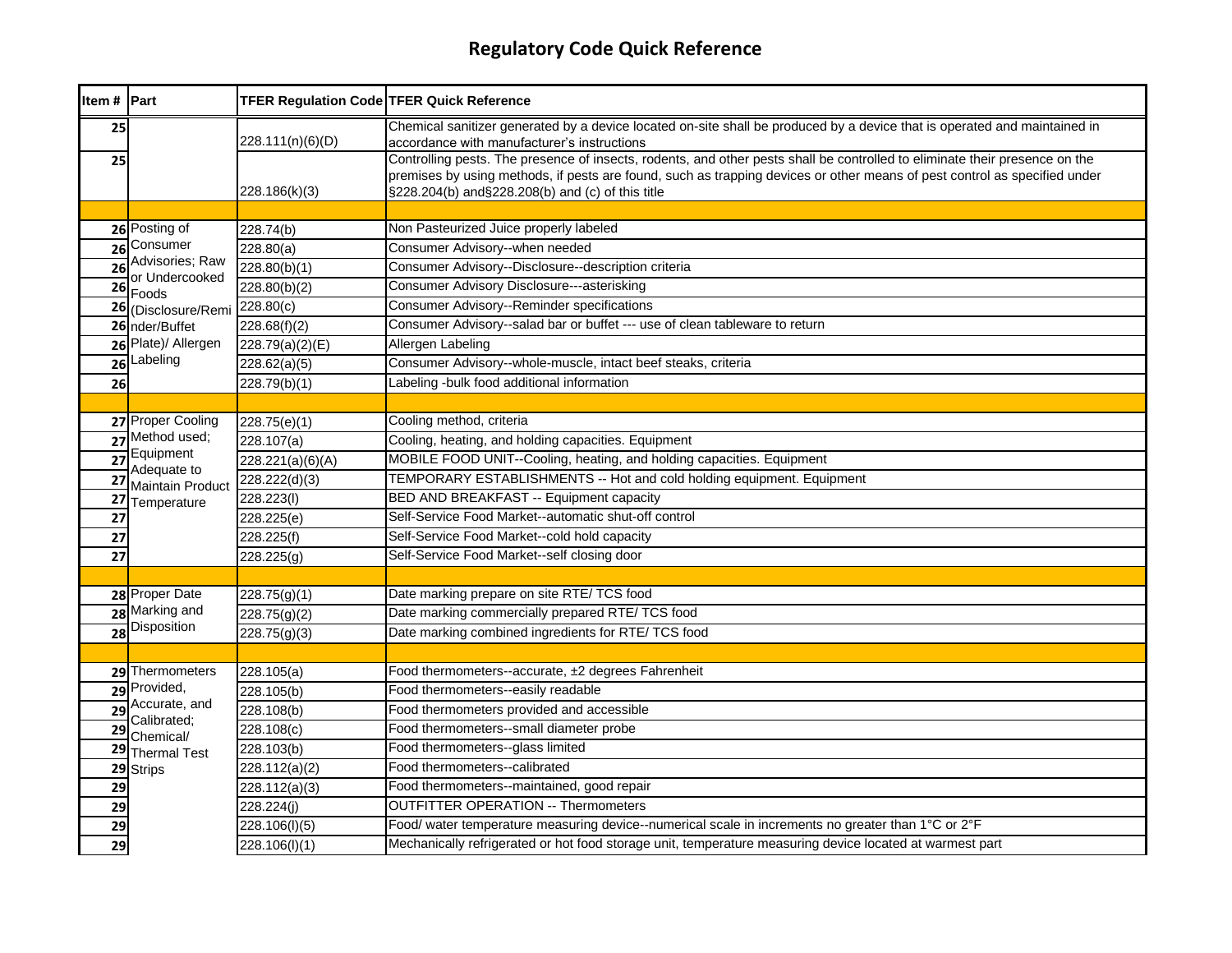| Item # Part     |                                | <b>TFER Regulation Code TFER Quick Reference</b> |                                                                                                                                                                                                                                                                                                              |
|-----------------|--------------------------------|--------------------------------------------------|--------------------------------------------------------------------------------------------------------------------------------------------------------------------------------------------------------------------------------------------------------------------------------------------------------------|
| 25              |                                | 228.111(n)(6)(D)                                 | Chemical sanitizer generated by a device located on-site shall be produced by a device that is operated and maintained in<br>accordance with manufacturer's instructions                                                                                                                                     |
| 25              |                                | 228.186(k)(3)                                    | Controlling pests. The presence of insects, rodents, and other pests shall be controlled to eliminate their presence on the<br>premises by using methods, if pests are found, such as trapping devices or other means of pest control as specified under<br>§228.204(b) and§228.208(b) and (c) of this title |
|                 |                                |                                                  |                                                                                                                                                                                                                                                                                                              |
|                 | 26 Posting of                  | 228.74(b)                                        | Non Pasteurized Juice properly labeled                                                                                                                                                                                                                                                                       |
|                 | 26 Consumer<br>Advisories; Raw | 228.80(a)                                        | Consumer Advisory--when needed                                                                                                                                                                                                                                                                               |
| $\overline{26}$ | or Undercooked                 | 228.80(b)(1)                                     | Consumer Advisory--Disclosure--description criteria                                                                                                                                                                                                                                                          |
| 26              | Foods                          | 228.80(b)(2)                                     | <b>Consumer Advisory Disclosure---asterisking</b>                                                                                                                                                                                                                                                            |
| 26              | (Disclosure/Remi               | 228.80(c)                                        | <b>Consumer Advisory--Reminder specifications</b>                                                                                                                                                                                                                                                            |
|                 | 26 nder/Buffet                 | 228.68(f)(2)                                     | Consumer Advisory--salad bar or buffet --- use of clean tableware to return                                                                                                                                                                                                                                  |
|                 | 26 Plate)/ Allergen            | 228.79(a)(2)(E)                                  | Allergen Labeling                                                                                                                                                                                                                                                                                            |
|                 | 26 Labeling                    | 228.62(a)(5)                                     | Consumer Advisory--whole-muscle, intact beef steaks, criteria                                                                                                                                                                                                                                                |
| 26              |                                | 228.79(b)(1)                                     | Labeling -bulk food additional information                                                                                                                                                                                                                                                                   |
|                 |                                |                                                  |                                                                                                                                                                                                                                                                                                              |
|                 | 27 Proper Cooling              | 228.75(e)(1)                                     | Cooling method, criteria                                                                                                                                                                                                                                                                                     |
|                 | 27 Method used;                | 228.107(a)                                       | Cooling, heating, and holding capacities. Equipment                                                                                                                                                                                                                                                          |
| $\overline{27}$ | Equipment<br>Adequate to       | 228.221(a)(6)(A)                                 | MOBILE FOOD UNIT--Cooling, heating, and holding capacities. Equipment                                                                                                                                                                                                                                        |
| $\overline{27}$ | Maintain Product               | 228.222(d)(3)                                    | TEMPORARY ESTABLISHMENTS -- Hot and cold holding equipment. Equipment                                                                                                                                                                                                                                        |
| 27              | Temperature                    | 228.223(l)                                       | BED AND BREAKFAST -- Equipment capacity                                                                                                                                                                                                                                                                      |
| 27              |                                | 228.225(e)                                       | Self-Service Food Market--automatic shut-off control                                                                                                                                                                                                                                                         |
| 27              |                                | 228.225(f)                                       | Self-Service Food Market--cold hold capacity                                                                                                                                                                                                                                                                 |
| 27              |                                | 228.225(g)                                       | Self-Service Food Market--self closing door                                                                                                                                                                                                                                                                  |
|                 |                                |                                                  |                                                                                                                                                                                                                                                                                                              |
|                 | 28 Proper Date                 | 228.75(g)(1)                                     | Date marking prepare on site RTE/ TCS food                                                                                                                                                                                                                                                                   |
|                 | 28 Marking and                 | 228.75(g)(2)                                     | Date marking commercially prepared RTE/ TCS food                                                                                                                                                                                                                                                             |
| $\overline{28}$ | Disposition                    | 228.75(g)(3)                                     | Date marking combined ingredients for RTE/ TCS food                                                                                                                                                                                                                                                          |
|                 |                                |                                                  |                                                                                                                                                                                                                                                                                                              |
|                 | 29 Thermometers                | 228.105(a)                                       | Food thermometers--accurate, ±2 degrees Fahrenheit                                                                                                                                                                                                                                                           |
|                 | 29 Provided,                   | 228.105(b)                                       | Food thermometers--easily readable                                                                                                                                                                                                                                                                           |
| $\overline{29}$ | Accurate, and<br>Calibrated;   | 228.108(b)                                       | Food thermometers provided and accessible                                                                                                                                                                                                                                                                    |
| 29              | Chemical/                      | 228.108(c)                                       | Food thermometers--small diameter probe                                                                                                                                                                                                                                                                      |
| 29              | <b>Thermal Test</b>            | 228.103(b)                                       | Food thermometers--glass limited                                                                                                                                                                                                                                                                             |
|                 | 29 Strips                      | 228.112(a)(2)                                    | Food thermometers--calibrated                                                                                                                                                                                                                                                                                |
| 29              |                                | 228.112(a)(3)                                    | Food thermometers--maintained, good repair                                                                                                                                                                                                                                                                   |
| 29              |                                | 228.224(j)                                       | <b>OUTFITTER OPERATION -- Thermometers</b>                                                                                                                                                                                                                                                                   |
| 29              |                                | 228.106(I)(5)                                    | Food/ water temperature measuring device--numerical scale in increments no greater than 1°C or 2°F                                                                                                                                                                                                           |
| 29              |                                | 228.106(l)(1)                                    | Mechanically refrigerated or hot food storage unit, temperature measuring device located at warmest part                                                                                                                                                                                                     |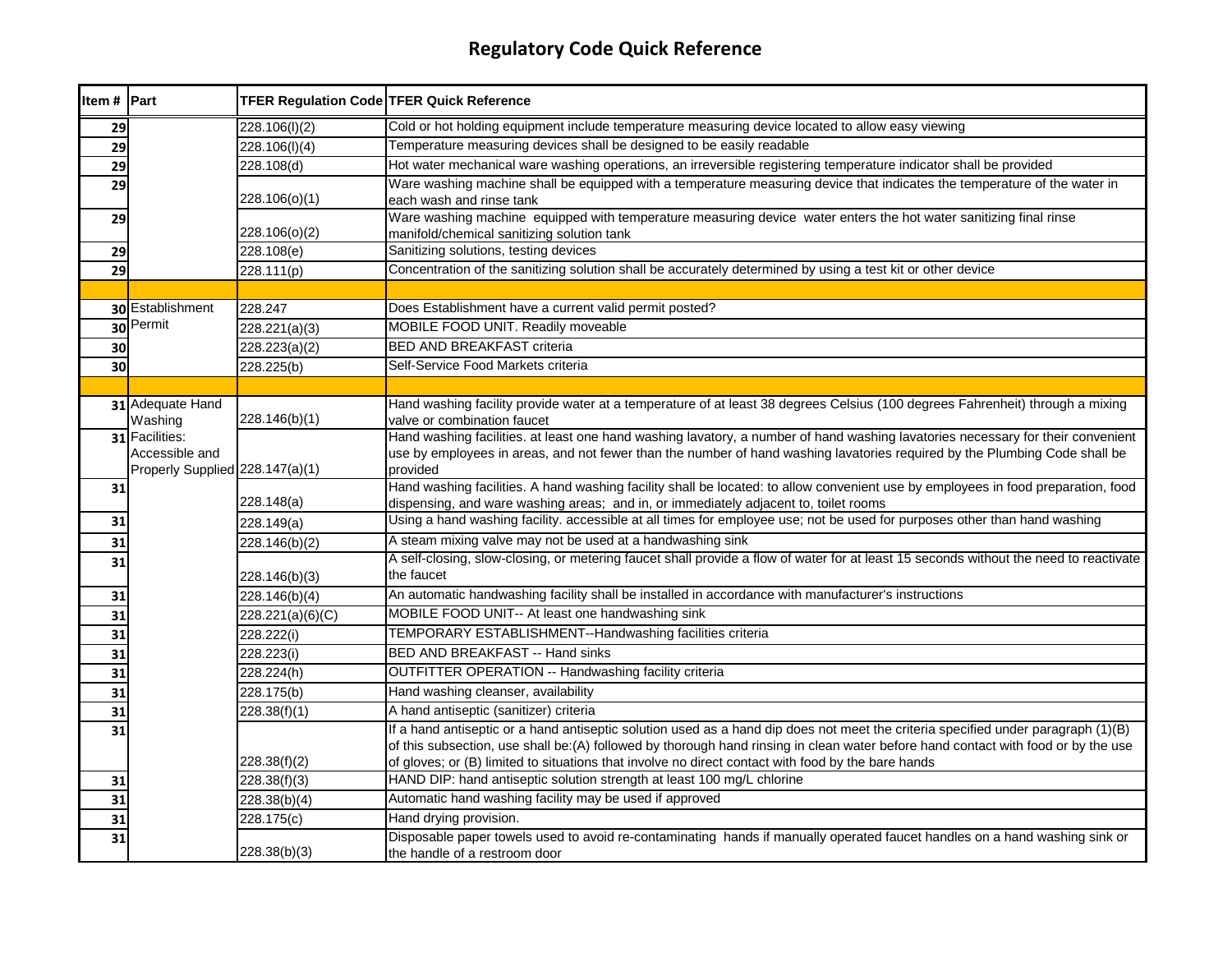| Item # Part |                                                                     | <b>TFER Regulation Code TFER Quick Reference</b> |                                                                                                                                                                                                                                                                           |
|-------------|---------------------------------------------------------------------|--------------------------------------------------|---------------------------------------------------------------------------------------------------------------------------------------------------------------------------------------------------------------------------------------------------------------------------|
| 29          |                                                                     | 228.106(I)(2)                                    | Cold or hot holding equipment include temperature measuring device located to allow easy viewing                                                                                                                                                                          |
| 29          |                                                                     | 228.106(I)(4)                                    | Temperature measuring devices shall be designed to be easily readable                                                                                                                                                                                                     |
| 29          |                                                                     | 228.108(d)                                       | Hot water mechanical ware washing operations, an irreversible registering temperature indicator shall be provided                                                                                                                                                         |
| 29          |                                                                     | 228.106(o)(1)                                    | Ware washing machine shall be equipped with a temperature measuring device that indicates the temperature of the water in<br>each wash and rinse tank                                                                                                                     |
| 29          |                                                                     | 228.106(o)(2)                                    | Ware washing machine equipped with temperature measuring device water enters the hot water sanitizing final rinse<br>manifold/chemical sanitizing solution tank                                                                                                           |
| 29          |                                                                     | 228.108(e)                                       | Sanitizing solutions, testing devices                                                                                                                                                                                                                                     |
| 29          |                                                                     | 228.111(p)                                       | Concentration of the sanitizing solution shall be accurately determined by using a test kit or other device                                                                                                                                                               |
|             |                                                                     |                                                  |                                                                                                                                                                                                                                                                           |
|             | 30 Establishment                                                    | 228.247                                          | Does Establishment have a current valid permit posted?                                                                                                                                                                                                                    |
|             | 30 Permit                                                           | 228.221(a)(3)                                    | MOBILE FOOD UNIT. Readily moveable                                                                                                                                                                                                                                        |
| 30          |                                                                     | 228.223(a)(2)                                    | <b>BED AND BREAKFAST criteria</b>                                                                                                                                                                                                                                         |
| 30          |                                                                     | 228.225(b)                                       | Self-Service Food Markets criteria                                                                                                                                                                                                                                        |
|             |                                                                     |                                                  |                                                                                                                                                                                                                                                                           |
|             | 31 Adequate Hand<br>Washing                                         | 228.146(b)(1)                                    | Hand washing facility provide water at a temperature of at least 38 degrees Celsius (100 degrees Fahrenheit) through a mixing<br>valve or combination faucet                                                                                                              |
|             | 31 Facilities:<br>Accessible and<br>Properly Supplied 228.147(a)(1) |                                                  | Hand washing facilities. at least one hand washing lavatory, a number of hand washing lavatories necessary for their convenient<br>use by employees in areas, and not fewer than the number of hand washing lavatories required by the Plumbing Code shall be<br>provided |
| 31          |                                                                     | 228.148(a)                                       | Hand washing facilities. A hand washing facility shall be located: to allow convenient use by employees in food preparation, food<br>dispensing, and ware washing areas; and in, or immediately adjacent to, toilet rooms                                                 |
| 31          |                                                                     | 228.149(a)                                       | Using a hand washing facility. accessible at all times for employee use; not be used for purposes other than hand washing                                                                                                                                                 |
| 31          |                                                                     | 228.146(b)(2)                                    | A steam mixing valve may not be used at a handwashing sink                                                                                                                                                                                                                |
| 31          |                                                                     | 228.146(b)(3)                                    | A self-closing, slow-closing, or metering faucet shall provide a flow of water for at least 15 seconds without the need to reactivate<br>the faucet                                                                                                                       |
| 31          |                                                                     | 228.146(b)(4)                                    | An automatic handwashing facility shall be installed in accordance with manufacturer's instructions                                                                                                                                                                       |
| 31          |                                                                     | 228.221(a)(6)(C)                                 | MOBILE FOOD UNIT-- At least one handwashing sink                                                                                                                                                                                                                          |
| 31          |                                                                     | 228.222(i)                                       | TEMPORARY ESTABLISHMENT--Handwashing facilities criteria                                                                                                                                                                                                                  |
| 31          |                                                                     | 228.223(i)                                       | <b>BED AND BREAKFAST -- Hand sinks</b>                                                                                                                                                                                                                                    |
| 31          |                                                                     | 228.224(h)                                       | OUTFITTER OPERATION -- Handwashing facility criteria                                                                                                                                                                                                                      |
| 31          |                                                                     | 228.175(b)                                       | Hand washing cleanser, availability                                                                                                                                                                                                                                       |
| 31          |                                                                     | 228.38(f)(1)                                     | A hand antiseptic (sanitizer) criteria                                                                                                                                                                                                                                    |
| 31          |                                                                     |                                                  | If a hand antiseptic or a hand antiseptic solution used as a hand dip does not meet the criteria specified under paragraph (1)(B)                                                                                                                                         |
|             |                                                                     |                                                  | of this subsection, use shall be:(A) followed by thorough hand rinsing in clean water before hand contact with food or by the use                                                                                                                                         |
|             |                                                                     | 228.38(f)(2)                                     | of gloves; or (B) limited to situations that involve no direct contact with food by the bare hands                                                                                                                                                                        |
| 31          |                                                                     | $\overline{228.38(f)(3)}$                        | HAND DIP: hand antiseptic solution strength at least 100 mg/L chlorine                                                                                                                                                                                                    |
| 31          |                                                                     | 228.38(b)(4)                                     | Automatic hand washing facility may be used if approved                                                                                                                                                                                                                   |
| 31          |                                                                     | 228.175(c)                                       | Hand drying provision.                                                                                                                                                                                                                                                    |
| 31          |                                                                     | 228.38(b)(3)                                     | Disposable paper towels used to avoid re-contaminating hands if manually operated faucet handles on a hand washing sink or<br>the handle of a restroom door                                                                                                               |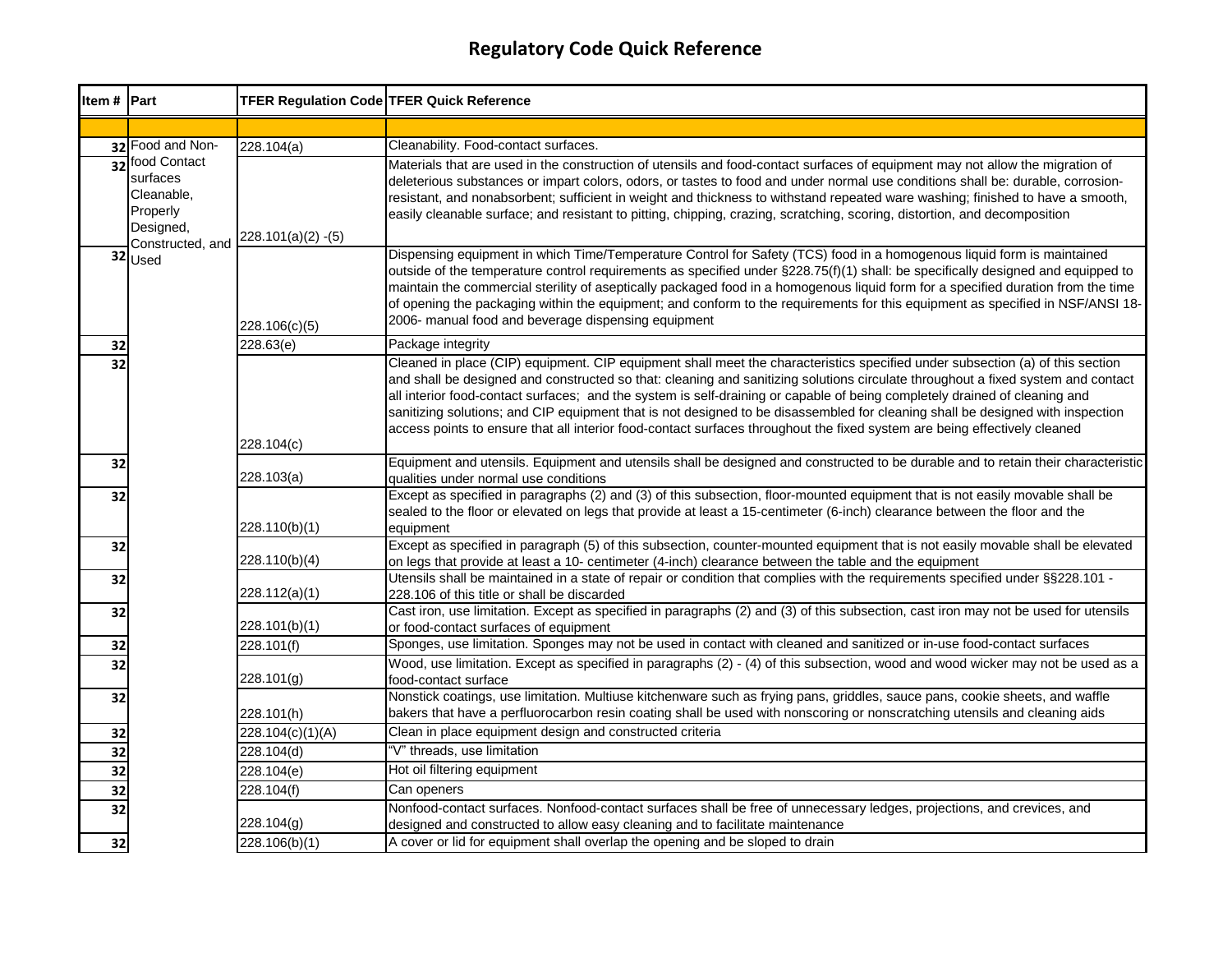| Item # Part     |                                                                                     | <b>TFER Regulation Code TFER Quick Reference</b> |                                                                                                                                                                                                                                                                                                                                                                                                                                                                                                                                                                                                                                                                |
|-----------------|-------------------------------------------------------------------------------------|--------------------------------------------------|----------------------------------------------------------------------------------------------------------------------------------------------------------------------------------------------------------------------------------------------------------------------------------------------------------------------------------------------------------------------------------------------------------------------------------------------------------------------------------------------------------------------------------------------------------------------------------------------------------------------------------------------------------------|
|                 |                                                                                     |                                                  |                                                                                                                                                                                                                                                                                                                                                                                                                                                                                                                                                                                                                                                                |
|                 | 32 Food and Non-                                                                    | 228.104(a)                                       | Cleanability. Food-contact surfaces.                                                                                                                                                                                                                                                                                                                                                                                                                                                                                                                                                                                                                           |
| 32 <sup>1</sup> | food Contact<br>surfaces<br>Cleanable,<br>Properly<br>Designed,<br>Constructed, and | $228.101(a)(2) - (5)$                            | Materials that are used in the construction of utensils and food-contact surfaces of equipment may not allow the migration of<br>deleterious substances or impart colors, odors, or tastes to food and under normal use conditions shall be: durable, corrosion-<br>resistant, and nonabsorbent; sufficient in weight and thickness to withstand repeated ware washing; finished to have a smooth,<br>easily cleanable surface; and resistant to pitting, chipping, crazing, scratching, scoring, distortion, and decomposition                                                                                                                                |
|                 | 32 Used                                                                             | 228.106(c)(5)                                    | Dispensing equipment in which Time/Temperature Control for Safety (TCS) food in a homogenous liquid form is maintained<br>outside of the temperature control requirements as specified under §228.75(f)(1) shall: be specifically designed and equipped to<br>maintain the commercial sterility of aseptically packaged food in a homogenous liquid form for a specified duration from the time<br>of opening the packaging within the equipment; and conform to the requirements for this equipment as specified in NSF/ANSI 18-<br>2006- manual food and beverage dispensing equipment                                                                       |
| 32              |                                                                                     | 228.63(e)                                        | Package integrity                                                                                                                                                                                                                                                                                                                                                                                                                                                                                                                                                                                                                                              |
| 32              |                                                                                     | 228.104(c)                                       | Cleaned in place (CIP) equipment. CIP equipment shall meet the characteristics specified under subsection (a) of this section<br>and shall be designed and constructed so that: cleaning and sanitizing solutions circulate throughout a fixed system and contact<br>all interior food-contact surfaces; and the system is self-draining or capable of being completely drained of cleaning and<br>sanitizing solutions; and CIP equipment that is not designed to be disassembled for cleaning shall be designed with inspection<br>access points to ensure that all interior food-contact surfaces throughout the fixed system are being effectively cleaned |
| 32              |                                                                                     | 228.103(a)                                       | Equipment and utensils. Equipment and utensils shall be designed and constructed to be durable and to retain their characteristic<br>qualities under normal use conditions                                                                                                                                                                                                                                                                                                                                                                                                                                                                                     |
| 32              |                                                                                     | 228.110(b)(1)                                    | Except as specified in paragraphs (2) and (3) of this subsection, floor-mounted equipment that is not easily movable shall be<br>sealed to the floor or elevated on legs that provide at least a 15-centimeter (6-inch) clearance between the floor and the<br>equipment                                                                                                                                                                                                                                                                                                                                                                                       |
| 32              |                                                                                     | 228.110(b)(4)                                    | Except as specified in paragraph (5) of this subsection, counter-mounted equipment that is not easily movable shall be elevated<br>on legs that provide at least a 10- centimeter (4-inch) clearance between the table and the equipment                                                                                                                                                                                                                                                                                                                                                                                                                       |
| 32              |                                                                                     | 228.112(a)(1)                                    | Utensils shall be maintained in a state of repair or condition that complies with the requirements specified under §§228.101 -<br>228.106 of this title or shall be discarded                                                                                                                                                                                                                                                                                                                                                                                                                                                                                  |
| 32              |                                                                                     | 228.101(b)(1)                                    | Cast iron, use limitation. Except as specified in paragraphs (2) and (3) of this subsection, cast iron may not be used for utensils<br>or food-contact surfaces of equipment                                                                                                                                                                                                                                                                                                                                                                                                                                                                                   |
| 32              |                                                                                     | 228.101(f)                                       | Sponges, use limitation. Sponges may not be used in contact with cleaned and sanitized or in-use food-contact surfaces                                                                                                                                                                                                                                                                                                                                                                                                                                                                                                                                         |
| 32              |                                                                                     | 228.101(g)                                       | Wood, use limitation. Except as specified in paragraphs (2) - (4) of this subsection, wood and wood wicker may not be used as a<br>food-contact surface                                                                                                                                                                                                                                                                                                                                                                                                                                                                                                        |
| 32              |                                                                                     | 228.101(h)                                       | Nonstick coatings, use limitation. Multiuse kitchenware such as frying pans, griddles, sauce pans, cookie sheets, and waffle<br>bakers that have a perfluorocarbon resin coating shall be used with nonscoring or nonscratching utensils and cleaning aids                                                                                                                                                                                                                                                                                                                                                                                                     |
| 32              |                                                                                     | 228.104(c)(1)(A)                                 | Clean in place equipment design and constructed criteria                                                                                                                                                                                                                                                                                                                                                                                                                                                                                                                                                                                                       |
| 32              |                                                                                     | 228.104(d)                                       | "V" threads, use limitation                                                                                                                                                                                                                                                                                                                                                                                                                                                                                                                                                                                                                                    |
| 32              |                                                                                     | 228.104(e)                                       | Hot oil filtering equipment                                                                                                                                                                                                                                                                                                                                                                                                                                                                                                                                                                                                                                    |
| 32              |                                                                                     | 228.104(f)                                       | Can openers                                                                                                                                                                                                                                                                                                                                                                                                                                                                                                                                                                                                                                                    |
| 32              |                                                                                     | 228.104(g)                                       | Nonfood-contact surfaces. Nonfood-contact surfaces shall be free of unnecessary ledges, projections, and crevices, and<br>designed and constructed to allow easy cleaning and to facilitate maintenance                                                                                                                                                                                                                                                                                                                                                                                                                                                        |
| 32              |                                                                                     | 228.106(b)(1)                                    | A cover or lid for equipment shall overlap the opening and be sloped to drain                                                                                                                                                                                                                                                                                                                                                                                                                                                                                                                                                                                  |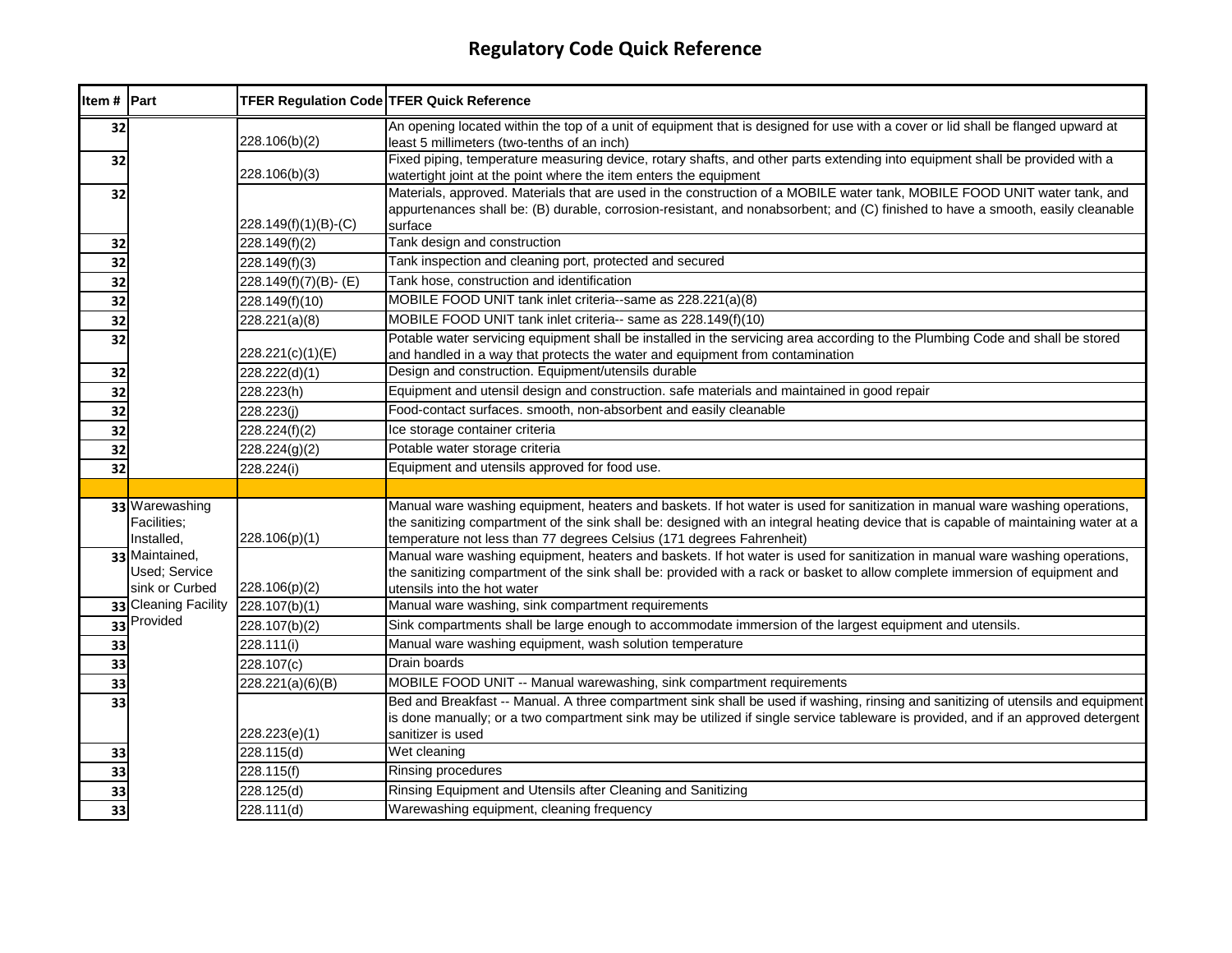| Item # Part     |                                                   | TFER Regulation Code TFER Quick Reference |                                                                                                                                                                                                                                                                                                                                              |
|-----------------|---------------------------------------------------|-------------------------------------------|----------------------------------------------------------------------------------------------------------------------------------------------------------------------------------------------------------------------------------------------------------------------------------------------------------------------------------------------|
| 32              |                                                   | 228.106(b)(2)                             | An opening located within the top of a unit of equipment that is designed for use with a cover or lid shall be flanged upward at<br>least 5 millimeters (two-tenths of an inch)                                                                                                                                                              |
| 32              |                                                   | 228.106(b)(3)                             | Fixed piping, temperature measuring device, rotary shafts, and other parts extending into equipment shall be provided with a<br>watertight joint at the point where the item enters the equipment                                                                                                                                            |
| 32              |                                                   | 228.149(f)(1)(B)-(C)                      | Materials, approved. Materials that are used in the construction of a MOBILE water tank, MOBILE FOOD UNIT water tank, and<br>appurtenances shall be: (B) durable, corrosion-resistant, and nonabsorbent; and (C) finished to have a smooth, easily cleanable<br>surface                                                                      |
| 32              |                                                   | 228.149(f)(2)                             | Tank design and construction                                                                                                                                                                                                                                                                                                                 |
| 32              |                                                   | 228.149(f)(3)                             | Tank inspection and cleaning port, protected and secured                                                                                                                                                                                                                                                                                     |
| 32              |                                                   | 228.149(f)(7)(B)-(E)                      | Tank hose, construction and identification                                                                                                                                                                                                                                                                                                   |
| 32              |                                                   | 228.149(f)(10)                            | MOBILE FOOD UNIT tank inlet criteria--same as 228.221(a)(8)                                                                                                                                                                                                                                                                                  |
| 32              |                                                   | 228.221(a)(8)                             | MOBILE FOOD UNIT tank inlet criteria-- same as 228.149(f)(10)                                                                                                                                                                                                                                                                                |
| 32              |                                                   | 228.221(c)(1)(E)                          | Potable water servicing equipment shall be installed in the servicing area according to the Plumbing Code and shall be stored<br>and handled in a way that protects the water and equipment from contamination                                                                                                                               |
| 32              |                                                   | 228.222(d)(1)                             | Design and construction. Equipment/utensils durable                                                                                                                                                                                                                                                                                          |
| $\overline{32}$ |                                                   | 228.223(h)                                | Equipment and utensil design and construction. safe materials and maintained in good repair                                                                                                                                                                                                                                                  |
| 32              |                                                   | 228.223(j)                                | Food-contact surfaces. smooth, non-absorbent and easily cleanable                                                                                                                                                                                                                                                                            |
| 32              |                                                   | 228.224(f)(2)                             | Ice storage container criteria                                                                                                                                                                                                                                                                                                               |
| 32              |                                                   | 228.224(g)(2)                             | Potable water storage criteria                                                                                                                                                                                                                                                                                                               |
| 32              |                                                   | 228.224(i)                                | Equipment and utensils approved for food use.                                                                                                                                                                                                                                                                                                |
|                 |                                                   |                                           |                                                                                                                                                                                                                                                                                                                                              |
|                 | 33 Warewashing<br>Facilities;<br>Installed,       | 228.106(p)(1)                             | Manual ware washing equipment, heaters and baskets. If hot water is used for sanitization in manual ware washing operations,<br>the sanitizing compartment of the sink shall be: designed with an integral heating device that is capable of maintaining water at a<br>temperature not less than 77 degrees Celsius (171 degrees Fahrenheit) |
|                 | 33 Maintained,<br>Used; Service<br>sink or Curbed | 228.106(p)(2)                             | Manual ware washing equipment, heaters and baskets. If hot water is used for sanitization in manual ware washing operations,<br>the sanitizing compartment of the sink shall be: provided with a rack or basket to allow complete immersion of equipment and<br>utensils into the hot water                                                  |
|                 | 33 Cleaning Facility                              | 228.107(b)(1)                             | Manual ware washing, sink compartment requirements                                                                                                                                                                                                                                                                                           |
|                 | 33 Provided                                       | 228.107(b)(2)                             | Sink compartments shall be large enough to accommodate immersion of the largest equipment and utensils.                                                                                                                                                                                                                                      |
| 33              |                                                   | 228.111(i)                                | Manual ware washing equipment, wash solution temperature                                                                                                                                                                                                                                                                                     |
| 33              |                                                   | 228.107(c)                                | Drain boards                                                                                                                                                                                                                                                                                                                                 |
| 33              |                                                   | 228.221(a)(6)(B)                          | MOBILE FOOD UNIT -- Manual warewashing, sink compartment requirements                                                                                                                                                                                                                                                                        |
| 33              |                                                   | 228.223(e)(1)                             | Bed and Breakfast -- Manual. A three compartment sink shall be used if washing, rinsing and sanitizing of utensils and equipment<br>is done manually; or a two compartment sink may be utilized if single service tableware is provided, and if an approved detergent<br>sanitizer is used                                                   |
| 33              |                                                   | 228.115(d)                                | Wet cleaning                                                                                                                                                                                                                                                                                                                                 |
| 33              |                                                   | 228.115(f)                                | Rinsing procedures                                                                                                                                                                                                                                                                                                                           |
| 33              |                                                   | 228.125(d)                                | Rinsing Equipment and Utensils after Cleaning and Sanitizing                                                                                                                                                                                                                                                                                 |
| 33              |                                                   | 228.111(d)                                | Warewashing equipment, cleaning frequency                                                                                                                                                                                                                                                                                                    |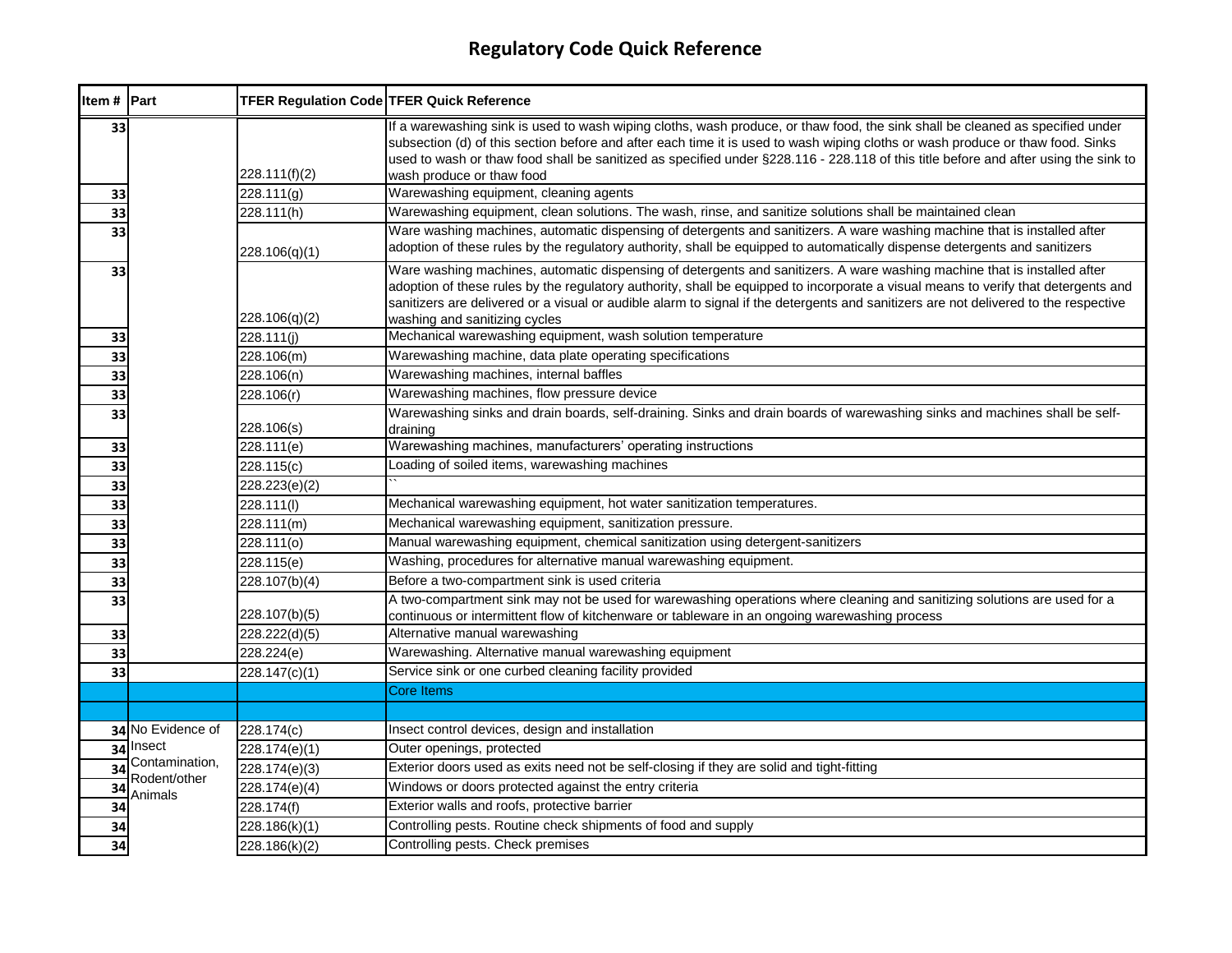| Item # Part     |                             | <b>TFER Regulation Code TFER Quick Reference</b> |                                                                                                                                                                                                                                                                                                                                                                                                                                         |
|-----------------|-----------------------------|--------------------------------------------------|-----------------------------------------------------------------------------------------------------------------------------------------------------------------------------------------------------------------------------------------------------------------------------------------------------------------------------------------------------------------------------------------------------------------------------------------|
| 33              |                             | 228.111(f)(2)                                    | If a warewashing sink is used to wash wiping cloths, wash produce, or thaw food, the sink shall be cleaned as specified under<br>subsection (d) of this section before and after each time it is used to wash wiping cloths or wash produce or thaw food. Sinks<br>used to wash or thaw food shall be sanitized as specified under §228.116 - 228.118 of this title before and after using the sink to<br>wash produce or thaw food     |
| 33              |                             | 228.111(g)                                       | Warewashing equipment, cleaning agents                                                                                                                                                                                                                                                                                                                                                                                                  |
| 33              |                             | 228.111(h)                                       | Warewashing equipment, clean solutions. The wash, rinse, and sanitize solutions shall be maintained clean                                                                                                                                                                                                                                                                                                                               |
| 33              |                             | 228.106(q)(1)                                    | Ware washing machines, automatic dispensing of detergents and sanitizers. A ware washing machine that is installed after<br>adoption of these rules by the regulatory authority, shall be equipped to automatically dispense detergents and sanitizers                                                                                                                                                                                  |
| 33              |                             | 228.106(q)(2)                                    | Ware washing machines, automatic dispensing of detergents and sanitizers. A ware washing machine that is installed after<br>adoption of these rules by the regulatory authority, shall be equipped to incorporate a visual means to verify that detergents and<br>sanitizers are delivered or a visual or audible alarm to signal if the detergents and sanitizers are not delivered to the respective<br>washing and sanitizing cycles |
| 33              |                             | 228.111(i)                                       | Mechanical warewashing equipment, wash solution temperature                                                                                                                                                                                                                                                                                                                                                                             |
| 33              |                             | 228.106(m)                                       | Warewashing machine, data plate operating specifications                                                                                                                                                                                                                                                                                                                                                                                |
| 33              |                             | 228.106(n)                                       | Warewashing machines, internal baffles                                                                                                                                                                                                                                                                                                                                                                                                  |
| 33              |                             | 228.106(r)                                       | Warewashing machines, flow pressure device                                                                                                                                                                                                                                                                                                                                                                                              |
| 33              |                             | 228.106(s)                                       | Warewashing sinks and drain boards, self-draining. Sinks and drain boards of warewashing sinks and machines shall be self-<br>draining                                                                                                                                                                                                                                                                                                  |
| 33              |                             | 228.111(e)                                       | Warewashing machines, manufacturers' operating instructions                                                                                                                                                                                                                                                                                                                                                                             |
| 33              |                             | 228.115(c)                                       | Loading of soiled items, warewashing machines                                                                                                                                                                                                                                                                                                                                                                                           |
| 33              |                             | 228.223(e)(2)                                    |                                                                                                                                                                                                                                                                                                                                                                                                                                         |
| 33              |                             | 228.111(l)                                       | Mechanical warewashing equipment, hot water sanitization temperatures.                                                                                                                                                                                                                                                                                                                                                                  |
| 33              |                             | 228.111(m)                                       | Mechanical warewashing equipment, sanitization pressure.                                                                                                                                                                                                                                                                                                                                                                                |
| 33              |                             | 228.111(o)                                       | Manual warewashing equipment, chemical sanitization using detergent-sanitizers                                                                                                                                                                                                                                                                                                                                                          |
| 33              |                             | 228.115(e)                                       | Washing, procedures for alternative manual warewashing equipment.                                                                                                                                                                                                                                                                                                                                                                       |
| 33              |                             | 228.107(b)(4)                                    | Before a two-compartment sink is used criteria                                                                                                                                                                                                                                                                                                                                                                                          |
| 33              |                             | 228.107(b)(5)                                    | A two-compartment sink may not be used for warewashing operations where cleaning and sanitizing solutions are used for a<br>continuous or intermittent flow of kitchenware or tableware in an ongoing warewashing process                                                                                                                                                                                                               |
| 33              |                             | 228.222(d)(5)                                    | Alternative manual warewashing                                                                                                                                                                                                                                                                                                                                                                                                          |
| 33              |                             | 228.224(e)                                       | Warewashing. Alternative manual warewashing equipment                                                                                                                                                                                                                                                                                                                                                                                   |
| 33              |                             | 228.147(c)(1)                                    | Service sink or one curbed cleaning facility provided                                                                                                                                                                                                                                                                                                                                                                                   |
|                 |                             |                                                  | <b>Core Items</b>                                                                                                                                                                                                                                                                                                                                                                                                                       |
|                 |                             |                                                  |                                                                                                                                                                                                                                                                                                                                                                                                                                         |
|                 | 34 No Evidence of           | 228.174(c)                                       | Insect control devices, design and installation                                                                                                                                                                                                                                                                                                                                                                                         |
|                 | 34 Insect<br>Contamination, | 228.174(e)(1)                                    | Outer openings, protected                                                                                                                                                                                                                                                                                                                                                                                                               |
| $\overline{34}$ | Rodent/other                | 228.174(e)(3)                                    | Exterior doors used as exits need not be self-closing if they are solid and tight-fitting                                                                                                                                                                                                                                                                                                                                               |
| $\overline{34}$ | Animals                     | 228.174(e)(4)                                    | Windows or doors protected against the entry criteria                                                                                                                                                                                                                                                                                                                                                                                   |
| $\overline{34}$ |                             | 228.174(f)                                       | Exterior walls and roofs, protective barrier                                                                                                                                                                                                                                                                                                                                                                                            |
| 34              |                             | 228.186(k)(1)                                    | Controlling pests. Routine check shipments of food and supply                                                                                                                                                                                                                                                                                                                                                                           |
| 34              |                             | 228.186(k)(2)                                    | Controlling pests. Check premises                                                                                                                                                                                                                                                                                                                                                                                                       |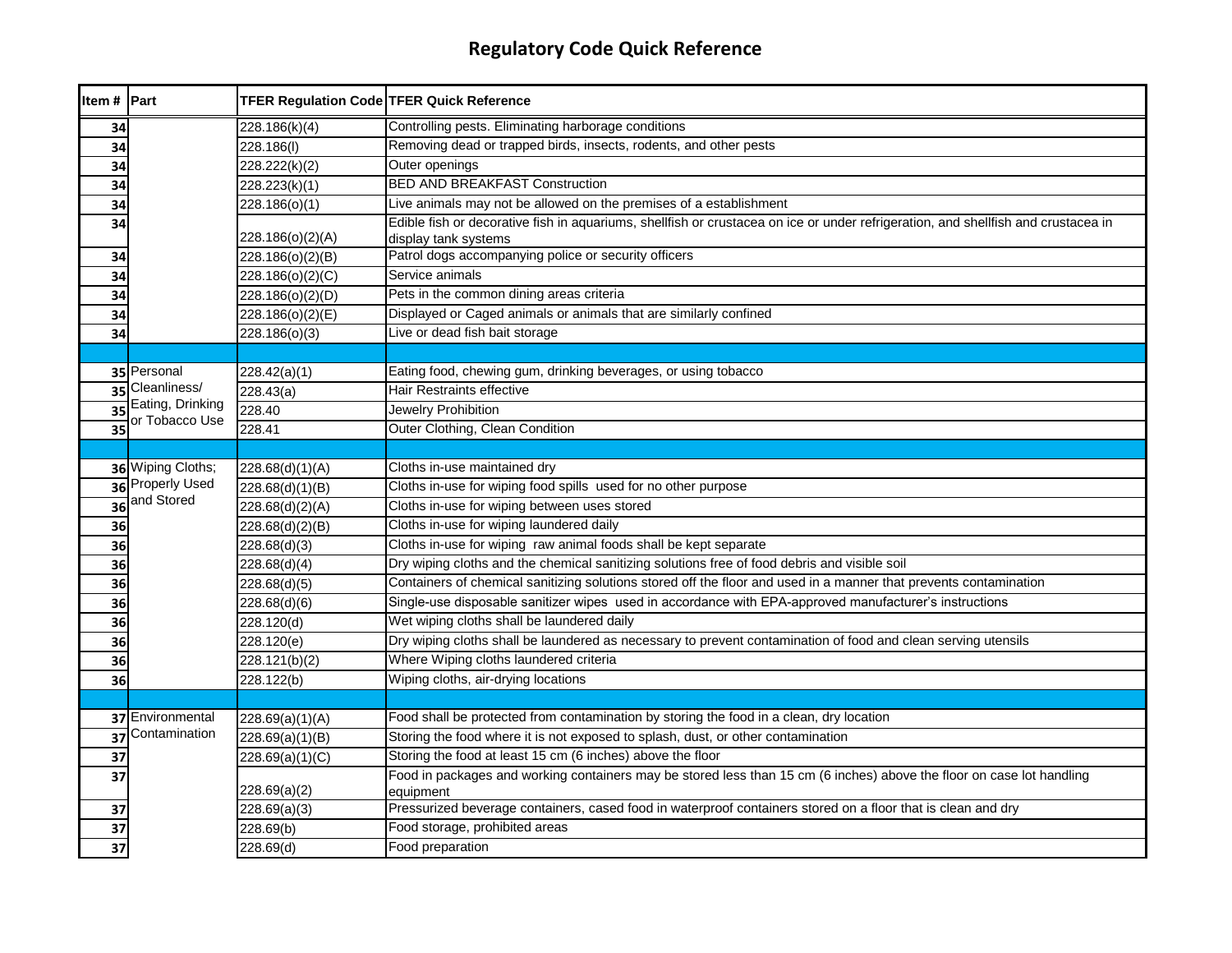| Item # Part     |                   | TFER Regulation Code TFER Quick Reference |                                                                                                                                                           |
|-----------------|-------------------|-------------------------------------------|-----------------------------------------------------------------------------------------------------------------------------------------------------------|
| 34              |                   | 228.186(k)(4)                             | Controlling pests. Eliminating harborage conditions                                                                                                       |
| 34              |                   | 228.186(I)                                | Removing dead or trapped birds, insects, rodents, and other pests                                                                                         |
| 34              |                   | 228.222(k)(2)                             | Outer openings                                                                                                                                            |
| 34              |                   | 228.223(k)(1)                             | <b>BED AND BREAKFAST Construction</b>                                                                                                                     |
| 34              |                   | 228.186(o)(1)                             | Live animals may not be allowed on the premises of a establishment                                                                                        |
| 34              |                   | 228.186(o)(2)(A)                          | Edible fish or decorative fish in aquariums, shellfish or crustacea on ice or under refrigeration, and shellfish and crustacea in<br>display tank systems |
| 34              |                   | 228.186(o)(2)(B)                          | Patrol dogs accompanying police or security officers                                                                                                      |
| 34              |                   | 228.186(o)(2)(C)                          | Service animals                                                                                                                                           |
| 34              |                   | 228.186(o)(2)(D)                          | Pets in the common dining areas criteria                                                                                                                  |
| 34              |                   | 228.186(o)(2)(E)                          | Displayed or Caged animals or animals that are similarly confined                                                                                         |
| 34              |                   | 228.186(o)(3)                             | Live or dead fish bait storage                                                                                                                            |
|                 |                   |                                           |                                                                                                                                                           |
|                 | 35 Personal       | 228.42(a)(1)                              | Eating food, chewing gum, drinking beverages, or using tobacco                                                                                            |
| 35              | Cleanliness/      | 228.43(a)                                 | Hair Restraints effective                                                                                                                                 |
| $\overline{35}$ | Eating, Drinking  | 228.40                                    | <b>Jewelry Prohibition</b>                                                                                                                                |
| 35              | or Tobacco Use    | 228.41                                    | Outer Clothing, Clean Condition                                                                                                                           |
|                 |                   |                                           |                                                                                                                                                           |
|                 | 36 Wiping Cloths; | 228.68(d)(1)(A)                           | Cloths in-use maintained dry                                                                                                                              |
| 36              | Properly Used     | 228.68(d)(1)(B)                           | Cloths in-use for wiping food spills used for no other purpose                                                                                            |
| 36              | and Stored        | 228.68(d)(2)(A)                           | Cloths in-use for wiping between uses stored                                                                                                              |
| 36              |                   | 228.68(d)(2)(B)                           | Cloths in-use for wiping laundered daily                                                                                                                  |
| 36              |                   | 228.68(d)(3)                              | Cloths in-use for wiping raw animal foods shall be kept separate                                                                                          |
| 36              |                   | 228.68(d)(4)                              | Dry wiping cloths and the chemical sanitizing solutions free of food debris and visible soil                                                              |
| 36              |                   | 228.68(d)(5)                              | Containers of chemical sanitizing solutions stored off the floor and used in a manner that prevents contamination                                         |
| 36              |                   | 228.68(d)(6)                              | Single-use disposable sanitizer wipes used in accordance with EPA-approved manufacturer's instructions                                                    |
| 36              |                   | 228.120(d)                                | Wet wiping cloths shall be laundered daily                                                                                                                |
| 36              |                   | 228.120(e)                                | Dry wiping cloths shall be laundered as necessary to prevent contamination of food and clean serving utensils                                             |
| 36              |                   | 228.121(b)(2)                             | Where Wiping cloths laundered criteria                                                                                                                    |
| 36              |                   | 228.122(b)                                | Wiping cloths, air-drying locations                                                                                                                       |
|                 |                   |                                           |                                                                                                                                                           |
|                 | 37 Environmental  | 228.69(a)(1)(A)                           | Food shall be protected from contamination by storing the food in a clean, dry location                                                                   |
| 37              | Contamination     | 228.69(a)(1)(B)                           | Storing the food where it is not exposed to splash, dust, or other contamination                                                                          |
| 37              |                   | 228.69(a)(1)(C)                           | Storing the food at least 15 cm (6 inches) above the floor                                                                                                |
| 37              |                   | 228.69(a)(2)                              | Food in packages and working containers may be stored less than 15 cm (6 inches) above the floor on case lot handling<br>equipment                        |
| 37              |                   | 228.69(a)(3)                              | Pressurized beverage containers, cased food in waterproof containers stored on a floor that is clean and dry                                              |
| 37              |                   | 228.69(b)                                 | Food storage, prohibited areas                                                                                                                            |
| 37              |                   | 228.69(d)                                 | Food preparation                                                                                                                                          |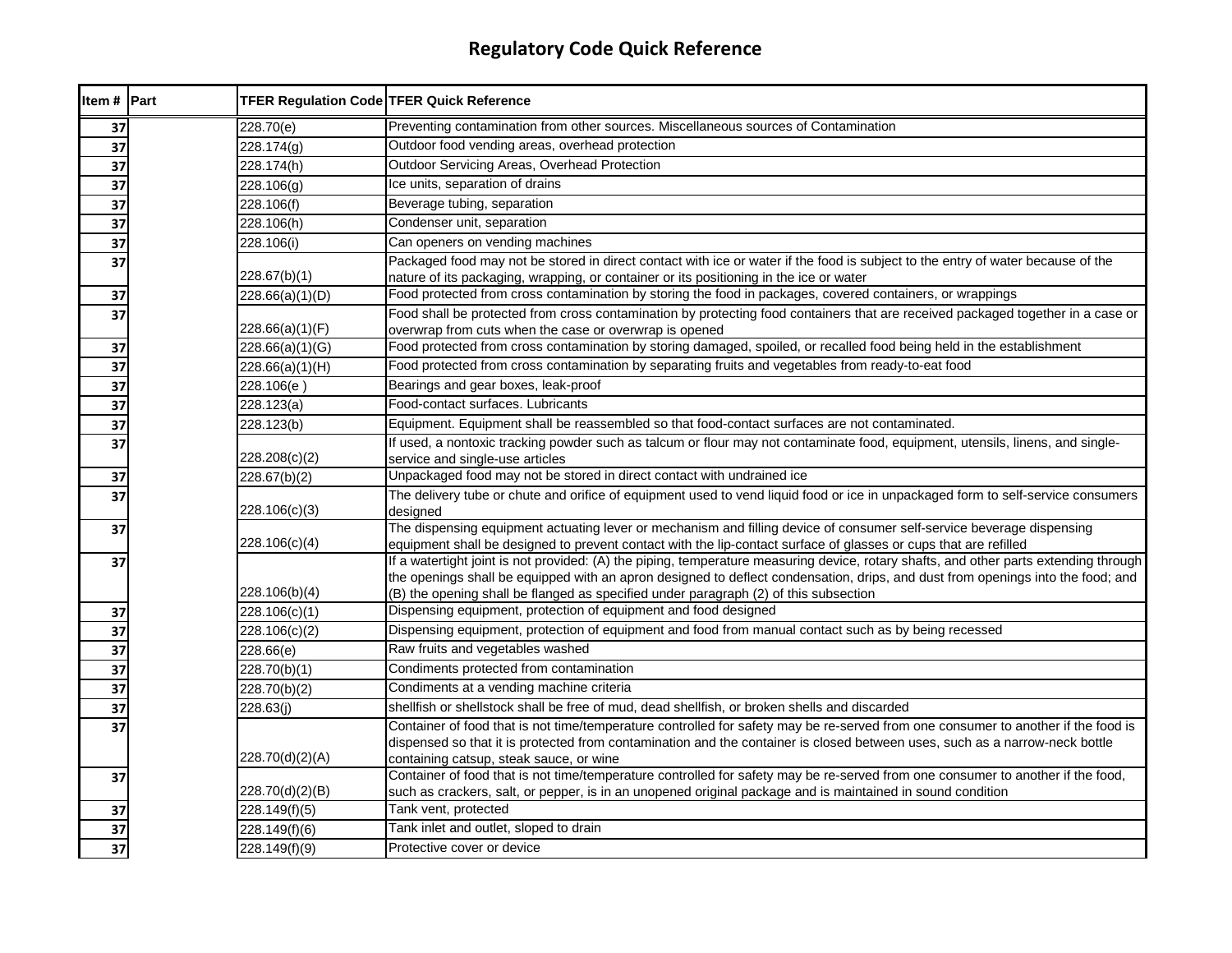| Item # Part     | TFER Regulation Code TFER Quick Reference |                                                                                                                                                                                                                                           |
|-----------------|-------------------------------------------|-------------------------------------------------------------------------------------------------------------------------------------------------------------------------------------------------------------------------------------------|
| 37              | 228.70(e)                                 | Preventing contamination from other sources. Miscellaneous sources of Contamination                                                                                                                                                       |
| 37              | 228.174(g)                                | Outdoor food vending areas, overhead protection                                                                                                                                                                                           |
| $\overline{37}$ | 228.174(h)                                | Outdoor Servicing Areas, Overhead Protection                                                                                                                                                                                              |
| 37              | 228.106(g)                                | Ice units, separation of drains                                                                                                                                                                                                           |
| 37              | 228.106(f)                                | Beverage tubing, separation                                                                                                                                                                                                               |
| 37              | 228.106(h)                                | Condenser unit, separation                                                                                                                                                                                                                |
| 37              | 228.106(i)                                | Can openers on vending machines                                                                                                                                                                                                           |
| 37              |                                           | Packaged food may not be stored in direct contact with ice or water if the food is subject to the entry of water because of the                                                                                                           |
|                 | 228.67(b)(1)                              | nature of its packaging, wrapping, or container or its positioning in the ice or water                                                                                                                                                    |
| 37              | 228.66(a)(1)(D)                           | Food protected from cross contamination by storing the food in packages, covered containers, or wrappings                                                                                                                                 |
| 37              |                                           | Food shall be protected from cross contamination by protecting food containers that are received packaged together in a case or                                                                                                           |
|                 | 228.66(a)(1)(F)                           | overwrap from cuts when the case or overwrap is opened                                                                                                                                                                                    |
| 37              | 228.66(a)(1)(G)                           | Food protected from cross contamination by storing damaged, spoiled, or recalled food being held in the establishment                                                                                                                     |
| 37              | 228.66(a)(1)(H)                           | Food protected from cross contamination by separating fruits and vegetables from ready-to-eat food                                                                                                                                        |
| 37              | 228.106(e)                                | Bearings and gear boxes, leak-proof                                                                                                                                                                                                       |
| $\overline{37}$ | 228.123(a)                                | Food-contact surfaces. Lubricants                                                                                                                                                                                                         |
| 37              | 228.123(b)                                | Equipment. Equipment shall be reassembled so that food-contact surfaces are not contaminated.                                                                                                                                             |
| 37              | 228.208(c)(2)                             | If used, a nontoxic tracking powder such as talcum or flour may not contaminate food, equipment, utensils, linens, and single-<br>service and single-use articles                                                                         |
| 37              | 228.67(b)(2)                              | Unpackaged food may not be stored in direct contact with undrained ice                                                                                                                                                                    |
| 37              |                                           | The delivery tube or chute and orifice of equipment used to vend liquid food or ice in unpackaged form to self-service consumers                                                                                                          |
|                 | 228.106(c)(3)                             | designed                                                                                                                                                                                                                                  |
| 37              | 228.106(c)(4)                             | The dispensing equipment actuating lever or mechanism and filling device of consumer self-service beverage dispensing<br>equipment shall be designed to prevent contact with the lip-contact surface of glasses or cups that are refilled |
| 37              |                                           | If a watertight joint is not provided: (A) the piping, temperature measuring device, rotary shafts, and other parts extending through                                                                                                     |
|                 |                                           | the openings shall be equipped with an apron designed to deflect condensation, drips, and dust from openings into the food; and                                                                                                           |
|                 | 228.106(b)(4)                             | (B) the opening shall be flanged as specified under paragraph (2) of this subsection                                                                                                                                                      |
| 37              | 228.106(c)(1)                             | Dispensing equipment, protection of equipment and food designed                                                                                                                                                                           |
| 37              | 228.106(c)(2)                             | Dispensing equipment, protection of equipment and food from manual contact such as by being recessed                                                                                                                                      |
| 37              | 228.66(e)                                 | Raw fruits and vegetables washed                                                                                                                                                                                                          |
| 37              | 228.70(b)(1)                              | Condiments protected from contamination                                                                                                                                                                                                   |
| 37              | 228.70(b)(2)                              | Condiments at a vending machine criteria                                                                                                                                                                                                  |
| 37              | 228.63(j)                                 | shellfish or shellstock shall be free of mud, dead shellfish, or broken shells and discarded                                                                                                                                              |
| 37              |                                           | Container of food that is not time/temperature controlled for safety may be re-served from one consumer to another if the food is                                                                                                         |
|                 |                                           | dispensed so that it is protected from contamination and the container is closed between uses, such as a narrow-neck bottle                                                                                                               |
|                 | 228.70(d)(2)(A)                           | containing catsup, steak sauce, or wine<br>Container of food that is not time/temperature controlled for safety may be re-served from one consumer to another if the food,                                                                |
| 37              | 228.70(d)(2)(B)                           | such as crackers, salt, or pepper, is in an unopened original package and is maintained in sound condition                                                                                                                                |
| 37              | 228.149(f)(5)                             | Tank vent, protected                                                                                                                                                                                                                      |
| 37              | 228.149(f)(6)                             | Tank inlet and outlet, sloped to drain                                                                                                                                                                                                    |
| $\overline{37}$ | 228.149(f)(9)                             | Protective cover or device                                                                                                                                                                                                                |
|                 |                                           |                                                                                                                                                                                                                                           |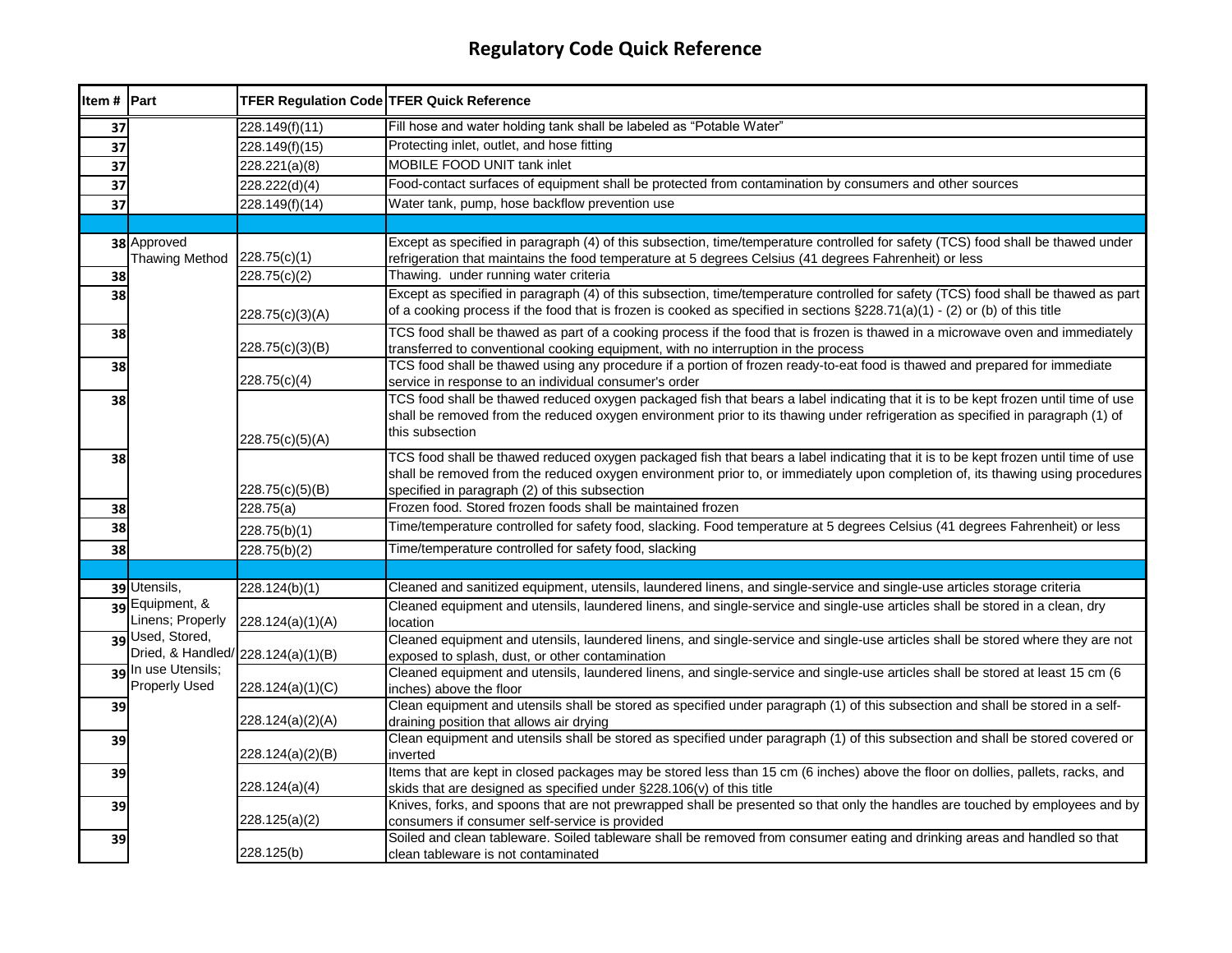| Item # Part |                                                        | TFER Regulation Code TFER Quick Reference |                                                                                                                                                                                                                                                                                                                       |
|-------------|--------------------------------------------------------|-------------------------------------------|-----------------------------------------------------------------------------------------------------------------------------------------------------------------------------------------------------------------------------------------------------------------------------------------------------------------------|
| 37          |                                                        | 228.149(f)(11)                            | Fill hose and water holding tank shall be labeled as "Potable Water"                                                                                                                                                                                                                                                  |
| 37          |                                                        | 228.149(f)(15)                            | Protecting inlet, outlet, and hose fitting                                                                                                                                                                                                                                                                            |
| 37          |                                                        | 228.221(a)(8)                             | MOBILE FOOD UNIT tank inlet                                                                                                                                                                                                                                                                                           |
| 37          |                                                        | 228.222(d)(4)                             | Food-contact surfaces of equipment shall be protected from contamination by consumers and other sources                                                                                                                                                                                                               |
| 37          |                                                        | 228.149(f)(14)                            | Water tank, pump, hose backflow prevention use                                                                                                                                                                                                                                                                        |
|             |                                                        |                                           |                                                                                                                                                                                                                                                                                                                       |
|             | 38 Approved<br><b>Thawing Method</b>                   | 228.75(c)(1)                              | Except as specified in paragraph (4) of this subsection, time/temperature controlled for safety (TCS) food shall be thawed under<br>refrigeration that maintains the food temperature at 5 degrees Celsius (41 degrees Fahrenheit) or less                                                                            |
| 38          |                                                        | 228.75(c)(2)                              | Thawing. under running water criteria                                                                                                                                                                                                                                                                                 |
| 38          |                                                        | 228.75(c)(3)(A)                           | Except as specified in paragraph (4) of this subsection, time/temperature controlled for safety (TCS) food shall be thawed as part<br>of a cooking process if the food that is frozen is cooked as specified in sections §228.71(a)(1) - (2) or (b) of this title                                                     |
| 38          |                                                        | 228.75(c)(3)(B)                           | TCS food shall be thawed as part of a cooking process if the food that is frozen is thawed in a microwave oven and immediately<br>transferred to conventional cooking equipment, with no interruption in the process                                                                                                  |
| 38          |                                                        | 228.75(c)(4)                              | TCS food shall be thawed using any procedure if a portion of frozen ready-to-eat food is thawed and prepared for immediate<br>service in response to an individual consumer's order                                                                                                                                   |
| 38          |                                                        | 228.75(c)(5)(A)                           | TCS food shall be thawed reduced oxygen packaged fish that bears a label indicating that it is to be kept frozen until time of use<br>shall be removed from the reduced oxygen environment prior to its thawing under refrigeration as specified in paragraph (1) of<br>this subsection                               |
| 38          |                                                        | 228.75(c)(5)(B)                           | TCS food shall be thawed reduced oxygen packaged fish that bears a label indicating that it is to be kept frozen until time of use<br>shall be removed from the reduced oxygen environment prior to, or immediately upon completion of, its thawing using procedures<br>specified in paragraph (2) of this subsection |
| 38          |                                                        | 228.75(a)                                 | Frozen food. Stored frozen foods shall be maintained frozen                                                                                                                                                                                                                                                           |
| 38          |                                                        | 228.75(b)(1)                              | Time/temperature controlled for safety food, slacking. Food temperature at 5 degrees Celsius (41 degrees Fahrenheit) or less                                                                                                                                                                                          |
| 38          |                                                        | 228.75(b)(2)                              | Time/temperature controlled for safety food, slacking                                                                                                                                                                                                                                                                 |
|             |                                                        |                                           |                                                                                                                                                                                                                                                                                                                       |
|             | 39 Utensils,                                           | 228.124(b)(1)                             | Cleaned and sanitized equipment, utensils, laundered linens, and single-service and single-use articles storage criteria                                                                                                                                                                                              |
|             | 39 Equipment, &<br>Linens; Properly                    | 228.124(a)(1)(A)                          | Cleaned equipment and utensils, laundered linens, and single-service and single-use articles shall be stored in a clean, dry<br>location                                                                                                                                                                              |
|             | 39 Used, Stored,<br>Dried, & Handled/ 228.124(a)(1)(B) |                                           | Cleaned equipment and utensils, laundered linens, and single-service and single-use articles shall be stored where they are not<br>exposed to splash, dust, or other contamination                                                                                                                                    |
|             | 39 In use Utensils;<br><b>Properly Used</b>            | 228.124(a)(1)(C)                          | Cleaned equipment and utensils, laundered linens, and single-service and single-use articles shall be stored at least 15 cm (6<br>inches) above the floor                                                                                                                                                             |
| 39          |                                                        | 228.124(a)(2)(A)                          | Clean equipment and utensils shall be stored as specified under paragraph (1) of this subsection and shall be stored in a self-<br>draining position that allows air drying                                                                                                                                           |
| 39          |                                                        | 228.124(a)(2)(B)                          | Clean equipment and utensils shall be stored as specified under paragraph (1) of this subsection and shall be stored covered or<br>inverted                                                                                                                                                                           |
| 39          |                                                        | 228.124(a)(4)                             | Items that are kept in closed packages may be stored less than 15 cm (6 inches) above the floor on dollies, pallets, racks, and<br>skids that are designed as specified under §228.106(v) of this title                                                                                                               |
| 39          |                                                        | 228.125(a)(2)                             | Knives, forks, and spoons that are not prewrapped shall be presented so that only the handles are touched by employees and by<br>consumers if consumer self-service is provided                                                                                                                                       |
| 39          |                                                        | 228.125(b)                                | Soiled and clean tableware. Soiled tableware shall be removed from consumer eating and drinking areas and handled so that<br>clean tableware is not contaminated                                                                                                                                                      |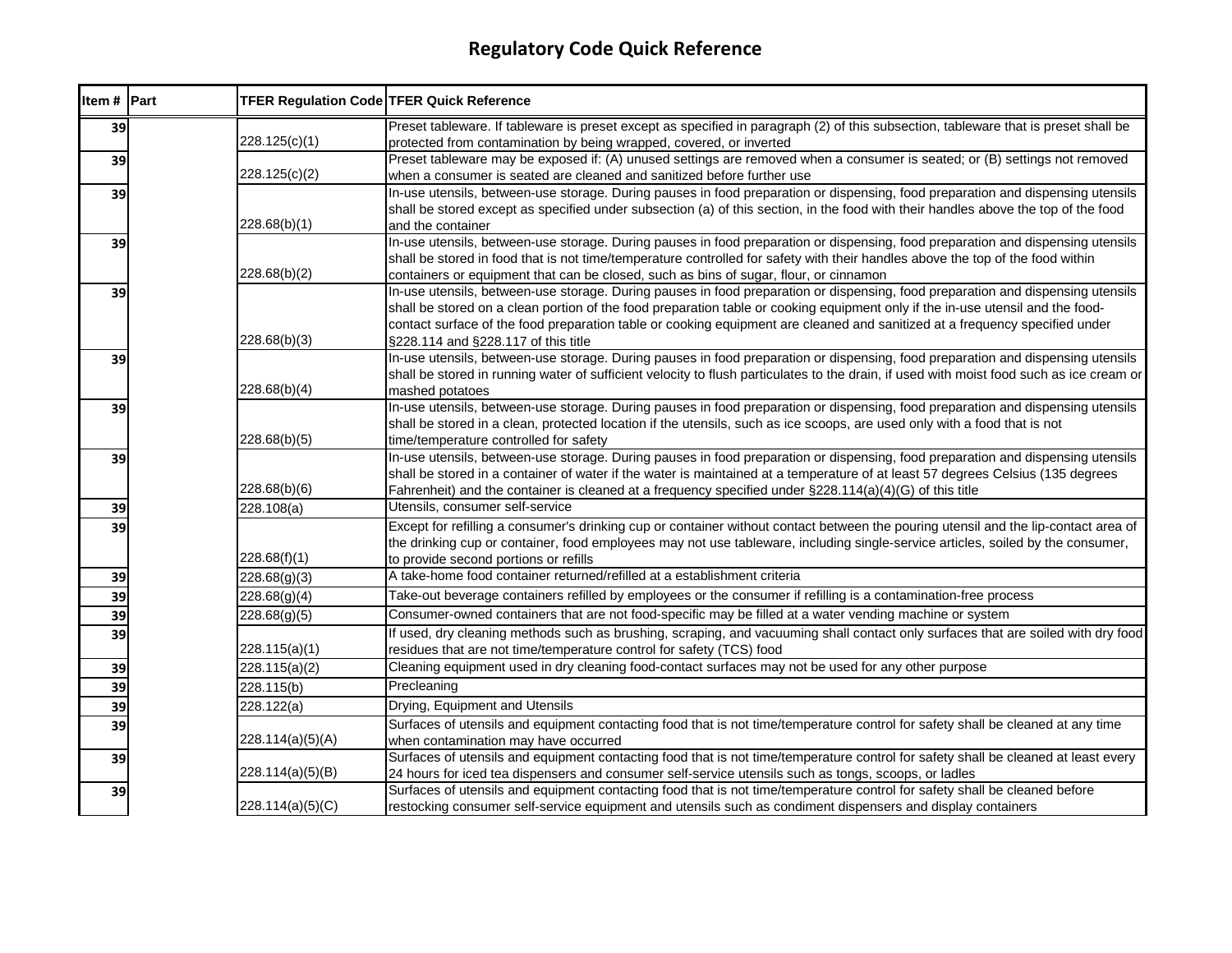| Item # Part | <b>TFER Regulation Code TFER Quick Reference</b> |                                                                                                                                                                                                                                                                                                                                                                                                                                         |
|-------------|--------------------------------------------------|-----------------------------------------------------------------------------------------------------------------------------------------------------------------------------------------------------------------------------------------------------------------------------------------------------------------------------------------------------------------------------------------------------------------------------------------|
| 39          | 228.125(c)(1)                                    | Preset tableware. If tableware is preset except as specified in paragraph (2) of this subsection, tableware that is preset shall be<br>protected from contamination by being wrapped, covered, or inverted                                                                                                                                                                                                                              |
| 39          | 228.125(c)(2)                                    | Preset tableware may be exposed if: (A) unused settings are removed when a consumer is seated; or (B) settings not removed<br>when a consumer is seated are cleaned and sanitized before further use                                                                                                                                                                                                                                    |
| 39          | 228.68(b)(1)                                     | In-use utensils, between-use storage. During pauses in food preparation or dispensing, food preparation and dispensing utensils<br>shall be stored except as specified under subsection (a) of this section, in the food with their handles above the top of the food<br>and the container                                                                                                                                              |
| 39          | 228.68(b)(2)                                     | In-use utensils, between-use storage. During pauses in food preparation or dispensing, food preparation and dispensing utensils<br>shall be stored in food that is not time/temperature controlled for safety with their handles above the top of the food within<br>containers or equipment that can be closed, such as bins of sugar, flour, or cinnamon                                                                              |
| 39          | 228.68(b)(3)                                     | In-use utensils, between-use storage. During pauses in food preparation or dispensing, food preparation and dispensing utensils<br>shall be stored on a clean portion of the food preparation table or cooking equipment only if the in-use utensil and the food-<br>contact surface of the food preparation table or cooking equipment are cleaned and sanitized at a frequency specified under<br>§228.114 and §228.117 of this title |
| 39          | 228.68(b)(4)                                     | In-use utensils, between-use storage. During pauses in food preparation or dispensing, food preparation and dispensing utensils<br>shall be stored in running water of sufficient velocity to flush particulates to the drain, if used with moist food such as ice cream or<br>mashed potatoes                                                                                                                                          |
| 39          | 228.68(b)(5)                                     | In-use utensils, between-use storage. During pauses in food preparation or dispensing, food preparation and dispensing utensils<br>shall be stored in a clean, protected location if the utensils, such as ice scoops, are used only with a food that is not<br>time/temperature controlled for safety                                                                                                                                  |
| 39          | 228.68(b)(6)                                     | In-use utensils, between-use storage. During pauses in food preparation or dispensing, food preparation and dispensing utensils<br>shall be stored in a container of water if the water is maintained at a temperature of at least 57 degrees Celsius (135 degrees<br>Fahrenheit) and the container is cleaned at a frequency specified under $\S 228.114(a)(4)(G)$ of this title                                                       |
| 39          | 228.108(a)                                       | Utensils, consumer self-service                                                                                                                                                                                                                                                                                                                                                                                                         |
| 39          | 228.68(f)(1)                                     | Except for refilling a consumer's drinking cup or container without contact between the pouring utensil and the lip-contact area of<br>the drinking cup or container, food employees may not use tableware, including single-service articles, soiled by the consumer,<br>to provide second portions or refills                                                                                                                         |
| 39          | 228.68(g)(3)                                     | A take-home food container returned/refilled at a establishment criteria                                                                                                                                                                                                                                                                                                                                                                |
| 39          | 228.68(g)(4)                                     | Take-out beverage containers refilled by employees or the consumer if refilling is a contamination-free process                                                                                                                                                                                                                                                                                                                         |
| 39          | 228.68(g)(5)                                     | Consumer-owned containers that are not food-specific may be filled at a water vending machine or system                                                                                                                                                                                                                                                                                                                                 |
| 39          | 228.115(a)(1)                                    | If used, dry cleaning methods such as brushing, scraping, and vacuuming shall contact only surfaces that are soiled with dry food<br>residues that are not time/temperature control for safety (TCS) food                                                                                                                                                                                                                               |
| 39          | 228.115(a)(2)                                    | Cleaning equipment used in dry cleaning food-contact surfaces may not be used for any other purpose                                                                                                                                                                                                                                                                                                                                     |
| 39          | 228.115(b)                                       | Precleaning                                                                                                                                                                                                                                                                                                                                                                                                                             |
| 39          | 228.122(a)                                       | Drying, Equipment and Utensils                                                                                                                                                                                                                                                                                                                                                                                                          |
| 39          | 228.114(a)(5)(A)                                 | Surfaces of utensils and equipment contacting food that is not time/temperature control for safety shall be cleaned at any time<br>when contamination may have occurred                                                                                                                                                                                                                                                                 |
| 39          | 228.114(a)(5)(B)                                 | Surfaces of utensils and equipment contacting food that is not time/temperature control for safety shall be cleaned at least every<br>24 hours for iced tea dispensers and consumer self-service utensils such as tongs, scoops, or ladles                                                                                                                                                                                              |
| 39          | 228.114(a)(5)(C)                                 | Surfaces of utensils and equipment contacting food that is not time/temperature control for safety shall be cleaned before<br>restocking consumer self-service equipment and utensils such as condiment dispensers and display containers                                                                                                                                                                                               |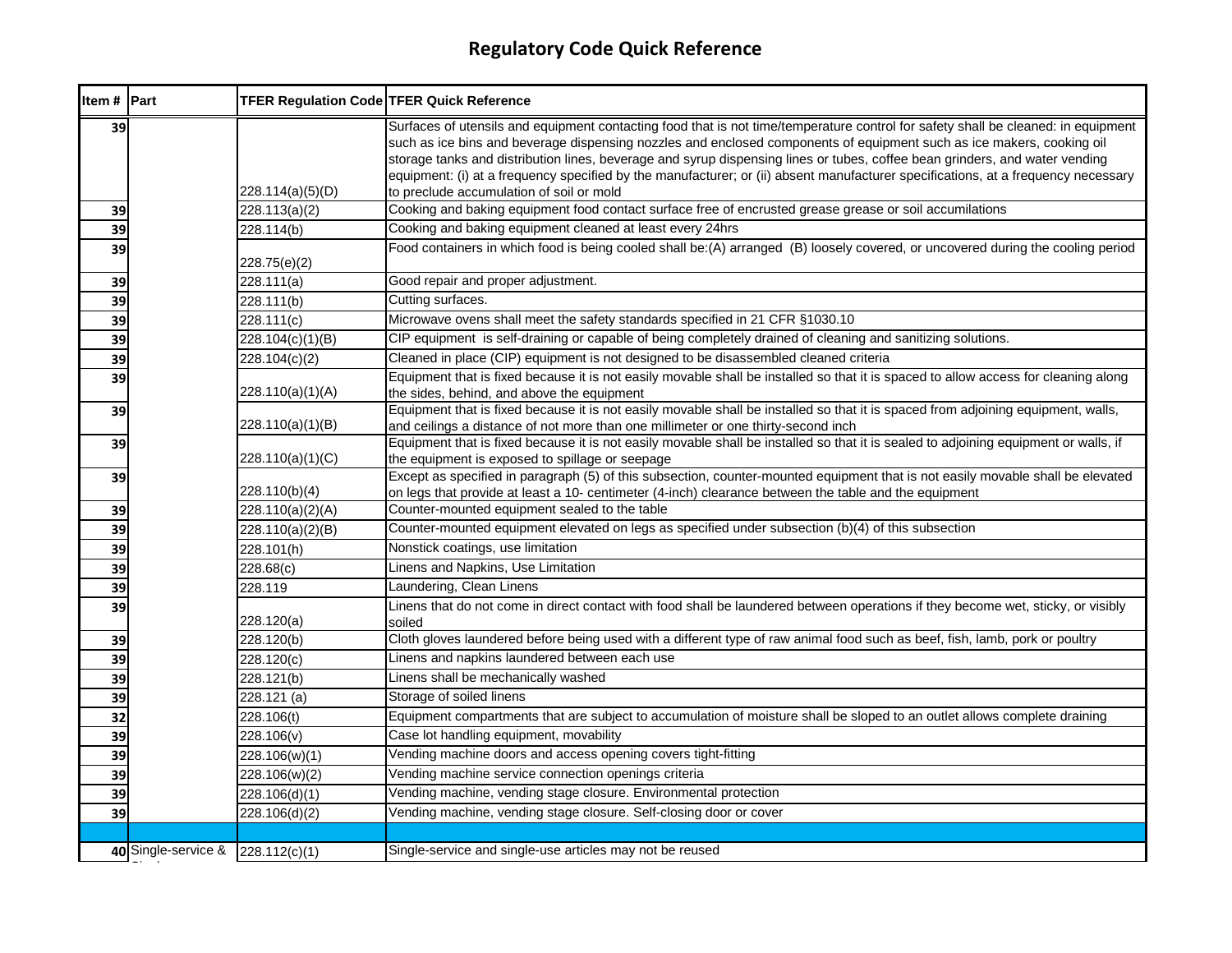| Item # Part |                                   | <b>TFER Regulation Code TFER Quick Reference</b> |                                                                                                                                                                                                                                                                                                                                                                                                                                                                                                                                                                            |
|-------------|-----------------------------------|--------------------------------------------------|----------------------------------------------------------------------------------------------------------------------------------------------------------------------------------------------------------------------------------------------------------------------------------------------------------------------------------------------------------------------------------------------------------------------------------------------------------------------------------------------------------------------------------------------------------------------------|
| 39          |                                   | 228.114(a)(5)(D)                                 | Surfaces of utensils and equipment contacting food that is not time/temperature control for safety shall be cleaned: in equipment<br>such as ice bins and beverage dispensing nozzles and enclosed components of equipment such as ice makers, cooking oil<br>storage tanks and distribution lines, beverage and syrup dispensing lines or tubes, coffee bean grinders, and water vending<br>equipment: (i) at a frequency specified by the manufacturer; or (ii) absent manufacturer specifications, at a frequency necessary<br>to preclude accumulation of soil or mold |
| 39          |                                   | 228.113(a)(2)                                    | Cooking and baking equipment food contact surface free of encrusted grease grease or soil accumilations                                                                                                                                                                                                                                                                                                                                                                                                                                                                    |
| 39          |                                   | 228.114(b)                                       | Cooking and baking equipment cleaned at least every 24hrs                                                                                                                                                                                                                                                                                                                                                                                                                                                                                                                  |
| 39          |                                   | 228.75(e)(2)                                     | Food containers in which food is being cooled shall be:(A) arranged (B) loosely covered, or uncovered during the cooling period                                                                                                                                                                                                                                                                                                                                                                                                                                            |
| 39          |                                   | 228.111(a)                                       | Good repair and proper adjustment.                                                                                                                                                                                                                                                                                                                                                                                                                                                                                                                                         |
| 39          |                                   | 228.111(b)                                       | Cutting surfaces.                                                                                                                                                                                                                                                                                                                                                                                                                                                                                                                                                          |
| 39          |                                   | 228.111(c)                                       | Microwave ovens shall meet the safety standards specified in 21 CFR §1030.10                                                                                                                                                                                                                                                                                                                                                                                                                                                                                               |
| 39          |                                   | 228.104(c)(1)(B)                                 | CIP equipment is self-draining or capable of being completely drained of cleaning and sanitizing solutions.                                                                                                                                                                                                                                                                                                                                                                                                                                                                |
| 39          |                                   | 228.104(c)(2)                                    | Cleaned in place (CIP) equipment is not designed to be disassembled cleaned criteria                                                                                                                                                                                                                                                                                                                                                                                                                                                                                       |
| 39          |                                   | 228.110(a)(1)(A)                                 | Equipment that is fixed because it is not easily movable shall be installed so that it is spaced to allow access for cleaning along<br>the sides, behind, and above the equipment                                                                                                                                                                                                                                                                                                                                                                                          |
| 39          |                                   | 228.110(a)(1)(B)                                 | Equipment that is fixed because it is not easily movable shall be installed so that it is spaced from adjoining equipment, walls,<br>and ceilings a distance of not more than one millimeter or one thirty-second inch                                                                                                                                                                                                                                                                                                                                                     |
| 39          |                                   | 228.110(a)(1)(C)                                 | Equipment that is fixed because it is not easily movable shall be installed so that it is sealed to adjoining equipment or walls, if<br>the equipment is exposed to spillage or seepage                                                                                                                                                                                                                                                                                                                                                                                    |
| 39          |                                   | 228.110(b)(4)                                    | Except as specified in paragraph (5) of this subsection, counter-mounted equipment that is not easily movable shall be elevated<br>on legs that provide at least a 10- centimeter (4-inch) clearance between the table and the equipment                                                                                                                                                                                                                                                                                                                                   |
| 39          |                                   | 228.110(a)(2)(A)                                 | Counter-mounted equipment sealed to the table                                                                                                                                                                                                                                                                                                                                                                                                                                                                                                                              |
| 39          |                                   | 228.110(a)(2)(B)                                 | Counter-mounted equipment elevated on legs as specified under subsection (b)(4) of this subsection                                                                                                                                                                                                                                                                                                                                                                                                                                                                         |
| 39          |                                   | 228.101(h)                                       | Nonstick coatings, use limitation                                                                                                                                                                                                                                                                                                                                                                                                                                                                                                                                          |
| 39          |                                   | 228.68(c)                                        | Linens and Napkins, Use Limitation                                                                                                                                                                                                                                                                                                                                                                                                                                                                                                                                         |
| 39          |                                   | 228.119                                          | Laundering, Clean Linens                                                                                                                                                                                                                                                                                                                                                                                                                                                                                                                                                   |
| 39          |                                   | 228.120(a)                                       | Linens that do not come in direct contact with food shall be laundered between operations if they become wet, sticky, or visibly<br>soiled                                                                                                                                                                                                                                                                                                                                                                                                                                 |
| 39          |                                   | 228.120(b)                                       | Cloth gloves laundered before being used with a different type of raw animal food such as beef, fish, lamb, pork or poultry                                                                                                                                                                                                                                                                                                                                                                                                                                                |
| 39          |                                   | 228.120(c)                                       | Linens and napkins laundered between each use                                                                                                                                                                                                                                                                                                                                                                                                                                                                                                                              |
| 39          |                                   | 228.121(b)                                       | Linens shall be mechanically washed                                                                                                                                                                                                                                                                                                                                                                                                                                                                                                                                        |
| 39          |                                   | 228.121 (a)                                      | Storage of soiled linens                                                                                                                                                                                                                                                                                                                                                                                                                                                                                                                                                   |
| 32          |                                   | 228.106(t)                                       | Equipment compartments that are subject to accumulation of moisture shall be sloped to an outlet allows complete draining                                                                                                                                                                                                                                                                                                                                                                                                                                                  |
| 39          |                                   | 228.106(v)                                       | Case lot handling equipment, movability                                                                                                                                                                                                                                                                                                                                                                                                                                                                                                                                    |
| 39          |                                   | 228.106(w)(1)                                    | Vending machine doors and access opening covers tight-fitting                                                                                                                                                                                                                                                                                                                                                                                                                                                                                                              |
| 39          |                                   | 228.106(w)(2)                                    | Vending machine service connection openings criteria                                                                                                                                                                                                                                                                                                                                                                                                                                                                                                                       |
| 39          |                                   | 228.106(d)(1)                                    | Vending machine, vending stage closure. Environmental protection                                                                                                                                                                                                                                                                                                                                                                                                                                                                                                           |
| 39          |                                   | 228.106(d)(2)                                    | Vending machine, vending stage closure. Self-closing door or cover                                                                                                                                                                                                                                                                                                                                                                                                                                                                                                         |
|             |                                   |                                                  |                                                                                                                                                                                                                                                                                                                                                                                                                                                                                                                                                                            |
|             | 40 Single-service & 228.112(c)(1) |                                                  | Single-service and single-use articles may not be reused                                                                                                                                                                                                                                                                                                                                                                                                                                                                                                                   |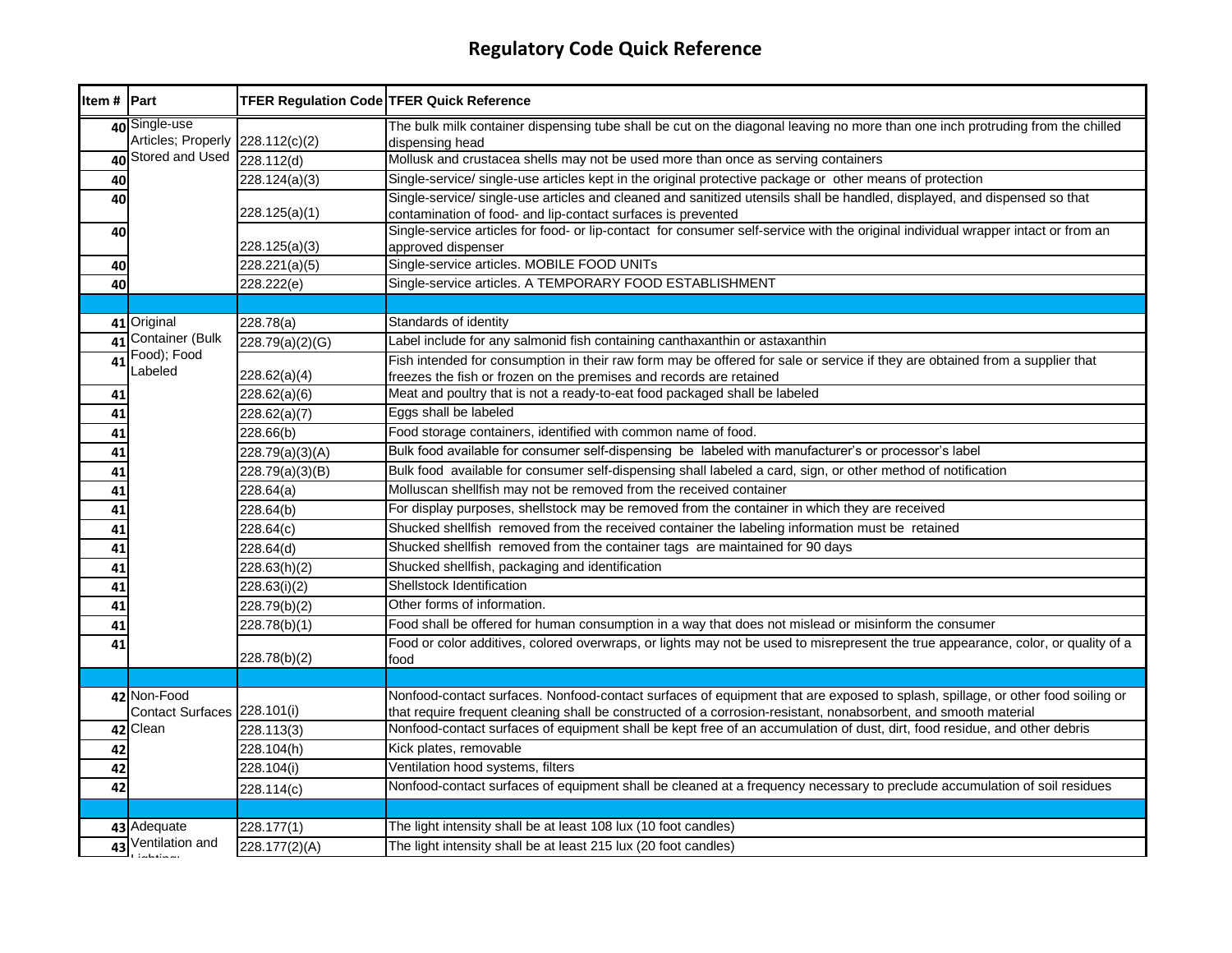| Item # Part |                                                                | <b>TFER Regulation Code TFER Quick Reference</b> |                                                                                                                                                                                           |
|-------------|----------------------------------------------------------------|--------------------------------------------------|-------------------------------------------------------------------------------------------------------------------------------------------------------------------------------------------|
|             | 40 Single-use                                                  |                                                  | The bulk milk container dispensing tube shall be cut on the diagonal leaving no more than one inch protruding from the chilled                                                            |
|             | Articles; Properly 228.112(c)(2)<br>Stored and Used 228.112(d) |                                                  | dispensing head                                                                                                                                                                           |
| 40          |                                                                |                                                  | Mollusk and crustacea shells may not be used more than once as serving containers                                                                                                         |
| 40          |                                                                | 228.124(a)(3)                                    | Single-service/ single-use articles kept in the original protective package or other means of protection                                                                                  |
| 40          |                                                                | 228.125(a)(1)                                    | Single-service/ single-use articles and cleaned and sanitized utensils shall be handled, displayed, and dispensed so that<br>contamination of food- and lip-contact surfaces is prevented |
| 40          |                                                                | 228.125(a)(3)                                    | Single-service articles for food- or lip-contact for consumer self-service with the original individual wrapper intact or from an<br>approved dispenser                                   |
| 40          |                                                                | 228.221(a)(5)                                    | Single-service articles. MOBILE FOOD UNITs                                                                                                                                                |
| 40          |                                                                | 228.222(e)                                       | Single-service articles. A TEMPORARY FOOD ESTABLISHMENT                                                                                                                                   |
|             |                                                                |                                                  |                                                                                                                                                                                           |
|             | 41 Original                                                    | 228.78(a)                                        | Standards of identity                                                                                                                                                                     |
| 41          | Container (Bulk                                                | 228.79(a)(2)(G)                                  | Label include for any salmonid fish containing canthaxanthin or astaxanthin                                                                                                               |
| 41          | Food); Food<br>Labeled                                         |                                                  | Fish intended for consumption in their raw form may be offered for sale or service if they are obtained from a supplier that                                                              |
|             |                                                                | 228.62(a)(4)                                     | freezes the fish or frozen on the premises and records are retained                                                                                                                       |
| 41          |                                                                | 228.62(a)(6)                                     | Meat and poultry that is not a ready-to-eat food packaged shall be labeled                                                                                                                |
| 41          |                                                                | 228.62(a)(7)                                     | Eggs shall be labeled                                                                                                                                                                     |
| 41          |                                                                | 228.66(b)                                        | Food storage containers, identified with common name of food.                                                                                                                             |
| 41          |                                                                | 228.79(a)(3)(A)                                  | Bulk food available for consumer self-dispensing be labeled with manufacturer's or processor's label                                                                                      |
| 41          |                                                                | 228.79(a)(3)(B)                                  | Bulk food available for consumer self-dispensing shall labeled a card, sign, or other method of notification                                                                              |
| 41          |                                                                | 228.64(a)                                        | Molluscan shellfish may not be removed from the received container                                                                                                                        |
| 41          |                                                                | 228.64(b)                                        | For display purposes, shellstock may be removed from the container in which they are received                                                                                             |
| 41          |                                                                | 228.64(c)                                        | Shucked shellfish removed from the received container the labeling information must be retained                                                                                           |
| 41          |                                                                | 228.64(d)                                        | Shucked shellfish removed from the container tags are maintained for 90 days                                                                                                              |
| 41          |                                                                | 228.63(h)(2)                                     | Shucked shellfish, packaging and identification                                                                                                                                           |
| 41          |                                                                | 228.63(i)(2)                                     | Shellstock Identification                                                                                                                                                                 |
| 41          |                                                                | $\frac{1}{228.79(b)(2)}$                         | Other forms of information.                                                                                                                                                               |
| 41          |                                                                | 228.78(b)(1)                                     | Food shall be offered for human consumption in a way that does not mislead or misinform the consumer                                                                                      |
| 41          |                                                                | 228.78(b)(2)                                     | Food or color additives, colored overwraps, or lights may not be used to misrepresent the true appearance, color, or quality of a<br>food                                                 |
|             |                                                                |                                                  |                                                                                                                                                                                           |
|             | 42 Non-Food                                                    |                                                  | Nonfood-contact surfaces. Nonfood-contact surfaces of equipment that are exposed to splash, spillage, or other food soiling or                                                            |
|             | Contact Surfaces 228.101(i)                                    |                                                  | that require frequent cleaning shall be constructed of a corrosion-resistant, nonabsorbent, and smooth material                                                                           |
|             | 42 Clean                                                       | 228.113(3)                                       | Nonfood-contact surfaces of equipment shall be kept free of an accumulation of dust, dirt, food residue, and other debris                                                                 |
| 42          |                                                                | 228.104(h)                                       | Kick plates, removable                                                                                                                                                                    |
| 42          |                                                                | 228.104(i)                                       | Ventilation hood systems, filters                                                                                                                                                         |
| 42          |                                                                | 228.114(c)                                       | Nonfood-contact surfaces of equipment shall be cleaned at a frequency necessary to preclude accumulation of soil residues                                                                 |
|             |                                                                |                                                  |                                                                                                                                                                                           |
|             | 43 Adequate                                                    | 228.177(1)                                       | The light intensity shall be at least 108 lux (10 foot candles)                                                                                                                           |
| 43          | Ventilation and<br>أنسا سألفظ سأنسأل                           | 228.177(2)(A)                                    | The light intensity shall be at least 215 lux (20 foot candles)                                                                                                                           |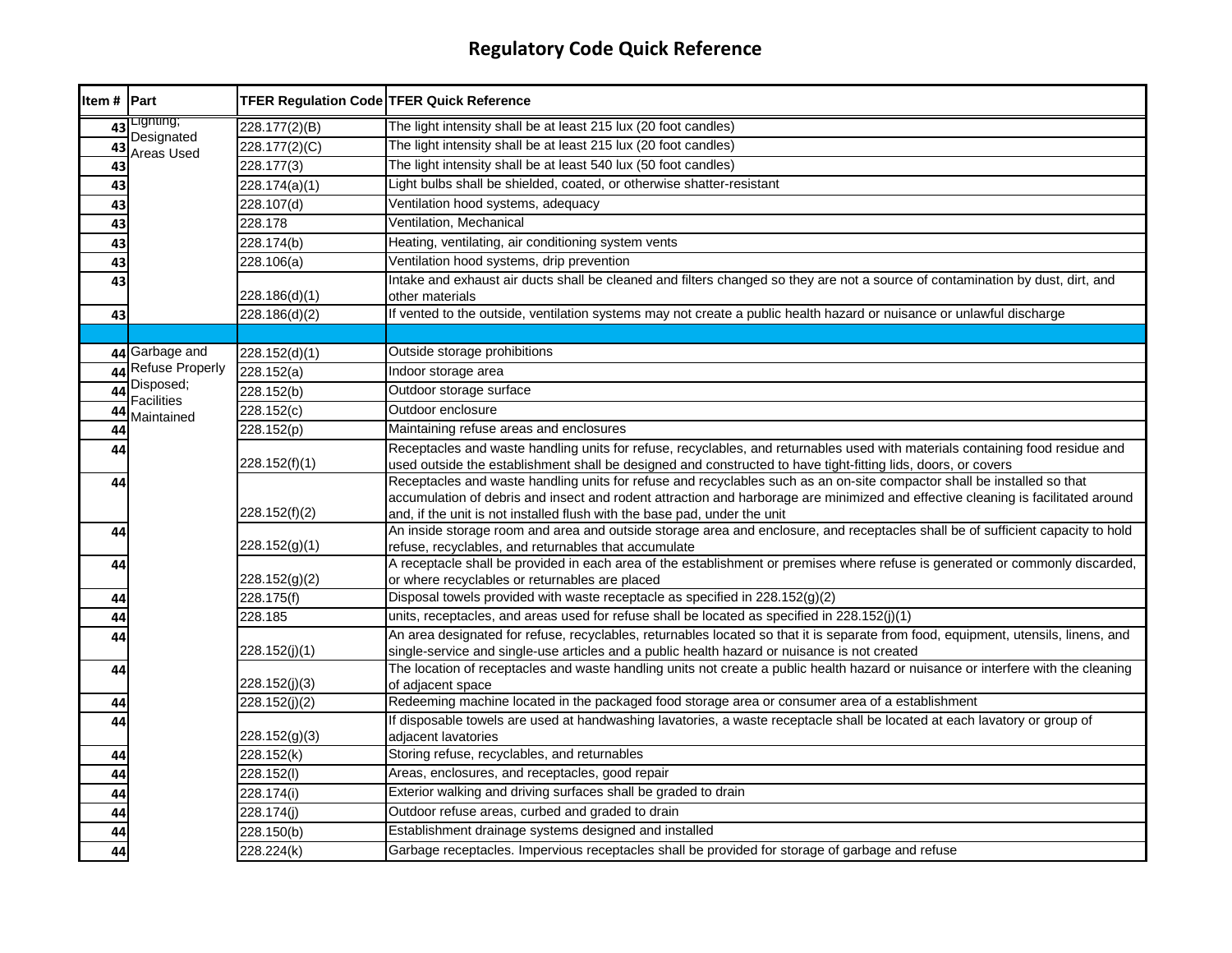| ltem # | Part                           | <b>TFER Regulation Code TFER Quick Reference</b> |                                                                                                                                                                                                                                                                                                                                          |
|--------|--------------------------------|--------------------------------------------------|------------------------------------------------------------------------------------------------------------------------------------------------------------------------------------------------------------------------------------------------------------------------------------------------------------------------------------------|
| 43     | Lighting;                      | 228.177(2)(B)                                    | The light intensity shall be at least 215 lux (20 foot candles)                                                                                                                                                                                                                                                                          |
| 43     | Designated<br>Areas Used       | 228.177(2)(C)                                    | The light intensity shall be at least 215 lux (20 foot candles)                                                                                                                                                                                                                                                                          |
| 43     |                                | 228.177(3)                                       | The light intensity shall be at least 540 lux (50 foot candles)                                                                                                                                                                                                                                                                          |
| 43     |                                | 228.174(a)(1)                                    | Light bulbs shall be shielded, coated, or otherwise shatter-resistant                                                                                                                                                                                                                                                                    |
| 43     |                                | 228.107(d)                                       | Ventilation hood systems, adequacy                                                                                                                                                                                                                                                                                                       |
| 43     |                                | 228.178                                          | Ventilation, Mechanical                                                                                                                                                                                                                                                                                                                  |
| 43     |                                | $\sqrt{228.174(b)}$                              | Heating, ventilating, air conditioning system vents                                                                                                                                                                                                                                                                                      |
| 43     |                                | 228.106(a)                                       | Ventilation hood systems, drip prevention                                                                                                                                                                                                                                                                                                |
| 43     |                                | 228.186(d)(1)                                    | Intake and exhaust air ducts shall be cleaned and filters changed so they are not a source of contamination by dust, dirt, and<br>other materials                                                                                                                                                                                        |
| 43     |                                | 228.186(d)(2)                                    | If vented to the outside, ventilation systems may not create a public health hazard or nuisance or unlawful discharge                                                                                                                                                                                                                    |
|        |                                |                                                  |                                                                                                                                                                                                                                                                                                                                          |
|        | 44 Garbage and                 | 228.152(d)(1)                                    | Outside storage prohibitions                                                                                                                                                                                                                                                                                                             |
| 44     | <b>Refuse Properly</b>         | 228.152(a)                                       | Indoor storage area                                                                                                                                                                                                                                                                                                                      |
| 44     | Disposed;<br><b>Facilities</b> | 228.152(b)                                       | Outdoor storage surface                                                                                                                                                                                                                                                                                                                  |
| 44     | Maintained                     | 228.152(c)                                       | Outdoor enclosure                                                                                                                                                                                                                                                                                                                        |
| 44     |                                | 228.152(p)                                       | Maintaining refuse areas and enclosures                                                                                                                                                                                                                                                                                                  |
| 44     |                                | 228.152(f)(1)                                    | Receptacles and waste handling units for refuse, recyclables, and returnables used with materials containing food residue and<br>used outside the establishment shall be designed and constructed to have tight-fitting lids, doors, or covers                                                                                           |
| 44     |                                | 228.152(f)(2)                                    | Receptacles and waste handling units for refuse and recyclables such as an on-site compactor shall be installed so that<br>accumulation of debris and insect and rodent attraction and harborage are minimized and effective cleaning is facilitated around<br>and, if the unit is not installed flush with the base pad, under the unit |
| 44     |                                | 228.152(g)(1)                                    | An inside storage room and area and outside storage area and enclosure, and receptacles shall be of sufficient capacity to hold<br>refuse, recyclables, and returnables that accumulate                                                                                                                                                  |
| 44     |                                | 228.152(g)(2)                                    | A receptacle shall be provided in each area of the establishment or premises where refuse is generated or commonly discarded,<br>or where recyclables or returnables are placed                                                                                                                                                          |
| 44     |                                | 228.175(f)                                       | Disposal towels provided with waste receptacle as specified in 228.152(g)(2)                                                                                                                                                                                                                                                             |
| 44     |                                | 228.185                                          | units, receptacles, and areas used for refuse shall be located as specified in 228.152(j)(1)                                                                                                                                                                                                                                             |
| 44     |                                | 228.152(j)(1)                                    | An area designated for refuse, recyclables, returnables located so that it is separate from food, equipment, utensils, linens, and<br>single-service and single-use articles and a public health hazard or nuisance is not created                                                                                                       |
| 44     |                                | 228.152(j)(3)                                    | The location of receptacles and waste handling units not create a public health hazard or nuisance or interfere with the cleaning<br>of adjacent space                                                                                                                                                                                   |
| 44     |                                | 228.152(j)(2)                                    | Redeeming machine located in the packaged food storage area or consumer area of a establishment                                                                                                                                                                                                                                          |
| 44     |                                | 228.152(g)(3)                                    | If disposable towels are used at handwashing lavatories, a waste receptacle shall be located at each lavatory or group of<br>adiacent lavatories                                                                                                                                                                                         |
| 44     |                                | 228.152(k)                                       | Storing refuse, recyclables, and returnables                                                                                                                                                                                                                                                                                             |
| 44     |                                | 228.152(l)                                       | Areas, enclosures, and receptacles, good repair                                                                                                                                                                                                                                                                                          |
| 44     |                                | 228.174(i)                                       | Exterior walking and driving surfaces shall be graded to drain                                                                                                                                                                                                                                                                           |
| 44     |                                | 228.174(j)                                       | Outdoor refuse areas, curbed and graded to drain                                                                                                                                                                                                                                                                                         |
| 44     |                                | 228.150(b)                                       | Establishment drainage systems designed and installed                                                                                                                                                                                                                                                                                    |
| 44     |                                | 228.224(k)                                       | Garbage receptacles. Impervious receptacles shall be provided for storage of garbage and refuse                                                                                                                                                                                                                                          |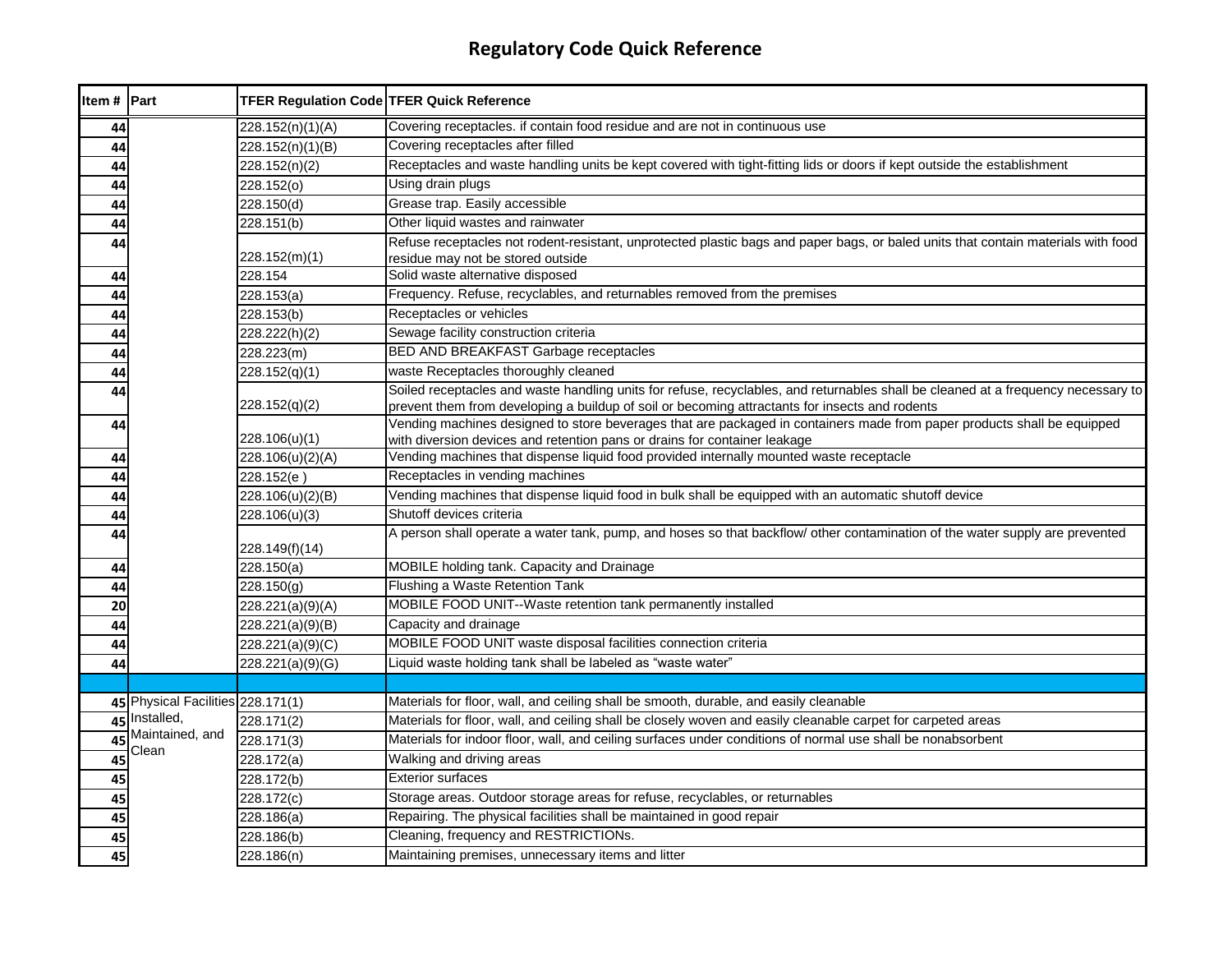| Item # Part |                                   | TFER Regulation Code TFER Quick Reference |                                                                                                                                                                                                                                     |
|-------------|-----------------------------------|-------------------------------------------|-------------------------------------------------------------------------------------------------------------------------------------------------------------------------------------------------------------------------------------|
| 44          |                                   | 228.152(n)(1)(A)                          | Covering receptacles. if contain food residue and are not in continuous use                                                                                                                                                         |
| 44          |                                   | 228.152(n)(1)(B)                          | Covering receptacles after filled                                                                                                                                                                                                   |
| 44          |                                   | 228.152(n)(2)                             | Receptacles and waste handling units be kept covered with tight-fitting lids or doors if kept outside the establishment                                                                                                             |
| 44          |                                   | $\sqrt{228.152(0)}$                       | Using drain plugs                                                                                                                                                                                                                   |
| 44          |                                   | 228.150(d)                                | Grease trap. Easily accessible                                                                                                                                                                                                      |
| 44          |                                   | 228.151(b)                                | Other liquid wastes and rainwater                                                                                                                                                                                                   |
| 44          |                                   |                                           | Refuse receptacles not rodent-resistant, unprotected plastic bags and paper bags, or baled units that contain materials with food                                                                                                   |
|             |                                   | 228.152(m)(1)                             | residue may not be stored outside                                                                                                                                                                                                   |
| 44          |                                   | 228.154                                   | Solid waste alternative disposed                                                                                                                                                                                                    |
| 44          |                                   | 228.153(a)                                | Frequency. Refuse, recyclables, and returnables removed from the premises                                                                                                                                                           |
| 44          |                                   | 228.153(b)                                | Receptacles or vehicles                                                                                                                                                                                                             |
| 44          |                                   | 228.222(h)(2)                             | Sewage facility construction criteria                                                                                                                                                                                               |
| 44          |                                   | 228.223(m)                                | <b>BED AND BREAKFAST Garbage receptacles</b>                                                                                                                                                                                        |
| 44          |                                   | 228.152(q)(1)                             | waste Receptacles thoroughly cleaned                                                                                                                                                                                                |
| 44          |                                   | 228.152(q)(2)                             | Soiled receptacles and waste handling units for refuse, recyclables, and returnables shall be cleaned at a frequency necessary to<br>prevent them from developing a buildup of soil or becoming attractants for insects and rodents |
| 44          |                                   | 228.106(u)(1)                             | Vending machines designed to store beverages that are packaged in containers made from paper products shall be equipped<br>with diversion devices and retention pans or drains for container leakage                                |
| 44          |                                   | 228.106(u)(2)(A)                          | Vending machines that dispense liquid food provided internally mounted waste receptacle                                                                                                                                             |
| 44          |                                   | 228.152(e)                                | Receptacles in vending machines                                                                                                                                                                                                     |
| 44          |                                   | 228.106(u)(2)(B)                          | Vending machines that dispense liquid food in bulk shall be equipped with an automatic shutoff device                                                                                                                               |
| 44          |                                   | 228.106(u)(3)                             | Shutoff devices criteria                                                                                                                                                                                                            |
| 44          |                                   | 228.149(f)(14)                            | A person shall operate a water tank, pump, and hoses so that backflow/ other contamination of the water supply are prevented                                                                                                        |
| 44          |                                   | 228.150(a)                                | MOBILE holding tank. Capacity and Drainage                                                                                                                                                                                          |
| 44          |                                   | 228.150(g)                                | Flushing a Waste Retention Tank                                                                                                                                                                                                     |
| 20          |                                   | 228.221(a)(9)(A)                          | MOBILE FOOD UNIT--Waste retention tank permanently installed                                                                                                                                                                        |
| 44          |                                   | 228.221(a)(9)(B)                          | Capacity and drainage                                                                                                                                                                                                               |
| 44          |                                   | 228.221(a)(9)(C)                          | MOBILE FOOD UNIT waste disposal facilities connection criteria                                                                                                                                                                      |
| 44          |                                   | 228.221(a)(9)(G)                          | Liquid waste holding tank shall be labeled as "waste water"                                                                                                                                                                         |
|             |                                   |                                           |                                                                                                                                                                                                                                     |
|             | 45 Physical Facilities 228.171(1) |                                           | Materials for floor, wall, and ceiling shall be smooth, durable, and easily cleanable                                                                                                                                               |
|             | 45 Installed,                     | $\sqrt{228.171(2)}$                       | Materials for floor, wall, and ceiling shall be closely woven and easily cleanable carpet for carpeted areas                                                                                                                        |
| 45          | Maintained, and                   | 228.171(3)                                | Materials for indoor floor, wall, and ceiling surfaces under conditions of normal use shall be nonabsorbent                                                                                                                         |
| 45          | Clean                             | 228.172(a)                                | Walking and driving areas                                                                                                                                                                                                           |
| 45          |                                   | 228.172(b)                                | <b>Exterior surfaces</b>                                                                                                                                                                                                            |
| 45          |                                   | 228.172(c)                                | Storage areas. Outdoor storage areas for refuse, recyclables, or returnables                                                                                                                                                        |
| 45          |                                   | 228.186(a)                                | Repairing. The physical facilities shall be maintained in good repair                                                                                                                                                               |
| 45          |                                   | 228.186(b)                                | Cleaning, frequency and RESTRICTIONs.                                                                                                                                                                                               |
| 45          |                                   | 228.186(n)                                | Maintaining premises, unnecessary items and litter                                                                                                                                                                                  |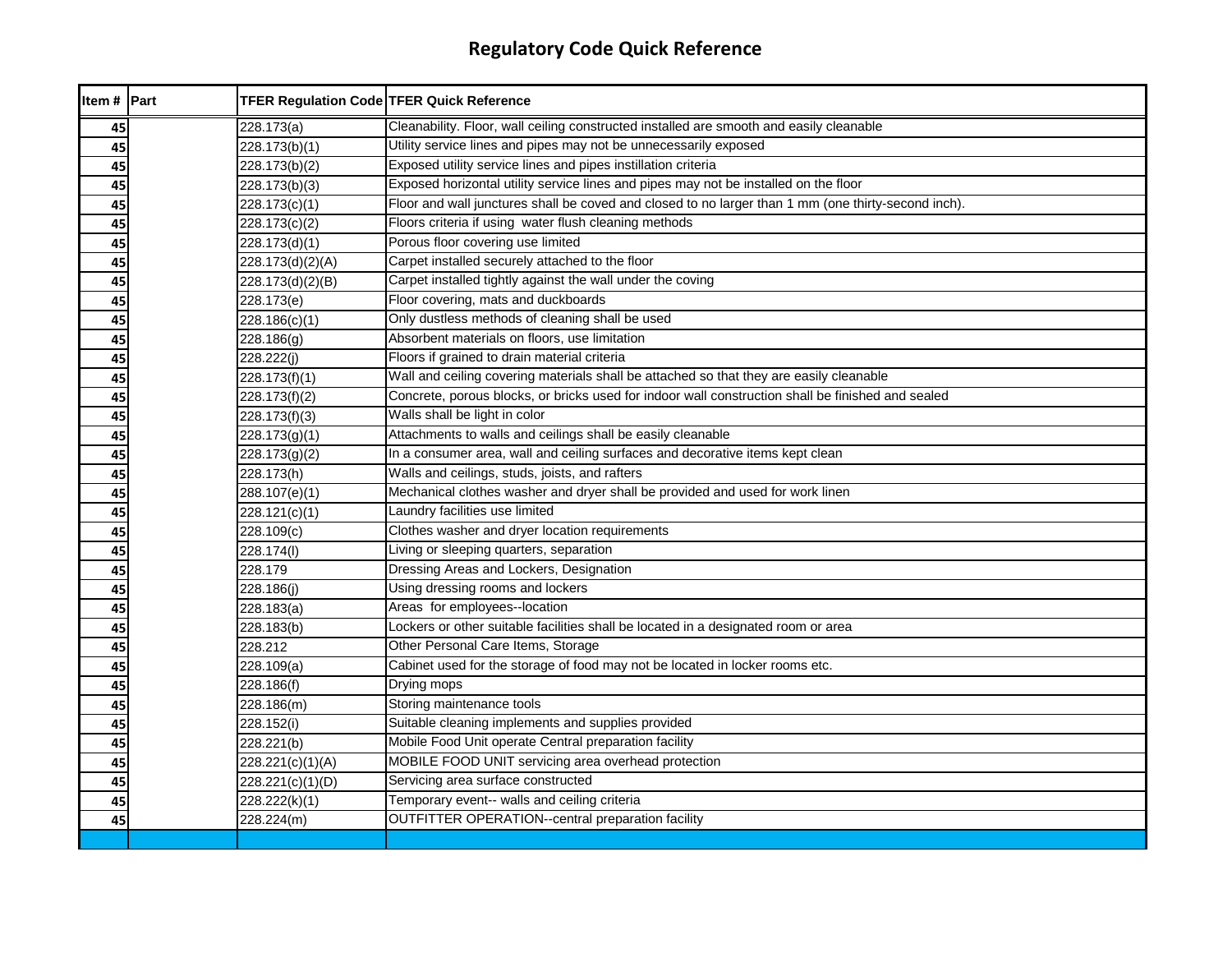| ltem # | Part | <b>TFER Regulation Code TFER Quick Reference</b> |                                                                                                     |
|--------|------|--------------------------------------------------|-----------------------------------------------------------------------------------------------------|
| 45     |      | 228.173(a)                                       | Cleanability. Floor, wall ceiling constructed installed are smooth and easily cleanable             |
| 45     |      | 228.173(b)(1)                                    | Utility service lines and pipes may not be unnecessarily exposed                                    |
| 45     |      | 228.173(b)(2)                                    | Exposed utility service lines and pipes instillation criteria                                       |
| 45     |      | 228.173(b)(3)                                    | Exposed horizontal utility service lines and pipes may not be installed on the floor                |
| 45     |      | 228.173(c)(1)                                    | Floor and wall junctures shall be coved and closed to no larger than 1 mm (one thirty-second inch). |
| 45     |      | 228.173(c)(2)                                    | Floors criteria if using water flush cleaning methods                                               |
| 45     |      | 228.173(d)(1)                                    | Porous floor covering use limited                                                                   |
| 45     |      | 228.173(d)(2)(A)                                 | Carpet installed securely attached to the floor                                                     |
| 45     |      | 228.173(d)(2)(B)                                 | Carpet installed tightly against the wall under the coving                                          |
| 45     |      | 228.173(e)                                       | Floor covering, mats and duckboards                                                                 |
| 45     |      | 228.186(c)(1)                                    | Only dustless methods of cleaning shall be used                                                     |
| 45     |      | 228.186(g)                                       | Absorbent materials on floors, use limitation                                                       |
| 45     |      | 228.222(j)                                       | Floors if grained to drain material criteria                                                        |
| 45     |      | 228.173(f)(1)                                    | Wall and ceiling covering materials shall be attached so that they are easily cleanable             |
| 45     |      | 228.173(f)(2)                                    | Concrete, porous blocks, or bricks used for indoor wall construction shall be finished and sealed   |
| 45     |      | 228.173(f)(3)                                    | Walls shall be light in color                                                                       |
| 45     |      | 228.173(g)(1)                                    | Attachments to walls and ceilings shall be easily cleanable                                         |
| 45     |      | 228.173(g)(2)                                    | In a consumer area, wall and ceiling surfaces and decorative items kept clean                       |
| 45     |      | 228.173(h)                                       | Walls and ceilings, studs, joists, and rafters                                                      |
| 45     |      | 288.107(e)(1)                                    | Mechanical clothes washer and dryer shall be provided and used for work linen                       |
| 45     |      | 228.121(c)(1)                                    | Laundry facilities use limited                                                                      |
| 45     |      | 228.109(c)                                       | Clothes washer and dryer location requirements                                                      |
| 45     |      | 228.174(I)                                       | Living or sleeping quarters, separation                                                             |
| 45     |      | 228.179                                          | Dressing Areas and Lockers, Designation                                                             |
| 45     |      | 228.186(j)                                       | Using dressing rooms and lockers                                                                    |
| 45     |      | 228.183(a)                                       | Areas for employees--location                                                                       |
| 45     |      | 228.183(b)                                       | Lockers or other suitable facilities shall be located in a designated room or area                  |
| 45     |      | 228.212                                          | Other Personal Care Items, Storage                                                                  |
| 45     |      | 228.109(a)                                       | Cabinet used for the storage of food may not be located in locker rooms etc.                        |
| 45     |      | 228.186(f)                                       | Drying mops                                                                                         |
| 45     |      | 228.186(m)                                       | Storing maintenance tools                                                                           |
| 45     |      | 228.152(i)                                       | Suitable cleaning implements and supplies provided                                                  |
| 45     |      | 228.221(b)                                       | Mobile Food Unit operate Central preparation facility                                               |
| 45     |      | 228.221(c)(1)(A)                                 | MOBILE FOOD UNIT servicing area overhead protection                                                 |
| 45     |      | 228.221(c)(1)(D)                                 | Servicing area surface constructed                                                                  |
| 45     |      | 228.222(k)(1)                                    | Temporary event-- walls and ceiling criteria                                                        |
| 45     |      | 228.224(m)                                       | <b>OUTFITTER OPERATION--central preparation facility</b>                                            |
|        |      |                                                  |                                                                                                     |